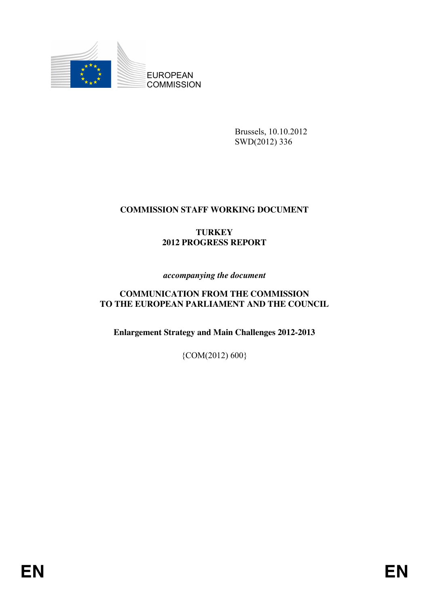

Brussels, 10.10.2012 SWD(2012) 336

## **COMMISSION STAFF WORKING DOCUMENT**

# **TURKEY 2012 PROGRESS REPORT**

#### *accompanying the document*

#### **COMMUNICATION FROM THE COMMISSION TO THE EUROPEAN PARLIAMENT AND THE COUNCIL**

**Enlargement Strategy and Main Challenges 2012-2013** 

{COM(2012) 600}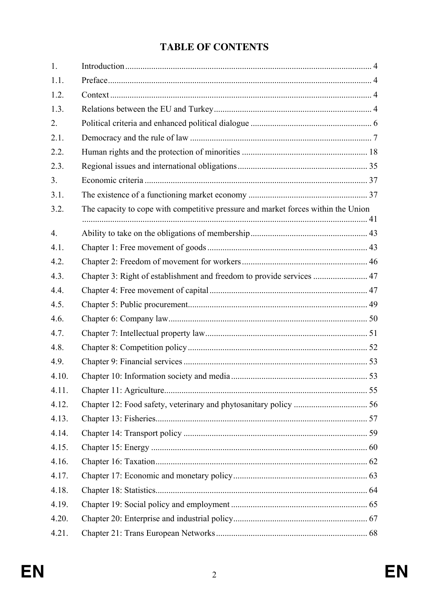# **TABLE OF CONTENTS**

| 1.               |                                                                                   |  |
|------------------|-----------------------------------------------------------------------------------|--|
| 1.1.             |                                                                                   |  |
| 1.2.             |                                                                                   |  |
| 1.3.             |                                                                                   |  |
| 2.               |                                                                                   |  |
| 2.1.             |                                                                                   |  |
| 2.2.             |                                                                                   |  |
| 2.3.             |                                                                                   |  |
| 3.               |                                                                                   |  |
| 3.1.             |                                                                                   |  |
| 3.2.             | The capacity to cope with competitive pressure and market forces within the Union |  |
| $\overline{4}$ . |                                                                                   |  |
| 4.1.             |                                                                                   |  |
| 4.2.             |                                                                                   |  |
| 4.3.             | Chapter 3: Right of establishment and freedom to provide services  47             |  |
| 4.4.             |                                                                                   |  |
| 4.5.             |                                                                                   |  |
| 4.6.             |                                                                                   |  |
| 4.7.             |                                                                                   |  |
| 4.8.             |                                                                                   |  |
| 4.9.             |                                                                                   |  |
| 4.10.            |                                                                                   |  |
| 4.11.            |                                                                                   |  |
| 4.12.            |                                                                                   |  |
| 4.13.            |                                                                                   |  |
| 4.14.            |                                                                                   |  |
| 4.15.            |                                                                                   |  |
| 4.16.            |                                                                                   |  |
| 4.17.            |                                                                                   |  |
| 4.18.            |                                                                                   |  |
| 4.19.            |                                                                                   |  |
| 4.20.            |                                                                                   |  |
| 4.21.            |                                                                                   |  |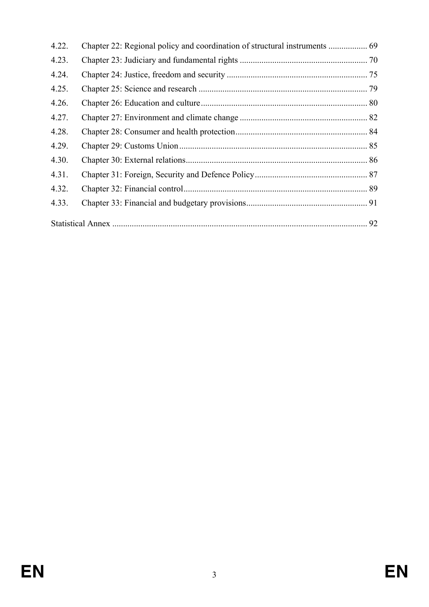| 4.22. |  |  |
|-------|--|--|
| 4.23. |  |  |
| 4.24. |  |  |
| 4.25. |  |  |
| 4.26. |  |  |
| 4.27. |  |  |
| 4.28. |  |  |
| 4.29. |  |  |
| 4.30. |  |  |
| 4.31. |  |  |
| 4.32. |  |  |
| 4.33. |  |  |
|       |  |  |
|       |  |  |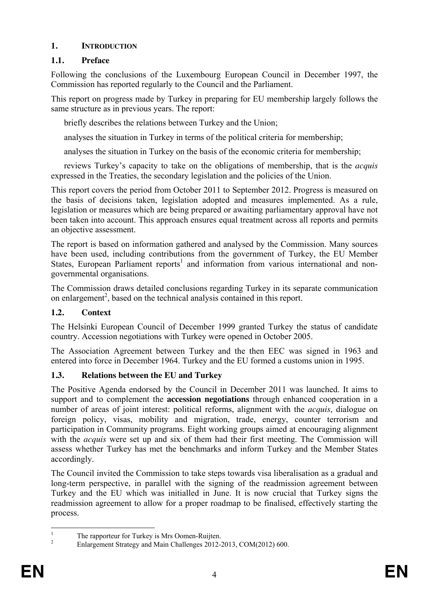## <span id="page-3-0"></span>**1. INTRODUCTION**

# <span id="page-3-1"></span>**1.1. Preface**

Following the conclusions of the Luxembourg European Council in December 1997, the Commission has reported regularly to the Council and the Parliament.

This report on progress made by Turkey in preparing for EU membership largely follows the same structure as in previous years. The report:

briefly describes the relations between Turkey and the Union;

analyses the situation in Turkey in terms of the political criteria for membership;

analyses the situation in Turkey on the basis of the economic criteria for membership;

 reviews Turkey's capacity to take on the obligations of membership, that is the *acquis*  expressed in the Treaties, the secondary legislation and the policies of the Union.

This report covers the period from October 2011 to September 2012. Progress is measured on the basis of decisions taken, legislation adopted and measures implemented. As a rule, legislation or measures which are being prepared or awaiting parliamentary approval have not been taken into account. This approach ensures equal treatment across all reports and permits an objective assessment.

The report is based on information gathered and analysed by the Commission. Many sources have been used, including contributions from the government of Turkey, the EU Member States, European Parliament reports<sup>1</sup> and information from various international and nongovernmental organisations.

The Commission draws detailed conclusions regarding Turkey in its separate communication on enlargement<sup>2</sup>, based on the technical analysis contained in this report.

# <span id="page-3-2"></span>**1.2. Context**

The Helsinki European Council of December 1999 granted Turkey the status of candidate country. Accession negotiations with Turkey were opened in October 2005.

The Association Agreement between Turkey and the then EEC was signed in 1963 and entered into force in December 1964. Turkey and the EU formed a customs union in 1995.

## <span id="page-3-3"></span>**1.3. Relations between the EU and Turkey**

The Positive Agenda endorsed by the Council in December 2011 was launched. It aims to support and to complement the **accession negotiations** through enhanced cooperation in a number of areas of joint interest: political reforms, alignment with the *acquis*, dialogue on foreign policy, visas, mobility and migration, trade, energy, counter terrorism and participation in Community programs. Eight working groups aimed at encouraging alignment with the *acquis* were set up and six of them had their first meeting. The Commission will assess whether Turkey has met the benchmarks and inform Turkey and the Member States accordingly.

The Council invited the Commission to take steps towards visa liberalisation as a gradual and long-term perspective, in parallel with the signing of the readmission agreement between Turkey and the EU which was initialled in June. It is now crucial that Turkey signs the readmission agreement to allow for a proper roadmap to be finalised, effectively starting the process.

 $\frac{1}{1}$  The rapporteur for Turkey is Mrs Oomen-Ruijten. 2

Enlargement Strategy and Main Challenges 2012-2013, COM(2012) 600.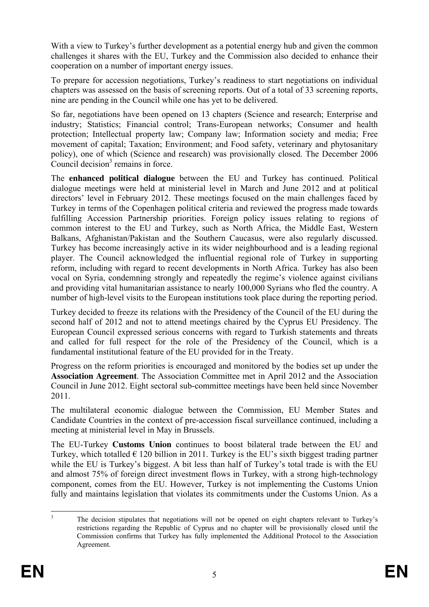With a view to Turkey's further development as a potential energy hub and given the common challenges it shares with the EU, Turkey and the Commission also decided to enhance their cooperation on a number of important energy issues.

To prepare for accession negotiations, Turkey's readiness to start negotiations on individual chapters was assessed on the basis of screening reports. Out of a total of 33 screening reports, nine are pending in the Council while one has yet to be delivered.

So far, negotiations have been opened on 13 chapters (Science and research; Enterprise and industry; Statistics; Financial control; Trans-European networks; Consumer and health protection; Intellectual property law; Company law; Information society and media; Free movement of capital; Taxation; Environment; and Food safety, veterinary and phytosanitary policy), one of which (Science and research) was provisionally closed. The December 2006 Council decision $3$  remains in force.

The **enhanced political dialogue** between the EU and Turkey has continued. Political dialogue meetings were held at ministerial level in March and June 2012 and at political directors' level in February 2012. These meetings focused on the main challenges faced by Turkey in terms of the Copenhagen political criteria and reviewed the progress made towards fulfilling Accession Partnership priorities. Foreign policy issues relating to regions of common interest to the EU and Turkey, such as North Africa, the Middle East, Western Balkans, Afghanistan/Pakistan and the Southern Caucasus, were also regularly discussed. Turkey has become increasingly active in its wider neighbourhood and is a leading regional player. The Council acknowledged the influential regional role of Turkey in supporting reform, including with regard to recent developments in North Africa. Turkey has also been vocal on Syria, condemning strongly and repeatedly the regime's violence against civilians and providing vital humanitarian assistance to nearly 100,000 Syrians who fled the country. A number of high-level visits to the European institutions took place during the reporting period.

Turkey decided to freeze its relations with the Presidency of the Council of the EU during the second half of 2012 and not to attend meetings chaired by the Cyprus EU Presidency. The European Council expressed serious concerns with regard to Turkish statements and threats and called for full respect for the role of the Presidency of the Council, which is a fundamental institutional feature of the EU provided for in the Treaty.

Progress on the reform priorities is encouraged and monitored by the bodies set up under the **Association Agreement**. The Association Committee met in April 2012 and the Association Council in June 2012. Eight sectoral sub-committee meetings have been held since November 2011.

The multilateral economic dialogue between the Commission, EU Member States and Candidate Countries in the context of pre-accession fiscal surveillance continued, including a meeting at ministerial level in May in Brussels.

The EU-Turkey **Customs Union** continues to boost bilateral trade between the EU and Turkey, which totalled  $\epsilon$  120 billion in 2011. Turkey is the EU's sixth biggest trading partner while the EU is Turkey's biggest. A bit less than half of Turkey's total trade is with the EU and almost 75% of foreign direct investment flows in Turkey, with a strong high-technology component, comes from the EU. However, Turkey is not implementing the Customs Union fully and maintains legislation that violates its commitments under the Customs Union. As a

 $\frac{1}{3}$  The decision stipulates that negotiations will not be opened on eight chapters relevant to Turkey's restrictions regarding the Republic of Cyprus and no chapter will be provisionally closed until the Commission confirms that Turkey has fully implemented the Additional Protocol to the Association Agreement.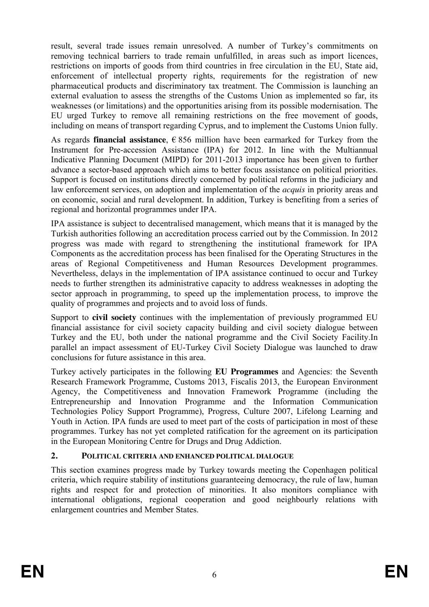result, several trade issues remain unresolved. A number of Turkey's commitments on removing technical barriers to trade remain unfulfilled, in areas such as import licences, restrictions on imports of goods from third countries in free circulation in the EU, State aid, enforcement of intellectual property rights, requirements for the registration of new pharmaceutical products and discriminatory tax treatment. The Commission is launching an external evaluation to assess the strengths of the Customs Union as implemented so far, its weaknesses (or limitations) and the opportunities arising from its possible modernisation. The EU urged Turkey to remove all remaining restrictions on the free movement of goods, including on means of transport regarding Cyprus, and to implement the Customs Union fully.

As regards **financial assistance**,  $\epsilon$  856 million have been earmarked for Turkey from the Instrument for Pre-accession Assistance (IPA) for 2012. In line with the Multiannual Indicative Planning Document (MIPD) for 2011-2013 importance has been given to further advance a sector-based approach which aims to better focus assistance on political priorities. Support is focused on institutions directly concerned by political reforms in the judiciary and law enforcement services, on adoption and implementation of the *acquis* in priority areas and on economic, social and rural development. In addition, Turkey is benefiting from a series of regional and horizontal programmes under IPA.

IPA assistance is subject to decentralised management, which means that it is managed by the Turkish authorities following an accreditation process carried out by the Commission. In 2012 progress was made with regard to strengthening the institutional framework for IPA Components as the accreditation process has been finalised for the Operating Structures in the areas of Regional Competitiveness and Human Resources Development programmes. Nevertheless, delays in the implementation of IPA assistance continued to occur and Turkey needs to further strengthen its administrative capacity to address weaknesses in adopting the sector approach in programming, to speed up the implementation process, to improve the quality of programmes and projects and to avoid loss of funds.

Support to **civil society** continues with the implementation of previously programmed EU financial assistance for civil society capacity building and civil society dialogue between Turkey and the EU, both under the national programme and the Civil Society Facility.In parallel an impact assessment of EU-Turkey Civil Society Dialogue was launched to draw conclusions for future assistance in this area.

Turkey actively participates in the following **EU Programmes** and Agencies: the Seventh Research Framework Programme, Customs 2013, Fiscalis 2013, the European Environment Agency, the Competitiveness and Innovation Framework Programme (including the Entrepreneurship and Innovation Programme and the Information Communication Technologies Policy Support Programme), Progress, Culture 2007, Lifelong Learning and Youth in Action. IPA funds are used to meet part of the costs of participation in most of these programmes. Turkey has not yet completed ratification for the agreement on its participation in the European Monitoring Centre for Drugs and Drug Addiction.

# <span id="page-5-0"></span>**2. POLITICAL CRITERIA AND ENHANCED POLITICAL DIALOGUE**

This section examines progress made by Turkey towards meeting the Copenhagen political criteria, which require stability of institutions guaranteeing democracy, the rule of law, human rights and respect for and protection of minorities. It also monitors compliance with international obligations, regional cooperation and good neighbourly relations with enlargement countries and Member States.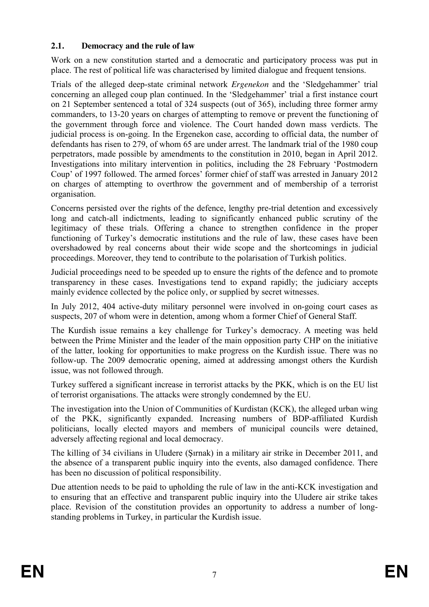## <span id="page-6-0"></span>**2.1. Democracy and the rule of law**

Work on a new constitution started and a democratic and participatory process was put in place. The rest of political life was characterised by limited dialogue and frequent tensions.

Trials of the alleged deep-state criminal network *Ergenekon* and the 'Sledgehammer' trial concerning an alleged coup plan continued. In the 'Sledgehammer' trial a first instance court on 21 September sentenced a total of 324 suspects (out of 365), including three former army commanders, to 13-20 years on charges of attempting to remove or prevent the functioning of the government through force and violence. The Court handed down mass verdicts. The judicial process is on-going. In the Ergenekon case, according to official data, the number of defendants has risen to 279, of whom 65 are under arrest. The landmark trial of the 1980 coup perpetrators, made possible by amendments to the constitution in 2010, began in April 2012. Investigations into military intervention in politics, including the 28 February 'Postmodern Coup' of 1997 followed. The armed forces' former chief of staff was arrested in January 2012 on charges of attempting to overthrow the government and of membership of a terrorist organisation.

Concerns persisted over the rights of the defence, lengthy pre-trial detention and excessively long and catch-all indictments, leading to significantly enhanced public scrutiny of the legitimacy of these trials. Offering a chance to strengthen confidence in the proper functioning of Turkey's democratic institutions and the rule of law, these cases have been overshadowed by real concerns about their wide scope and the shortcomings in judicial proceedings. Moreover, they tend to contribute to the polarisation of Turkish politics.

Judicial proceedings need to be speeded up to ensure the rights of the defence and to promote transparency in these cases. Investigations tend to expand rapidly; the judiciary accepts mainly evidence collected by the police only, or supplied by secret witnesses.

In July 2012, 404 active-duty military personnel were involved in on-going court cases as suspects, 207 of whom were in detention, among whom a former Chief of General Staff.

The Kurdish issue remains a key challenge for Turkey's democracy. A meeting was held between the Prime Minister and the leader of the main opposition party CHP on the initiative of the latter, looking for opportunities to make progress on the Kurdish issue. There was no follow-up. The 2009 democratic opening, aimed at addressing amongst others the Kurdish issue, was not followed through.

Turkey suffered a significant increase in terrorist attacks by the PKK, which is on the EU list of terrorist organisations. The attacks were strongly condemned by the EU.

The investigation into the Union of Communities of Kurdistan (KCK), the alleged urban wing of the PKK, significantly expanded. Increasing numbers of BDP-affiliated Kurdish politicians, locally elected mayors and members of municipal councils were detained, adversely affecting regional and local democracy.

The killing of 34 civilians in Uludere (Sirnak) in a military air strike in December 2011, and the absence of a transparent public inquiry into the events, also damaged confidence. There has been no discussion of political responsibility.

Due attention needs to be paid to upholding the rule of law in the anti-KCK investigation and to ensuring that an effective and transparent public inquiry into the Uludere air strike takes place. Revision of the constitution provides an opportunity to address a number of longstanding problems in Turkey, in particular the Kurdish issue.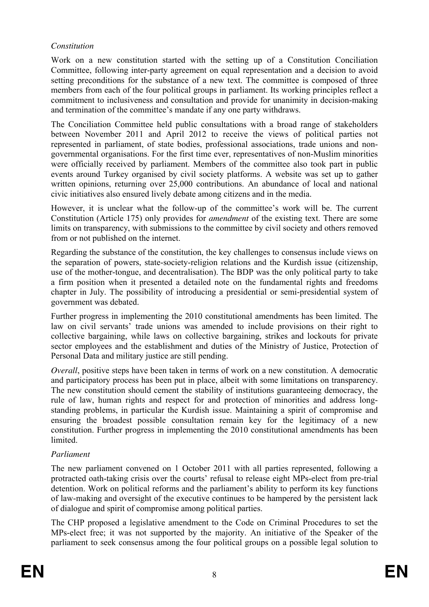## *Constitution*

Work on a new constitution started with the setting up of a Constitution Conciliation Committee, following inter-party agreement on equal representation and a decision to avoid setting preconditions for the substance of a new text. The committee is composed of three members from each of the four political groups in parliament. Its working principles reflect a commitment to inclusiveness and consultation and provide for unanimity in decision-making and termination of the committee's mandate if any one party withdraws.

The Conciliation Committee held public consultations with a broad range of stakeholders between November 2011 and April 2012 to receive the views of political parties not represented in parliament, of state bodies, professional associations, trade unions and nongovernmental organisations. For the first time ever, representatives of non-Muslim minorities were officially received by parliament. Members of the committee also took part in public events around Turkey organised by civil society platforms. A website was set up to gather written opinions, returning over 25,000 contributions. An abundance of local and national civic initiatives also ensured lively debate among citizens and in the media.

However, it is unclear what the follow-up of the committee's work will be. The current Constitution (Article 175) only provides for *amendment* of the existing text. There are some limits on transparency, with submissions to the committee by civil society and others removed from or not published on the internet.

Regarding the substance of the constitution, the key challenges to consensus include views on the separation of powers, state-society-religion relations and the Kurdish issue (citizenship, use of the mother-tongue, and decentralisation). The BDP was the only political party to take a firm position when it presented a detailed note on the fundamental rights and freedoms chapter in July. The possibility of introducing a presidential or semi-presidential system of government was debated.

Further progress in implementing the 2010 constitutional amendments has been limited. The law on civil servants' trade unions was amended to include provisions on their right to collective bargaining, while laws on collective bargaining, strikes and lockouts for private sector employees and the establishment and duties of the Ministry of Justice, Protection of Personal Data and military justice are still pending.

*Overall*, positive steps have been taken in terms of work on a new constitution. A democratic and participatory process has been put in place, albeit with some limitations on transparency. The new constitution should cement the stability of institutions guaranteeing democracy, the rule of law, human rights and respect for and protection of minorities and address longstanding problems, in particular the Kurdish issue. Maintaining a spirit of compromise and ensuring the broadest possible consultation remain key for the legitimacy of a new constitution. Further progress in implementing the 2010 constitutional amendments has been **limited** 

# *Parliament*

The new parliament convened on 1 October 2011 with all parties represented, following a protracted oath-taking crisis over the courts' refusal to release eight MPs-elect from pre-trial detention. Work on political reforms and the parliament's ability to perform its key functions of law-making and oversight of the executive continues to be hampered by the persistent lack of dialogue and spirit of compromise among political parties.

The CHP proposed a legislative amendment to the Code on Criminal Procedures to set the MPs-elect free; it was not supported by the majority. An initiative of the Speaker of the parliament to seek consensus among the four political groups on a possible legal solution to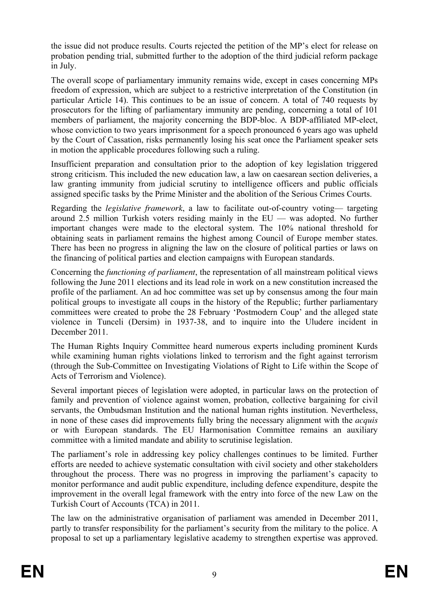the issue did not produce results. Courts rejected the petition of the MP's elect for release on probation pending trial, submitted further to the adoption of the third judicial reform package in July.

The overall scope of parliamentary immunity remains wide, except in cases concerning MPs freedom of expression, which are subject to a restrictive interpretation of the Constitution (in particular Article 14). This continues to be an issue of concern. A total of 740 requests by prosecutors for the lifting of parliamentary immunity are pending, concerning a total of 101 members of parliament, the majority concerning the BDP-bloc. A BDP-affiliated MP-elect, whose conviction to two years imprisonment for a speech pronounced 6 years ago was upheld by the Court of Cassation, risks permanently losing his seat once the Parliament speaker sets in motion the applicable procedures following such a ruling.

Insufficient preparation and consultation prior to the adoption of key legislation triggered strong criticism. This included the new education law, a law on caesarean section deliveries, a law granting immunity from judicial scrutiny to intelligence officers and public officials assigned specific tasks by the Prime Minister and the abolition of the Serious Crimes Courts.

Regarding the *legislative framework*, a law to facilitate out-of-country voting— targeting around 2.5 million Turkish voters residing mainly in the EU — was adopted. No further important changes were made to the electoral system. The 10% national threshold for obtaining seats in parliament remains the highest among Council of Europe member states. There has been no progress in aligning the law on the closure of political parties or laws on the financing of political parties and election campaigns with European standards.

Concerning the *functioning of parliament*, the representation of all mainstream political views following the June 2011 elections and its lead role in work on a new constitution increased the profile of the parliament. An ad hoc committee was set up by consensus among the four main political groups to investigate all coups in the history of the Republic; further parliamentary committees were created to probe the 28 February 'Postmodern Coup' and the alleged state violence in Tunceli (Dersim) in 1937-38, and to inquire into the Uludere incident in December 2011.

The Human Rights Inquiry Committee heard numerous experts including prominent Kurds while examining human rights violations linked to terrorism and the fight against terrorism (through the Sub-Committee on Investigating Violations of Right to Life within the Scope of Acts of Terrorism and Violence).

Several important pieces of legislation were adopted, in particular laws on the protection of family and prevention of violence against women, probation, collective bargaining for civil servants, the Ombudsman Institution and the national human rights institution. Nevertheless, in none of these cases did improvements fully bring the necessary alignment with the *acquis* or with European standards. The EU Harmonisation Committee remains an auxiliary committee with a limited mandate and ability to scrutinise legislation.

The parliament's role in addressing key policy challenges continues to be limited. Further efforts are needed to achieve systematic consultation with civil society and other stakeholders throughout the process. There was no progress in improving the parliament's capacity to monitor performance and audit public expenditure, including defence expenditure, despite the improvement in the overall legal framework with the entry into force of the new Law on the Turkish Court of Accounts (TCA) in 2011.

The law on the administrative organisation of parliament was amended in December 2011, partly to transfer responsibility for the parliament's security from the military to the police. A proposal to set up a parliamentary legislative academy to strengthen expertise was approved.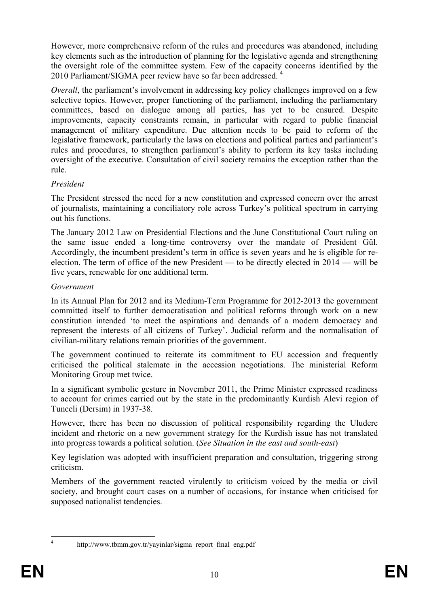However, more comprehensive reform of the rules and procedures was abandoned, including key elements such as the introduction of planning for the legislative agenda and strengthening the oversight role of the committee system. Few of the capacity concerns identified by the 2010 Parliament/SIGMA peer review have so far been addressed. 4

*Overall*, the parliament's involvement in addressing key policy challenges improved on a few selective topics. However, proper functioning of the parliament, including the parliamentary committees, based on dialogue among all parties, has yet to be ensured. Despite improvements, capacity constraints remain, in particular with regard to public financial management of military expenditure. Due attention needs to be paid to reform of the legislative framework, particularly the laws on elections and political parties and parliament's rules and procedures, to strengthen parliament's ability to perform its key tasks including oversight of the executive. Consultation of civil society remains the exception rather than the rule.

## *President*

The President stressed the need for a new constitution and expressed concern over the arrest of journalists, maintaining a conciliatory role across Turkey's political spectrum in carrying out his functions.

The January 2012 Law on Presidential Elections and the June Constitutional Court ruling on the same issue ended a long-time controversy over the mandate of President Gül. Accordingly, the incumbent president's term in office is seven years and he is eligible for reelection. The term of office of the new President — to be directly elected in 2014 — will be five years, renewable for one additional term.

## *Government*

In its Annual Plan for 2012 and its Medium-Term Programme for 2012-2013 the government committed itself to further democratisation and political reforms through work on a new constitution intended 'to meet the aspirations and demands of a modern democracy and represent the interests of all citizens of Turkey'. Judicial reform and the normalisation of civilian-military relations remain priorities of the government.

The government continued to reiterate its commitment to EU accession and frequently criticised the political stalemate in the accession negotiations. The ministerial Reform Monitoring Group met twice.

In a significant symbolic gesture in November 2011, the Prime Minister expressed readiness to account for crimes carried out by the state in the predominantly Kurdish Alevi region of Tunceli (Dersim) in 1937-38.

However, there has been no discussion of political responsibility regarding the Uludere incident and rhetoric on a new government strategy for the Kurdish issue has not translated into progress towards a political solution. (*See Situation in the east and south-east*)

Key legislation was adopted with insufficient preparation and consultation, triggering strong criticism.

Members of the government reacted virulently to criticism voiced by the media or civil society, and brought court cases on a number of occasions, for instance when criticised for supposed nationalist tendencies.

 $\frac{1}{4}$ 

[http://www.tbmm.gov.tr/yayinlar/sigma\\_report\\_final\\_eng.pdf](http://www.tbmm.gov.tr/yayinlar/sigma_report_final_eng.pdf)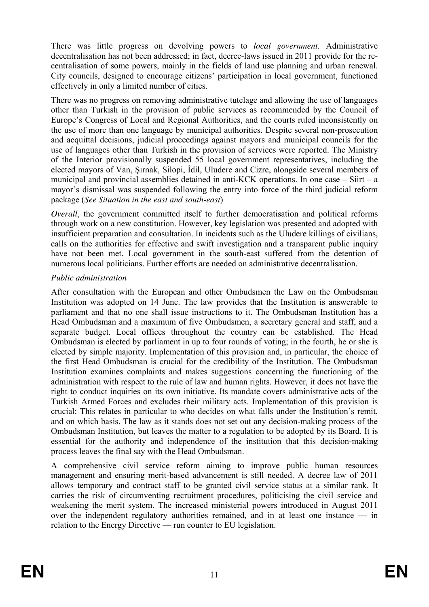There was little progress on devolving powers to *local government*. Administrative decentralisation has not been addressed; in fact, decree-laws issued in 2011 provide for the recentralisation of some powers, mainly in the fields of land use planning and urban renewal. City councils, designed to encourage citizens' participation in local government, functioned effectively in only a limited number of cities.

There was no progress on removing administrative tutelage and allowing the use of languages other than Turkish in the provision of public services as recommended by the Council of Europe's Congress of Local and Regional Authorities, and the courts ruled inconsistently on the use of more than one language by municipal authorities. Despite several non-prosecution and acquittal decisions, judicial proceedings against mayors and municipal councils for the use of languages other than Turkish in the provision of services were reported. The Ministry of the Interior provisionally suspended 55 local government representatives, including the elected mayors of Van, Sırnak, Silopi, İdil, Uludere and Cizre, alongside several members of municipal and provincial assemblies detained in anti-KCK operations. In one case – Siirt – a mayor's dismissal was suspended following the entry into force of the third judicial reform package (*See Situation in the east and south-east*)

*Overall*, the government committed itself to further democratisation and political reforms through work on a new constitution. However, key legislation was presented and adopted with insufficient preparation and consultation. In incidents such as the Uludere killings of civilians, calls on the authorities for effective and swift investigation and a transparent public inquiry have not been met. Local government in the south-east suffered from the detention of numerous local politicians. Further efforts are needed on administrative decentralisation.

## *Public administration*

After consultation with the European and other Ombudsmen the Law on the Ombudsman Institution was adopted on 14 June. The law provides that the Institution is answerable to parliament and that no one shall issue instructions to it. The Ombudsman Institution has a Head Ombudsman and a maximum of five Ombudsmen, a secretary general and staff, and a separate budget. Local offices throughout the country can be established. The Head Ombudsman is elected by parliament in up to four rounds of voting; in the fourth, he or she is elected by simple majority. Implementation of this provision and, in particular, the choice of the first Head Ombudsman is crucial for the credibility of the Institution. The Ombudsman Institution examines complaints and makes suggestions concerning the functioning of the administration with respect to the rule of law and human rights. However, it does not have the right to conduct inquiries on its own initiative. Its mandate covers administrative acts of the Turkish Armed Forces and excludes their military acts. Implementation of this provision is crucial: This relates in particular to who decides on what falls under the Institution's remit, and on which basis. The law as it stands does not set out any decision-making process of the Ombudsman Institution, but leaves the matter to a regulation to be adopted by its Board. It is essential for the authority and independence of the institution that this decision-making process leaves the final say with the Head Ombudsman.

A comprehensive civil service reform aiming to improve public human resources management and ensuring merit-based advancement is still needed. A decree law of 2011 allows temporary and contract staff to be granted civil service status at a similar rank. It carries the risk of circumventing recruitment procedures, politicising the civil service and weakening the merit system. The increased ministerial powers introduced in August 2011 over the independent regulatory authorities remained, and in at least one instance — in relation to the Energy Directive — run counter to EU legislation.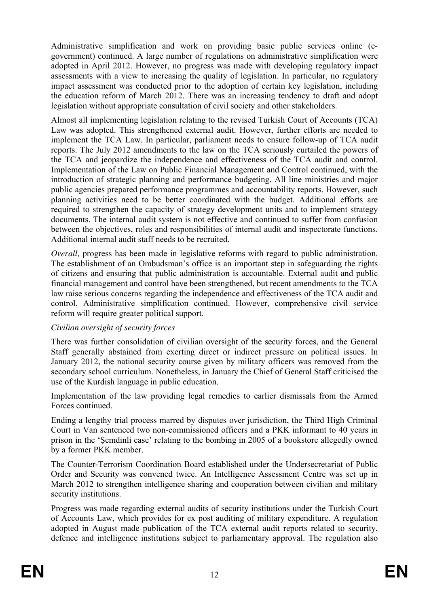Administrative simplification and work on providing basic public services online (egovernment) continued. A large number of regulations on administrative simplification were adopted in April 2012. However, no progress was made with developing regulatory impact assessments with a view to increasing the quality of legislation. In particular, no regulatory impact assessment was conducted prior to the adoption of certain key legislation, including the education reform of March 2012. There was an increasing tendency to draft and adopt legislation without appropriate consultation of civil society and other stakeholders.

Almost all implementing legislation relating to the revised Turkish Court of Accounts (TCA) Law was adopted. This strengthened external audit. However, further efforts are needed to implement the TCA Law. In particular, parliament needs to ensure follow-up of TCA audit reports. The July 2012 amendments to the law on the TCA seriously curtailed the powers of the TCA and jeopardize the independence and effectiveness of the TCA audit and control. Implementation of the Law on Public Financial Management and Control continued, with the introduction of strategic planning and performance budgeting. All line ministries and major public agencies prepared performance programmes and accountability reports. However, such planning activities need to be better coordinated with the budget. Additional efforts are required to strengthen the capacity of strategy development units and to implement strategy documents. The internal audit system is not effective and continued to suffer from confusion between the objectives, roles and responsibilities of internal audit and inspectorate functions. Additional internal audit staff needs to be recruited.

*Overall*, progress has been made in legislative reforms with regard to public administration. The establishment of an Ombudsman's office is an important step in safeguarding the rights of citizens and ensuring that public administration is accountable. External audit and public financial management and control have been strengthened, but recent amendments to the TCA law raise serious concerns regarding the independence and effectiveness of the TCA audit and control. Administrative simplification continued. However, comprehensive civil service reform will require greater political support.

## *Civilian oversight of security forces*

There was further consolidation of civilian oversight of the security forces, and the General Staff generally abstained from exerting direct or indirect pressure on political issues. In January 2012, the national security course given by military officers was removed from the secondary school curriculum. Nonetheless, in January the Chief of General Staff criticised the use of the Kurdish language in public education.

Implementation of the law providing legal remedies to earlier dismissals from the Armed Forces continued.

Ending a lengthy trial process marred by disputes over jurisdiction, the Third High Criminal Court in Van sentenced two non-commissioned officers and a PKK informant to 40 years in prison in the 'Semdinli case' relating to the bombing in 2005 of a bookstore allegedly owned by a former PKK member.

The Counter-Terrorism Coordination Board established under the Undersecretariat of Public Order and Security was convened twice. An Intelligence Assessment Centre was set up in March 2012 to strengthen intelligence sharing and cooperation between civilian and military security institutions.

Progress was made regarding external audits of security institutions under the Turkish Court of Accounts Law, which provides for ex post auditing of military expenditure. A regulation adopted in August made publication of the TCA external audit reports related to security, defence and intelligence institutions subject to parliamentary approval. The regulation also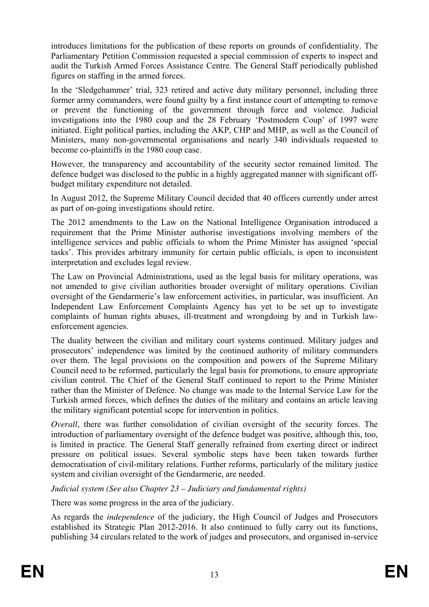introduces limitations for the publication of these reports on grounds of confidentiality. The Parliamentary Petition Commission requested a special commission of experts to inspect and audit the Turkish Armed Forces Assistance Centre. The General Staff periodically published figures on staffing in the armed forces.

In the 'Sledgehammer' trial, 323 retired and active duty military personnel, including three former army commanders, were found guilty by a first instance court of attempting to remove or prevent the functioning of the government through force and violence. Judicial investigations into the 1980 coup and the 28 February 'Postmodern Coup' of 1997 were initiated. Eight political parties, including the AKP, CHP and MHP, as well as the Council of Ministers, many non-governmental organisations and nearly 340 individuals requested to become co-plaintiffs in the 1980 coup case.

However, the transparency and accountability of the security sector remained limited. The defence budget was disclosed to the public in a highly aggregated manner with significant offbudget military expenditure not detailed.

In August 2012, the Supreme Military Council decided that 40 officers currently under arrest as part of on-going investigations should retire.

The 2012 amendments to the Law on the National Intelligence Organisation introduced a requirement that the Prime Minister authorise investigations involving members of the intelligence services and public officials to whom the Prime Minister has assigned 'special tasks'. This provides arbitrary immunity for certain public officials, is open to inconsistent interpretation and excludes legal review.

The Law on Provincial Administrations, used as the legal basis for military operations, was not amended to give civilian authorities broader oversight of military operations. Civilian oversight of the Gendarmerie's law enforcement activities, in particular, was insufficient. An Independent Law Enforcement Complaints Agency has yet to be set up to investigate complaints of human rights abuses, ill-treatment and wrongdoing by and in Turkish lawenforcement agencies.

The duality between the civilian and military court systems continued. Military judges and prosecutors' independence was limited by the continued authority of military commanders over them. The legal provisions on the composition and powers of the Supreme Military Council need to be reformed, particularly the legal basis for promotions, to ensure appropriate civilian control. The Chief of the General Staff continued to report to the Prime Minister rather than the Minister of Defence. No change was made to the Internal Service Law for the Turkish armed forces, which defines the duties of the military and contains an article leaving the military significant potential scope for intervention in politics.

*Overall*, there was further consolidation of civilian oversight of the security forces. The introduction of parliamentary oversight of the defence budget was positive, although this, too, is limited in practice. The General Staff generally refrained from exerting direct or indirect pressure on political issues. Several symbolic steps have been taken towards further democratisation of civil-military relations. Further reforms, particularly of the military justice system and civilian oversight of the Gendarmerie, are needed.

*Judicial system (See also Chapter 23 – Judiciary and fundamental rights)* 

There was some progress in the area of the judiciary.

As regards the *independence* of the judiciary, the High Council of Judges and Prosecutors established its Strategic Plan 2012-2016. It also continued to fully carry out its functions, publishing 34 circulars related to the work of judges and prosecutors, and organised in-service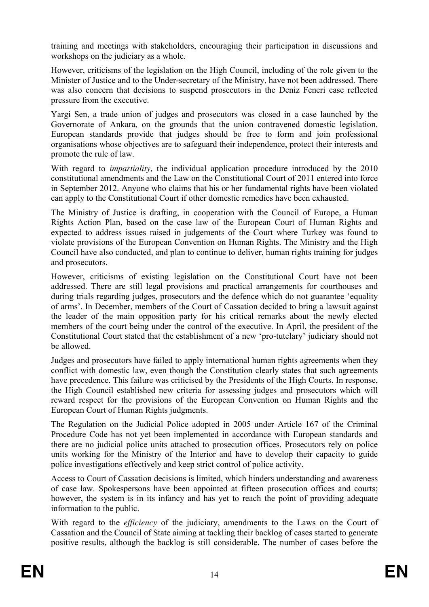training and meetings with stakeholders, encouraging their participation in discussions and workshops on the judiciary as a whole.

However, criticisms of the legislation on the High Council, including of the role given to the Minister of Justice and to the Under-secretary of the Ministry, have not been addressed. There was also concern that decisions to suspend prosecutors in the Deniz Feneri case reflected pressure from the executive.

Yargi Sen, a trade union of judges and prosecutors was closed in a case launched by the Governorate of Ankara, on the grounds that the union contravened domestic legislation. European standards provide that judges should be free to form and join professional organisations whose objectives are to safeguard their independence, protect their interests and promote the rule of law.

With regard to *impartiality,* the individual application procedure introduced by the 2010 constitutional amendments and the Law on the Constitutional Court of 2011 entered into force in September 2012. Anyone who claims that his or her fundamental rights have been violated can apply to the Constitutional Court if other domestic remedies have been exhausted.

The Ministry of Justice is drafting, in cooperation with the Council of Europe, a Human Rights Action Plan, based on the case law of the European Court of Human Rights and expected to address issues raised in judgements of the Court where Turkey was found to violate provisions of the European Convention on Human Rights. The Ministry and the High Council have also conducted, and plan to continue to deliver, human rights training for judges and prosecutors.

However, criticisms of existing legislation on the Constitutional Court have not been addressed. There are still legal provisions and practical arrangements for courthouses and during trials regarding judges, prosecutors and the defence which do not guarantee 'equality of arms'. In December, members of the Court of Cassation decided to bring a lawsuit against the leader of the main opposition party for his critical remarks about the newly elected members of the court being under the control of the executive. In April, the president of the Constitutional Court stated that the establishment of a new 'pro-tutelary' judiciary should not be allowed.

Judges and prosecutors have failed to apply international human rights agreements when they conflict with domestic law, even though the Constitution clearly states that such agreements have precedence. This failure was criticised by the Presidents of the High Courts. In response, the High Council established new criteria for assessing judges and prosecutors which will reward respect for the provisions of the European Convention on Human Rights and the European Court of Human Rights judgments.

The Regulation on the Judicial Police adopted in 2005 under Article 167 of the Criminal Procedure Code has not yet been implemented in accordance with European standards and there are no judicial police units attached to prosecution offices. Prosecutors rely on police units working for the Ministry of the Interior and have to develop their capacity to guide police investigations effectively and keep strict control of police activity.

Access to Court of Cassation decisions is limited, which hinders understanding and awareness of case law. Spokespersons have been appointed at fifteen prosecution offices and courts; however, the system is in its infancy and has yet to reach the point of providing adequate information to the public.

With regard to the *efficiency* of the judiciary, amendments to the Laws on the Court of Cassation and the Council of State aiming at tackling their backlog of cases started to generate positive results, although the backlog is still considerable. The number of cases before the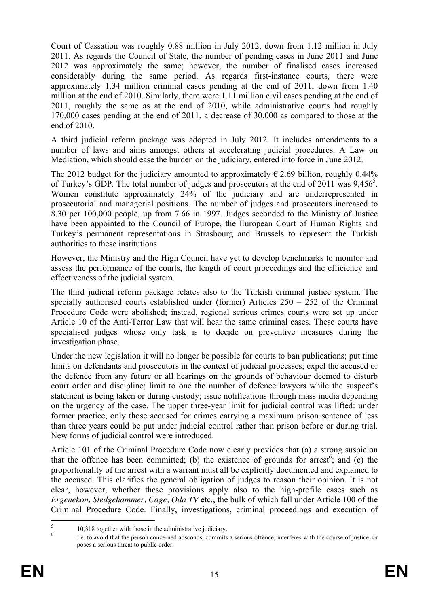Court of Cassation was roughly 0.88 million in July 2012, down from 1.12 million in July 2011. As regards the Council of State, the number of pending cases in June 2011 and June 2012 was approximately the same; however, the number of finalised cases increased considerably during the same period. As regards first-instance courts, there were approximately 1.34 million criminal cases pending at the end of 2011, down from 1.40 million at the end of 2010. Similarly, there were 1.11 million civil cases pending at the end of 2011, roughly the same as at the end of 2010, while administrative courts had roughly 170,000 cases pending at the end of 2011, a decrease of 30,000 as compared to those at the end of 2010.

A third judicial reform package was adopted in July 2012. It includes amendments to a number of laws and aims amongst others at accelerating judicial procedures. A Law on Mediation, which should ease the burden on the judiciary, entered into force in June 2012.

The 2012 budget for the judiciary amounted to approximately  $\epsilon$  2.69 billion, roughly 0.44% of Turkey's GDP. The total number of judges and prosecutors at the end of 2011 was 9,456<sup>5</sup>. Women constitute approximately 24% of the judiciary and are underrepresented in prosecutorial and managerial positions. The number of judges and prosecutors increased to 8.30 per 100,000 people, up from 7.66 in 1997. Judges seconded to the Ministry of Justice have been appointed to the Council of Europe, the European Court of Human Rights and Turkey's permanent representations in Strasbourg and Brussels to represent the Turkish authorities to these institutions.

However, the Ministry and the High Council have yet to develop benchmarks to monitor and assess the performance of the courts, the length of court proceedings and the efficiency and effectiveness of the judicial system.

The third judicial reform package relates also to the Turkish criminal justice system. The specially authorised courts established under (former) Articles 250 – 252 of the Criminal Procedure Code were abolished; instead, regional serious crimes courts were set up under Article 10 of the Anti-Terror Law that will hear the same criminal cases. These courts have specialised judges whose only task is to decide on preventive measures during the investigation phase.

Under the new legislation it will no longer be possible for courts to ban publications; put time limits on defendants and prosecutors in the context of judicial processes; expel the accused or the defence from any future or all hearings on the grounds of behaviour deemed to disturb court order and discipline; limit to one the number of defence lawyers while the suspect's statement is being taken or during custody; issue notifications through mass media depending on the urgency of the case. The upper three-year limit for judicial control was lifted: under former practice, only those accused for crimes carrying a maximum prison sentence of less than three years could be put under judicial control rather than prison before or during trial. New forms of judicial control were introduced.

Article 101 of the Criminal Procedure Code now clearly provides that (a) a strong suspicion that the offence has been committed; (b) the existence of grounds for arrest<sup>6</sup>; and (c) the proportionality of the arrest with a warrant must all be explicitly documented and explained to the accused. This clarifies the general obligation of judges to reason their opinion. It is not clear, however, whether these provisions apply also to the high-profile cases such as *Ergenekon, Sledgehammer, Cage, Oda TV* etc., the bulk of which fall under Article 100 of the Criminal Procedure Code. Finally, investigations, criminal proceedings and execution of

 $\frac{1}{5}$ 

<sup>&</sup>lt;sup>3</sup> 10,318 together with those in the administrative judiciary.<br><sup>6</sup> I.e. to avoid that the person concerned absconds, commits a serious offence, interferes with the course of justice, or poses a serious threat to public order.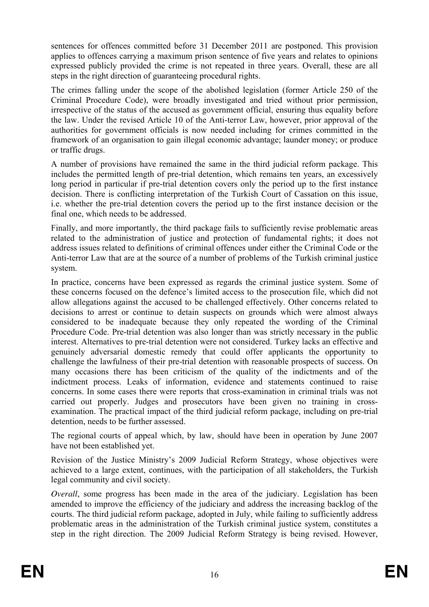sentences for offences committed before 31 December 2011 are postponed. This provision applies to offences carrying a maximum prison sentence of five years and relates to opinions expressed publicly provided the crime is not repeated in three years. Overall, these are all steps in the right direction of guaranteeing procedural rights.

The crimes falling under the scope of the abolished legislation (former Article 250 of the Criminal Procedure Code), were broadly investigated and tried without prior permission, irrespective of the status of the accused as government official, ensuring thus equality before the law. Under the revised Article 10 of the Anti-terror Law, however, prior approval of the authorities for government officials is now needed including for crimes committed in the framework of an organisation to gain illegal economic advantage; launder money; or produce or traffic drugs.

A number of provisions have remained the same in the third judicial reform package. This includes the permitted length of pre-trial detention, which remains ten years, an excessively long period in particular if pre-trial detention covers only the period up to the first instance decision. There is conflicting interpretation of the Turkish Court of Cassation on this issue, i.e. whether the pre-trial detention covers the period up to the first instance decision or the final one, which needs to be addressed.

Finally, and more importantly, the third package fails to sufficiently revise problematic areas related to the administration of justice and protection of fundamental rights; it does not address issues related to definitions of criminal offences under either the Criminal Code or the Anti-terror Law that are at the source of a number of problems of the Turkish criminal justice system.

In practice, concerns have been expressed as regards the criminal justice system. Some of these concerns focused on the defence's limited access to the prosecution file, which did not allow allegations against the accused to be challenged effectively. Other concerns related to decisions to arrest or continue to detain suspects on grounds which were almost always considered to be inadequate because they only repeated the wording of the Criminal Procedure Code. Pre-trial detention was also longer than was strictly necessary in the public interest. Alternatives to pre-trial detention were not considered. Turkey lacks an effective and genuinely adversarial domestic remedy that could offer applicants the opportunity to challenge the lawfulness of their pre-trial detention with reasonable prospects of success. On many occasions there has been criticism of the quality of the indictments and of the indictment process. Leaks of information, evidence and statements continued to raise concerns. In some cases there were reports that cross-examination in criminal trials was not carried out properly. Judges and prosecutors have been given no training in crossexamination. The practical impact of the third judicial reform package, including on pre-trial detention, needs to be further assessed.

The regional courts of appeal which, by law, should have been in operation by June 2007 have not been established yet.

Revision of the Justice Ministry's 2009 Judicial Reform Strategy, whose objectives were achieved to a large extent, continues, with the participation of all stakeholders, the Turkish legal community and civil society.

*Overall*, some progress has been made in the area of the judiciary. Legislation has been amended to improve the efficiency of the judiciary and address the increasing backlog of the courts. The third judicial reform package, adopted in July, while failing to sufficiently address problematic areas in the administration of the Turkish criminal justice system, constitutes a step in the right direction. The 2009 Judicial Reform Strategy is being revised. However,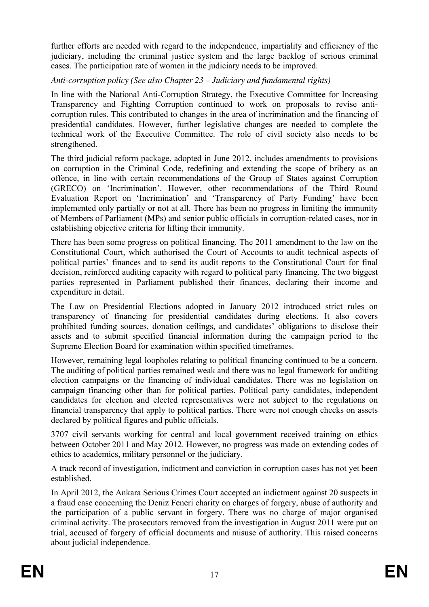further efforts are needed with regard to the independence, impartiality and efficiency of the judiciary, including the criminal justice system and the large backlog of serious criminal cases. The participation rate of women in the judiciary needs to be improved.

*Anti-corruption policy (See also Chapter 23 – Judiciary and fundamental rights)* 

In line with the National Anti-Corruption Strategy, the Executive Committee for Increasing Transparency and Fighting Corruption continued to work on proposals to revise anticorruption rules. This contributed to changes in the area of incrimination and the financing of presidential candidates. However, further legislative changes are needed to complete the technical work of the Executive Committee. The role of civil society also needs to be strengthened.

The third judicial reform package, adopted in June 2012, includes amendments to provisions on corruption in the Criminal Code, redefining and extending the scope of bribery as an offence, in line with certain recommendations of the Group of States against Corruption (GRECO) on 'Incrimination'. However, other recommendations of the Third Round Evaluation Report on 'Incrimination' and 'Transparency of Party Funding' have been implemented only partially or not at all. There has been no progress in limiting the immunity of Members of Parliament (MPs) and senior public officials in corruption-related cases, nor in establishing objective criteria for lifting their immunity.

There has been some progress on political financing. The 2011 amendment to the law on the Constitutional Court, which authorised the Court of Accounts to audit technical aspects of political parties' finances and to send its audit reports to the Constitutional Court for final decision, reinforced auditing capacity with regard to political party financing. The two biggest parties represented in Parliament published their finances, declaring their income and expenditure in detail.

The Law on Presidential Elections adopted in January 2012 introduced strict rules on transparency of financing for presidential candidates during elections. It also covers prohibited funding sources, donation ceilings, and candidates' obligations to disclose their assets and to submit specified financial information during the campaign period to the Supreme Election Board for examination within specified timeframes.

However, remaining legal loopholes relating to political financing continued to be a concern. The auditing of political parties remained weak and there was no legal framework for auditing election campaigns or the financing of individual candidates. There was no legislation on campaign financing other than for political parties. Political party candidates, independent candidates for election and elected representatives were not subject to the regulations on financial transparency that apply to political parties. There were not enough checks on assets declared by political figures and public officials.

3707 civil servants working for central and local government received training on ethics between October 2011 and May 2012. However, no progress was made on extending codes of ethics to academics, military personnel or the judiciary.

A track record of investigation, indictment and conviction in corruption cases has not yet been established.

In April 2012, the Ankara Serious Crimes Court accepted an indictment against 20 suspects in a fraud case concerning the Deniz Feneri charity on charges of forgery, abuse of authority and the participation of a public servant in forgery. There was no charge of major organised criminal activity. The prosecutors removed from the investigation in August 2011 were put on trial, accused of forgery of official documents and misuse of authority. This raised concerns about judicial independence.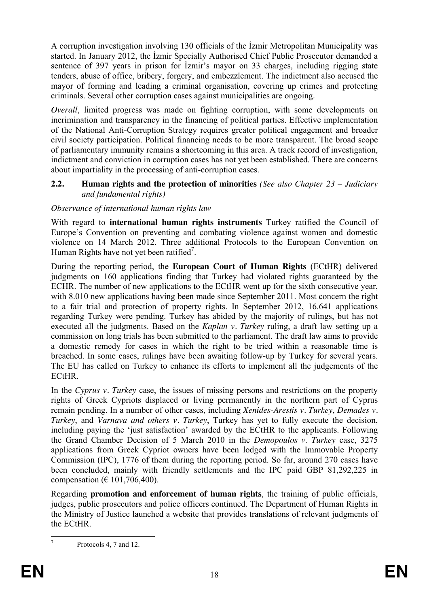A corruption investigation involving 130 officials of the Izmir Metropolitan Municipality was started. In January 2012, the İzmir Specially Authorised Chief Public Prosecutor demanded a sentence of 397 years in prison for *lzmir's mayor* on 33 charges, including rigging state tenders, abuse of office, bribery, forgery, and embezzlement. The indictment also accused the mayor of forming and leading a criminal organisation, covering up crimes and protecting criminals. Several other corruption cases against municipalities are ongoing.

*Overall*, limited progress was made on fighting corruption, with some developments on incrimination and transparency in the financing of political parties. Effective implementation of the National Anti-Corruption Strategy requires greater political engagement and broader civil society participation. Political financing needs to be more transparent. The broad scope of parliamentary immunity remains a shortcoming in this area. A track record of investigation, indictment and conviction in corruption cases has not yet been established. There are concerns about impartiality in the processing of anti-corruption cases.

#### <span id="page-17-0"></span>**2.2. Human rights and the protection of minorities** *(See also Chapter 23 – Judiciary and fundamental rights)*

## *Observance of international human rights law*

With regard to **international human rights instruments** Turkey ratified the Council of Europe's Convention on preventing and combating violence against women and domestic violence on 14 March 2012. Three additional Protocols to the European Convention on Human Rights have not yet been ratified<sup>7</sup>.

During the reporting period, the **European Court of Human Rights** (ECtHR) delivered judgments on 160 applications finding that Turkey had violated rights guaranteed by the ECHR. The number of new applications to the ECtHR went up for the sixth consecutive year, with 8.010 new applications having been made since September 2011. Most concern the right to a fair trial and protection of property rights. In September 2012, 16.641 applications regarding Turkey were pending. Turkey has abided by the majority of rulings, but has not executed all the judgments. Based on the *Kaplan v. Turkey* ruling, a draft law setting up a commission on long trials has been submitted to the parliament. The draft law aims to provide a domestic remedy for cases in which the right to be tried within a reasonable time is breached. In some cases, rulings have been awaiting follow-up by Turkey for several years. The EU has called on Turkey to enhance its efforts to implement all the judgements of the ECtHR.

In the *Cyprus v. Turkey* case, the issues of missing persons and restrictions on the property rights of Greek Cypriots displaced or living permanently in the northern part of Cyprus remain pending. In a number of other cases, including *Xenides-Arestis v. Turkey*, *Demades v. Turkey*, and *Varnava and others v. Turkey*, Turkey has yet to fully execute the decision, including paying the 'just satisfaction' awarded by the ECtHR to the applicants. Following the Grand Chamber Decision of 5 March 2010 in the *Demopoulos v. Turkey* case, 3275 applications from Greek Cypriot owners have been lodged with the Immovable Property Commission (IPC), 1776 of them during the reporting period. So far, around 270 cases have been concluded, mainly with friendly settlements and the IPC paid GBP 81,292,225 in compensation ( $€ 101,706,400$ ).

Regarding **promotion and enforcement of human rights**, the training of public officials, judges, public prosecutors and police officers continued. The Department of Human Rights in the Ministry of Justice launched a website that provides translations of relevant judgments of the ECtHR.

1 7

Protocols 4, 7 and 12.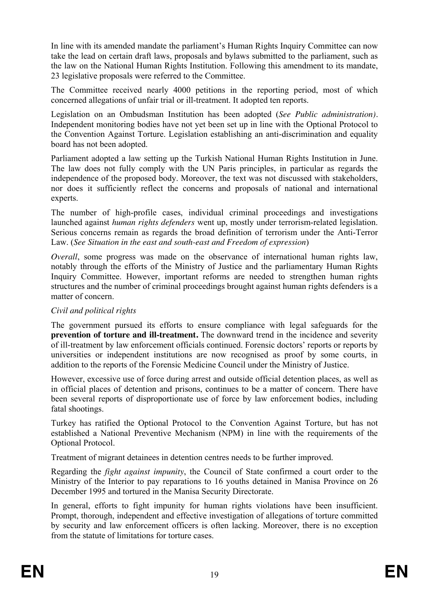In line with its amended mandate the parliament's Human Rights Inquiry Committee can now take the lead on certain draft laws, proposals and bylaws submitted to the parliament, such as the law on the National Human Rights Institution. Following this amendment to its mandate, 23 legislative proposals were referred to the Committee.

The Committee received nearly 4000 petitions in the reporting period, most of which concerned allegations of unfair trial or ill-treatment. It adopted ten reports.

Legislation on an Ombudsman Institution has been adopted (*See Public administration).* Independent monitoring bodies have not yet been set up in line with the Optional Protocol to the Convention Against Torture. Legislation establishing an anti-discrimination and equality board has not been adopted.

Parliament adopted a law setting up the Turkish National Human Rights Institution in June. The law does not fully comply with the UN Paris principles, in particular as regards the independence of the proposed body. Moreover, the text was not discussed with stakeholders, nor does it sufficiently reflect the concerns and proposals of national and international experts.

The number of high-profile cases, individual criminal proceedings and investigations launched against *human rights defenders* went up, mostly under terrorism-related legislation. Serious concerns remain as regards the broad definition of terrorism under the Anti-Terror Law. (*See Situation in the east and south-east and Freedom of expression*)

*Overall*, some progress was made on the observance of international human rights law, notably through the efforts of the Ministry of Justice and the parliamentary Human Rights Inquiry Committee. However, important reforms are needed to strengthen human rights structures and the number of criminal proceedings brought against human rights defenders is a matter of concern.

## *Civil and political rights*

The government pursued its efforts to ensure compliance with legal safeguards for the **prevention of torture and ill-treatment.** The downward trend in the incidence and severity of ill-treatment by law enforcement officials continued. Forensic doctors' reports or reports by universities or independent institutions are now recognised as proof by some courts, in addition to the reports of the Forensic Medicine Council under the Ministry of Justice.

However, excessive use of force during arrest and outside official detention places, as well as in official places of detention and prisons, continues to be a matter of concern. There have been several reports of disproportionate use of force by law enforcement bodies, including fatal shootings.

Turkey has ratified the Optional Protocol to the Convention Against Torture, but has not established a National Preventive Mechanism (NPM) in line with the requirements of the Optional Protocol.

Treatment of migrant detainees in detention centres needs to be further improved.

Regarding the *fight against impunity*, the Council of State confirmed a court order to the Ministry of the Interior to pay reparations to 16 youths detained in Manisa Province on 26 December 1995 and tortured in the Manisa Security Directorate.

In general, efforts to fight impunity for human rights violations have been insufficient. Prompt, thorough, independent and effective investigation of allegations of torture committed by security and law enforcement officers is often lacking. Moreover, there is no exception from the statute of limitations for torture cases.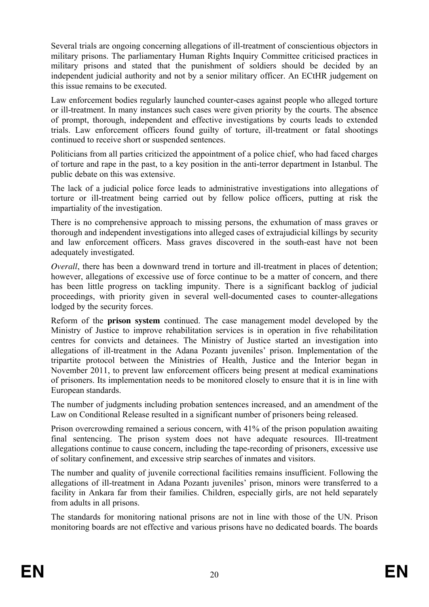Several trials are ongoing concerning allegations of ill-treatment of conscientious objectors in military prisons. The parliamentary Human Rights Inquiry Committee criticised practices in military prisons and stated that the punishment of soldiers should be decided by an independent judicial authority and not by a senior military officer. An ECtHR judgement on this issue remains to be executed.

Law enforcement bodies regularly launched counter-cases against people who alleged torture or ill-treatment. In many instances such cases were given priority by the courts. The absence of prompt, thorough, independent and effective investigations by courts leads to extended trials. Law enforcement officers found guilty of torture, ill-treatment or fatal shootings continued to receive short or suspended sentences.

Politicians from all parties criticized the appointment of a police chief, who had faced charges of torture and rape in the past, to a key position in the anti-terror department in Istanbul. The public debate on this was extensive.

The lack of a judicial police force leads to administrative investigations into allegations of torture or ill-treatment being carried out by fellow police officers, putting at risk the impartiality of the investigation.

There is no comprehensive approach to missing persons, the exhumation of mass graves or thorough and independent investigations into alleged cases of extrajudicial killings by security and law enforcement officers. Mass graves discovered in the south-east have not been adequately investigated.

*Overall*, there has been a downward trend in torture and ill-treatment in places of detention; however, allegations of excessive use of force continue to be a matter of concern, and there has been little progress on tackling impunity. There is a significant backlog of judicial proceedings, with priority given in several well-documented cases to counter-allegations lodged by the security forces.

Reform of the **prison system** continued. The case management model developed by the Ministry of Justice to improve rehabilitation services is in operation in five rehabilitation centres for convicts and detainees. The Ministry of Justice started an investigation into allegations of ill-treatment in the Adana Pozantı juveniles' prison. Implementation of the tripartite protocol between the Ministries of Health, Justice and the Interior began in November 2011, to prevent law enforcement officers being present at medical examinations of prisoners. Its implementation needs to be monitored closely to ensure that it is in line with European standards.

The number of judgments including probation sentences increased, and an amendment of the Law on Conditional Release resulted in a significant number of prisoners being released.

Prison overcrowding remained a serious concern, with 41% of the prison population awaiting final sentencing. The prison system does not have adequate resources. Ill-treatment allegations continue to cause concern, including the tape-recording of prisoners, excessive use of solitary confinement, and excessive strip searches of inmates and visitors.

The number and quality of juvenile correctional facilities remains insufficient. Following the allegations of ill-treatment in Adana Pozantı juveniles' prison, minors were transferred to a facility in Ankara far from their families. Children, especially girls, are not held separately from adults in all prisons.

The standards for monitoring national prisons are not in line with those of the UN. Prison monitoring boards are not effective and various prisons have no dedicated boards. The boards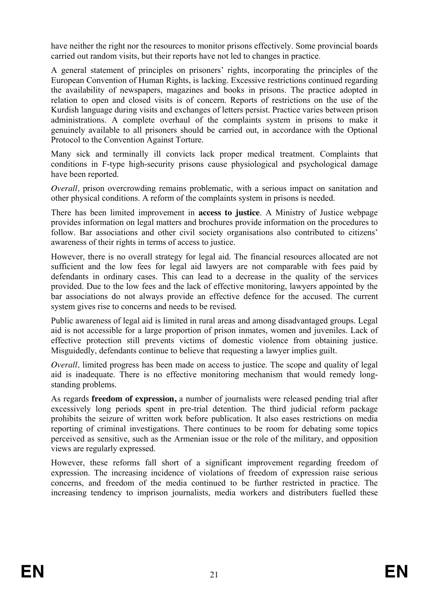have neither the right nor the resources to monitor prisons effectively. Some provincial boards carried out random visits, but their reports have not led to changes in practice.

A general statement of principles on prisoners' rights, incorporating the principles of the European Convention of Human Rights, is lacking. Excessive restrictions continued regarding the availability of newspapers, magazines and books in prisons. The practice adopted in relation to open and closed visits is of concern. Reports of restrictions on the use of the Kurdish language during visits and exchanges of letters persist. Practice varies between prison administrations. A complete overhaul of the complaints system in prisons to make it genuinely available to all prisoners should be carried out, in accordance with the Optional Protocol to the Convention Against Torture.

Many sick and terminally ill convicts lack proper medical treatment. Complaints that conditions in F-type high-security prisons cause physiological and psychological damage have been reported.

*Overall, prison overcrowding remains problematic, with a serious impact on sanitation and* other physical conditions. A reform of the complaints system in prisons is needed.

There has been limited improvement in **access to justice**. A Ministry of Justice webpage provides information on legal matters and brochures provide information on the procedures to follow. Bar associations and other civil society organisations also contributed to citizens' awareness of their rights in terms of access to justice.

However, there is no overall strategy for legal aid. The financial resources allocated are not sufficient and the low fees for legal aid lawyers are not comparable with fees paid by defendants in ordinary cases. This can lead to a decrease in the quality of the services provided. Due to the low fees and the lack of effective monitoring, lawyers appointed by the bar associations do not always provide an effective defence for the accused. The current system gives rise to concerns and needs to be revised.

Public awareness of legal aid is limited in rural areas and among disadvantaged groups. Legal aid is not accessible for a large proportion of prison inmates, women and juveniles. Lack of effective protection still prevents victims of domestic violence from obtaining justice. Misguidedly, defendants continue to believe that requesting a lawyer implies guilt.

*Overall*, limited progress has been made on access to justice. The scope and quality of legal aid is inadequate. There is no effective monitoring mechanism that would remedy longstanding problems.

As regards **freedom of expression,** a number of journalists were released pending trial after excessively long periods spent in pre-trial detention. The third judicial reform package prohibits the seizure of written work before publication. It also eases restrictions on media reporting of criminal investigations. There continues to be room for debating some topics perceived as sensitive, such as the Armenian issue or the role of the military, and opposition views are regularly expressed.

However, these reforms fall short of a significant improvement regarding freedom of expression. The increasing incidence of violations of freedom of expression raise serious concerns, and freedom of the media continued to be further restricted in practice. The increasing tendency to imprison journalists, media workers and distributers fuelled these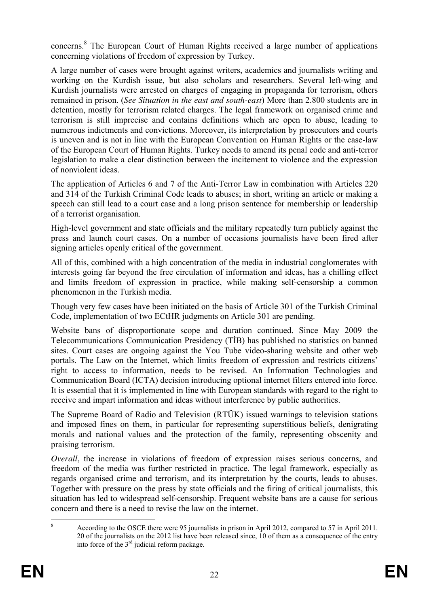concerns.<sup>8</sup> The European Court of Human Rights received a large number of applications concerning violations of freedom of expression by Turkey.

A large number of cases were brought against writers, academics and journalists writing and working on the Kurdish issue, but also scholars and researchers. Several left-wing and Kurdish journalists were arrested on charges of engaging in propaganda for terrorism, others remained in prison. (*See Situation in the east and south-east*) More than 2.800 students are in detention, mostly for terrorism related charges. The legal framework on organised crime and terrorism is still imprecise and contains definitions which are open to abuse, leading to numerous indictments and convictions. Moreover, its interpretation by prosecutors and courts is uneven and is not in line with the European Convention on Human Rights or the case-law of the European Court of Human Rights. Turkey needs to amend its penal code and anti-terror legislation to make a clear distinction between the incitement to violence and the expression of nonviolent ideas.

The application of Articles 6 and 7 of the Anti-Terror Law in combination with Articles 220 and 314 of the Turkish Criminal Code leads to abuses; in short, writing an article or making a speech can still lead to a court case and a long prison sentence for membership or leadership of a terrorist organisation.

High-level government and state officials and the military repeatedly turn publicly against the press and launch court cases. On a number of occasions journalists have been fired after signing articles openly critical of the government.

All of this, combined with a high concentration of the media in industrial conglomerates with interests going far beyond the free circulation of information and ideas, has a chilling effect and limits freedom of expression in practice, while making self-censorship a common phenomenon in the Turkish media.

Though very few cases have been initiated on the basis of Article 301 of the Turkish Criminal Code, implementation of two ECtHR judgments on Article 301 are pending.

Website bans of disproportionate scope and duration continued. Since May 2009 the Telecommunications Communication Presidency (TIB) has published no statistics on banned sites. Court cases are ongoing against the You Tube video-sharing website and other web portals. The Law on the Internet, which limits freedom of expression and restricts citizens' right to access to information, needs to be revised. An Information Technologies and Communication Board (ICTA) decision introducing optional internet filters entered into force. It is essential that it is implemented in line with European standards with regard to the right to receive and impart information and ideas without interference by public authorities.

The Supreme Board of Radio and Television (RTÜK) issued warnings to television stations and imposed fines on them, in particular for representing superstitious beliefs, denigrating morals and national values and the protection of the family, representing obscenity and praising terrorism.

*Overall*, the increase in violations of freedom of expression raises serious concerns, and freedom of the media was further restricted in practice. The legal framework, especially as regards organised crime and terrorism, and its interpretation by the courts, leads to abuses. Together with pressure on the press by state officials and the firing of critical journalists, this situation has led to widespread self-censorship. Frequent website bans are a cause for serious concern and there is a need to revise the law on the internet.

<sup>1</sup> 8 According to the OSCE there were 95 journalists in prison in April 2012, compared to 57 in April 2011. 20 of the journalists on the 2012 list have been released since, 10 of them as a consequence of the entry into force of the 3rd judicial reform package.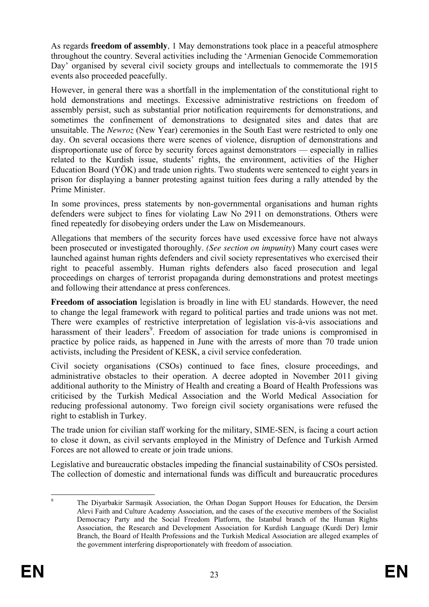As regards **freedom of assembly***,* 1 May demonstrations took place in a peaceful atmosphere throughout the country. Several activities including the 'Armenian Genocide Commemoration Day' organised by several civil society groups and intellectuals to commemorate the 1915 events also proceeded peacefully.

However, in general there was a shortfall in the implementation of the constitutional right to hold demonstrations and meetings. Excessive administrative restrictions on freedom of assembly persist, such as substantial prior notification requirements for demonstrations, and sometimes the confinement of demonstrations to designated sites and dates that are unsuitable. The *Newroz* (New Year) ceremonies in the South East were restricted to only one day. On several occasions there were scenes of violence, disruption of demonstrations and disproportionate use of force by security forces against demonstrators — especially in rallies related to the Kurdish issue, students' rights, the environment, activities of the Higher Education Board (YÖK) and trade union rights. Two students were sentenced to eight years in prison for displaying a banner protesting against tuition fees during a rally attended by the Prime Minister.

In some provinces, press statements by non-governmental organisations and human rights defenders were subject to fines for violating Law No 2911 on demonstrations. Others were fined repeatedly for disobeying orders under the Law on Misdemeanours.

Allegations that members of the security forces have used excessive force have not always been prosecuted or investigated thoroughly. *(See section on impunity*) Many court cases were launched against human rights defenders and civil society representatives who exercised their right to peaceful assembly. Human rights defenders also faced prosecution and legal proceedings on charges of terrorist propaganda during demonstrations and protest meetings and following their attendance at press conferences.

**Freedom of association** legislation is broadly in line with EU standards. However, the need to change the legal framework with regard to political parties and trade unions was not met. There were examples of restrictive interpretation of legislation vis-à-vis associations and harassment of their leaders<sup>9</sup>. Freedom of association for trade unions is compromised in practice by police raids, as happened in June with the arrests of more than 70 trade union activists, including the President of KESK, a civil service confederation.

Civil society organisations (CSOs) continued to face fines, closure proceedings, and administrative obstacles to their operation. A decree adopted in November 2011 giving additional authority to the Ministry of Health and creating a Board of Health Professions was criticised by the Turkish Medical Association and the World Medical Association for reducing professional autonomy. Two foreign civil society organisations were refused the right to establish in Turkey.

The trade union for civilian staff working for the military, SIME-SEN, is facing a court action to close it down, as civil servants employed in the Ministry of Defence and Turkish Armed Forces are not allowed to create or join trade unions.

Legislative and bureaucratic obstacles impeding the financial sustainability of CSOs persisted. The collection of domestic and international funds was difficult and bureaucratic procedures

<sup>-&</sup>lt;br>9 The Divarbakir Sarmasik Association, the Orhan Dogan Support Houses for Education, the Dersim Alevi Faith and Culture Academy Association, and the cases of the executive members of the Socialist Democracy Party and the Social Freedom Platform, the Istanbul branch of the Human Rights Association, the Research and Development Association for Kurdish Language (Kurdi Der) İzmir Branch, the Board of Health Professions and the Turkish Medical Association are alleged examples of the government interfering disproportionately with freedom of association.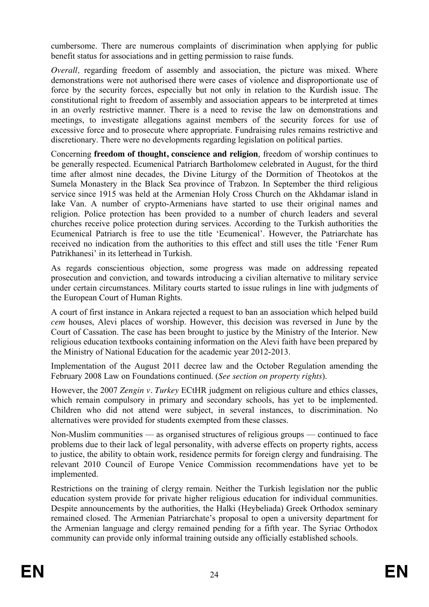cumbersome. There are numerous complaints of discrimination when applying for public benefit status for associations and in getting permission to raise funds.

*Overall*, regarding freedom of assembly and association, the picture was mixed. Where demonstrations were not authorised there were cases of violence and disproportionate use of force by the security forces, especially but not only in relation to the Kurdish issue. The constitutional right to freedom of assembly and association appears to be interpreted at times in an overly restrictive manner. There is a need to revise the law on demonstrations and meetings, to investigate allegations against members of the security forces for use of excessive force and to prosecute where appropriate. Fundraising rules remains restrictive and discretionary. There were no developments regarding legislation on political parties.

Concerning **freedom of thought, conscience and religion**, freedom of worship continues to be generally respected. Ecumenical Patriarch Bartholomew celebrated in August, for the third time after almost nine decades, the Divine Liturgy of the Dormition of Theotokos at the Sumela Monastery in the Black Sea province of Trabzon. In September the third religious service since 1915 was held at the Armenian Holy Cross Church on the Akhdamar island in lake Van. A number of crypto-Armenians have started to use their original names and religion. Police protection has been provided to a number of church leaders and several churches receive police protection during services. According to the Turkish authorities the Ecumenical Patriarch is free to use the title 'Ecumenical'. However, the Patriarchate has received no indication from the authorities to this effect and still uses the title 'Fener Rum Patrikhanesi' in its letterhead in Turkish.

As regards conscientious objection, some progress was made on addressing repeated prosecution and conviction, and towards introducing a civilian alternative to military service under certain circumstances. Military courts started to issue rulings in line with judgments of the European Court of Human Rights.

A court of first instance in Ankara rejected a request to ban an association which helped build *cem* houses, Alevi places of worship. However, this decision was reversed in June by the Court of Cassation. The case has been brought to justice by the Ministry of the Interior. New religious education textbooks containing information on the Alevi faith have been prepared by the Ministry of National Education for the academic year 2012-2013.

Implementation of the August 2011 decree law and the October Regulation amending the February 2008 Law on Foundations continued. (*See section on property rights*).

However, the 2007 *Zengin v. Turkey* ECtHR judgment on religious culture and ethics classes, which remain compulsory in primary and secondary schools, has yet to be implemented. Children who did not attend were subject, in several instances, to discrimination. No alternatives were provided for students exempted from these classes.

Non-Muslim communities — as organised structures of religious groups — continued to face problems due to their lack of legal personality, with adverse effects on property rights, access to justice, the ability to obtain work, residence permits for foreign clergy and fundraising. The relevant 2010 Council of Europe Venice Commission recommendations have yet to be implemented.

Restrictions on the training of clergy remain. Neither the Turkish legislation nor the public education system provide for private higher religious education for individual communities. Despite announcements by the authorities, the Halki (Heybeliada) Greek Orthodox seminary remained closed. The Armenian Patriarchate's proposal to open a university department for the Armenian language and clergy remained pending for a fifth year. The Syriac Orthodox community can provide only informal training outside any officially established schools.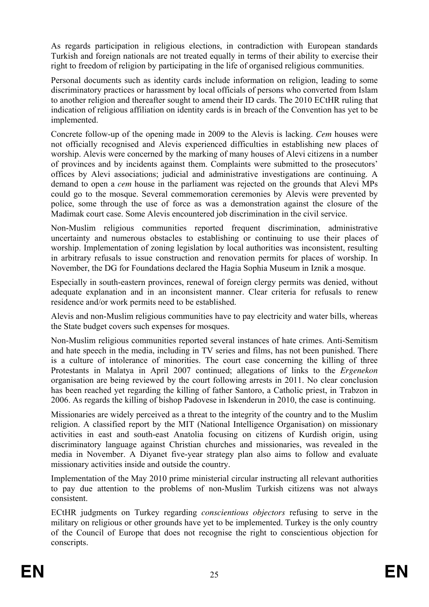As regards participation in religious elections, in contradiction with European standards Turkish and foreign nationals are not treated equally in terms of their ability to exercise their right to freedom of religion by participating in the life of organised religious communities.

Personal documents such as identity cards include information on religion, leading to some discriminatory practices or harassment by local officials of persons who converted from Islam to another religion and thereafter sought to amend their ID cards. The 2010 ECtHR ruling that indication of religious affiliation on identity cards is in breach of the Convention has yet to be implemented.

Concrete follow-up of the opening made in 2009 to the Alevis is lacking. *Cem* houses were not officially recognised and Alevis experienced difficulties in establishing new places of worship. Alevis were concerned by the marking of many houses of Alevi citizens in a number of provinces and by incidents against them. Complaints were submitted to the prosecutors' offices by Alevi associations; judicial and administrative investigations are continuing. A demand to open a *cem* house in the parliament was rejected on the grounds that Alevi MPs could go to the mosque. Several commemoration ceremonies by Alevis were prevented by police, some through the use of force as was a demonstration against the closure of the Madimak court case. Some Alevis encountered job discrimination in the civil service.

Non-Muslim religious communities reported frequent discrimination, administrative uncertainty and numerous obstacles to establishing or continuing to use their places of worship. Implementation of zoning legislation by local authorities was inconsistent, resulting in arbitrary refusals to issue construction and renovation permits for places of worship. In November, the DG for Foundations declared the Hagia Sophia Museum in Iznik a mosque.

Especially in south-eastern provinces, renewal of foreign clergy permits was denied, without adequate explanation and in an inconsistent manner. Clear criteria for refusals to renew residence and/or work permits need to be established.

Alevis and non-Muslim religious communities have to pay electricity and water bills, whereas the State budget covers such expenses for mosques.

Non-Muslim religious communities reported several instances of hate crimes. Anti-Semitism and hate speech in the media, including in TV series and films, has not been punished. There is a culture of intolerance of minorities. The court case concerning the killing of three Protestants in Malatya in April 2007 continued; allegations of links to the *Ergenekon* organisation are being reviewed by the court following arrests in 2011. No clear conclusion has been reached yet regarding the killing of father Santoro, a Catholic priest, in Trabzon in 2006. As regards the killing of bishop Padovese in Iskenderun in 2010, the case is continuing.

Missionaries are widely perceived as a threat to the integrity of the country and to the Muslim religion. A classified report by the MIT (National Intelligence Organisation) on missionary activities in east and south-east Anatolia focusing on citizens of Kurdish origin, using discriminatory language against Christian churches and missionaries, was revealed in the media in November. A Diyanet five-year strategy plan also aims to follow and evaluate missionary activities inside and outside the country.

Implementation of the May 2010 prime ministerial circular instructing all relevant authorities to pay due attention to the problems of non-Muslim Turkish citizens was not always consistent.

ECtHR judgments on Turkey regarding *conscientious objectors* refusing to serve in the military on religious or other grounds have yet to be implemented. Turkey is the only country of the Council of Europe that does not recognise the right to conscientious objection for conscripts.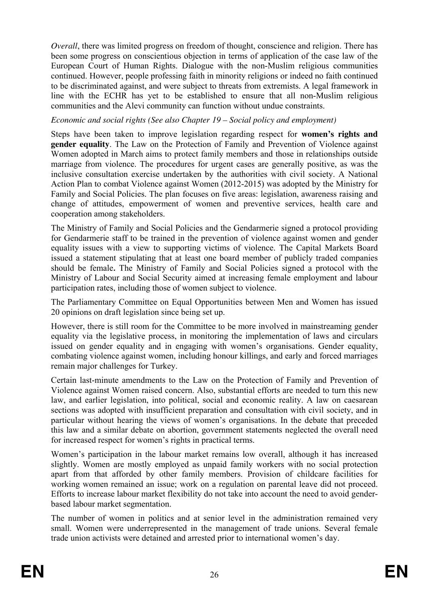*Overall*, there was limited progress on freedom of thought, conscience and religion. There has been some progress on conscientious objection in terms of application of the case law of the European Court of Human Rights. Dialogue with the non-Muslim religious communities continued. However, people professing faith in minority religions or indeed no faith continued to be discriminated against, and were subject to threats from extremists. A legal framework in line with the ECHR has yet to be established to ensure that all non-Muslim religious communities and the Alevi community can function without undue constraints.

#### *Economic and social rights (See also Chapter 19 – Social policy and employment)*

Steps have been taken to improve legislation regarding respect for **women's rights and gender equality**. The Law on the Protection of Family and Prevention of Violence against Women adopted in March aims to protect family members and those in relationships outside marriage from violence. The procedures for urgent cases are generally positive, as was the inclusive consultation exercise undertaken by the authorities with civil society. A National Action Plan to combat Violence against Women (2012-2015) was adopted by the Ministry for Family and Social Policies. The plan focuses on five areas: legislation, awareness raising and change of attitudes, empowerment of women and preventive services, health care and cooperation among stakeholders.

The Ministry of Family and Social Policies and the Gendarmerie signed a protocol providing for Gendarmerie staff to be trained in the prevention of violence against women and gender equality issues with a view to supporting victims of violence. The Capital Markets Board issued a statement stipulating that at least one board member of publicly traded companies should be female*.* The Ministry of Family and Social Policies signed a protocol with the Ministry of Labour and Social Security aimed at increasing female employment and labour participation rates, including those of women subject to violence.

The Parliamentary Committee on Equal Opportunities between Men and Women has issued 20 opinions on draft legislation since being set up.

However, there is still room for the Committee to be more involved in mainstreaming gender equality via the legislative process, in monitoring the implementation of laws and circulars issued on gender equality and in engaging with women's organisations. Gender equality, combating violence against women, including honour killings, and early and forced marriages remain major challenges for Turkey.

Certain last-minute amendments to the Law on the Protection of Family and Prevention of Violence against Women raised concern. Also, substantial efforts are needed to turn this new law, and earlier legislation, into political, social and economic reality. A law on caesarean sections was adopted with insufficient preparation and consultation with civil society, and in particular without hearing the views of women's organisations. In the debate that preceded this law and a similar debate on abortion, government statements neglected the overall need for increased respect for women's rights in practical terms.

Women's participation in the labour market remains low overall, although it has increased slightly. Women are mostly employed as unpaid family workers with no social protection apart from that afforded by other family members. Provision of childcare facilities for working women remained an issue; work on a regulation on parental leave did not proceed. Efforts to increase labour market flexibility do not take into account the need to avoid genderbased labour market segmentation.

The number of women in politics and at senior level in the administration remained very small. Women were underrepresented in the management of trade unions. Several female trade union activists were detained and arrested prior to international women's day.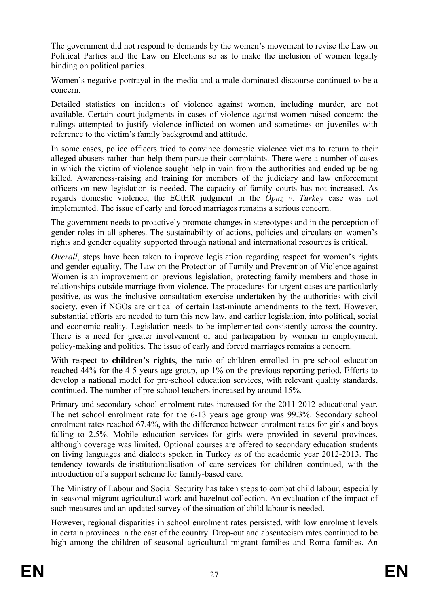The government did not respond to demands by the women's movement to revise the Law on Political Parties and the Law on Elections so as to make the inclusion of women legally binding on political parties.

Women's negative portrayal in the media and a male-dominated discourse continued to be a concern.

Detailed statistics on incidents of violence against women, including murder, are not available. Certain court judgments in cases of violence against women raised concern: the rulings attempted to justify violence inflicted on women and sometimes on juveniles with reference to the victim's family background and attitude.

In some cases, police officers tried to convince domestic violence victims to return to their alleged abusers rather than help them pursue their complaints. There were a number of cases in which the victim of violence sought help in vain from the authorities and ended up being killed. Awareness-raising and training for members of the judiciary and law enforcement officers on new legislation is needed. The capacity of family courts has not increased. As regards domestic violence, the ECtHR judgment in the *Opuz v. Turkey* case was not implemented. The issue of early and forced marriages remains a serious concern.

The government needs to proactively promote changes in stereotypes and in the perception of gender roles in all spheres. The sustainability of actions, policies and circulars on women's rights and gender equality supported through national and international resources is critical.

*Overall*, steps have been taken to improve legislation regarding respect for women's rights and gender equality. The Law on the Protection of Family and Prevention of Violence against Women is an improvement on previous legislation, protecting family members and those in relationships outside marriage from violence. The procedures for urgent cases are particularly positive, as was the inclusive consultation exercise undertaken by the authorities with civil society, even if NGOs are critical of certain last-minute amendments to the text. However, substantial efforts are needed to turn this new law, and earlier legislation, into political, social and economic reality. Legislation needs to be implemented consistently across the country. There is a need for greater involvement of and participation by women in employment, policy-making and politics. The issue of early and forced marriages remains a concern.

With respect to **children's rights**, the ratio of children enrolled in pre-school education reached 44% for the 4-5 years age group, up 1% on the previous reporting period. Efforts to develop a national model for pre-school education services, with relevant quality standards, continued. The number of pre-school teachers increased by around 15%.

Primary and secondary school enrolment rates increased for the 2011-2012 educational year. The net school enrolment rate for the 6-13 years age group was 99.3%. Secondary school enrolment rates reached 67.4%, with the difference between enrolment rates for girls and boys falling to 2.5%. Mobile education services for girls were provided in several provinces, although coverage was limited. Optional courses are offered to secondary education students on living languages and dialects spoken in Turkey as of the academic year 2012-2013. The tendency towards de-institutionalisation of care services for children continued, with the introduction of a support scheme for family-based care.

The Ministry of Labour and Social Security has taken steps to combat child labour, especially in seasonal migrant agricultural work and hazelnut collection. An evaluation of the impact of such measures and an updated survey of the situation of child labour is needed.

However, regional disparities in school enrolment rates persisted, with low enrolment levels in certain provinces in the east of the country. Drop-out and absenteeism rates continued to be high among the children of seasonal agricultural migrant families and Roma families. An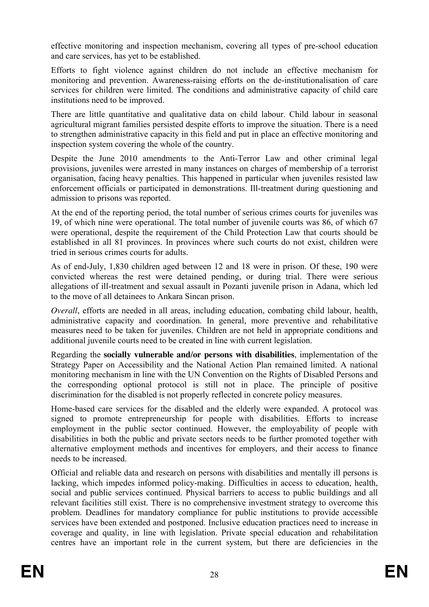effective monitoring and inspection mechanism, covering all types of pre-school education and care services, has yet to be established.

Efforts to fight violence against children do not include an effective mechanism for monitoring and prevention. Awareness-raising efforts on the de-institutionalisation of care services for children were limited. The conditions and administrative capacity of child care institutions need to be improved.

There are little quantitative and qualitative data on child labour. Child labour in seasonal agricultural migrant families persisted despite efforts to improve the situation. There is a need to strengthen administrative capacity in this field and put in place an effective monitoring and inspection system covering the whole of the country.

Despite the June 2010 amendments to the Anti-Terror Law and other criminal legal provisions, juveniles were arrested in many instances on charges of membership of a terrorist organisation, facing heavy penalties. This happened in particular when juveniles resisted law enforcement officials or participated in demonstrations. Ill-treatment during questioning and admission to prisons was reported.

At the end of the reporting period, the total number of serious crimes courts for juveniles was 19, of which nine were operational. The total number of juvenile courts was 86, of which 67 were operational, despite the requirement of the Child Protection Law that courts should be established in all 81 provinces. In provinces where such courts do not exist, children were tried in serious crimes courts for adults.

As of end-July, 1,830 children aged between 12 and 18 were in prison. Of these, 190 were convicted whereas the rest were detained pending, or during trial. There were serious allegations of ill-treatment and sexual assault in Pozanti juvenile prison in Adana, which led to the move of all detainees to Ankara Sincan prison.

*Overall*, efforts are needed in all areas, including education, combating child labour, health, administrative capacity and coordination. In general, more preventive and rehabilitative measures need to be taken for juveniles. Children are not held in appropriate conditions and additional juvenile courts need to be created in line with current legislation.

Regarding the **socially vulnerable and/or persons with disabilities**, implementation of the Strategy Paper on Accessibility and the National Action Plan remained limited. A national monitoring mechanism in line with the UN Convention on the Rights of Disabled Persons and the corresponding optional protocol is still not in place. The principle of positive discrimination for the disabled is not properly reflected in concrete policy measures.

Home-based care services for the disabled and the elderly were expanded. A protocol was signed to promote entrepreneurship for people with disabilities. Efforts to increase employment in the public sector continued. However, the employability of people with disabilities in both the public and private sectors needs to be further promoted together with alternative employment methods and incentives for employers, and their access to finance needs to be increased.

Official and reliable data and research on persons with disabilities and mentally ill persons is lacking, which impedes informed policy-making. Difficulties in access to education, health, social and public services continued. Physical barriers to access to public buildings and all relevant facilities still exist. There is no comprehensive investment strategy to overcome this problem. Deadlines for mandatory compliance for public institutions to provide accessible services have been extended and postponed. Inclusive education practices need to increase in coverage and quality, in line with legislation. Private special education and rehabilitation centres have an important role in the current system, but there are deficiencies in the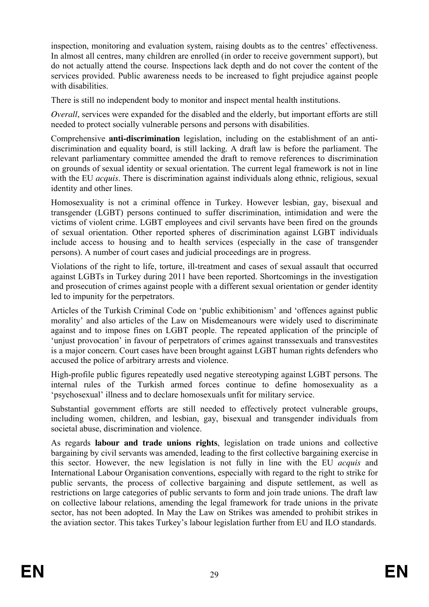inspection, monitoring and evaluation system, raising doubts as to the centres' effectiveness. In almost all centres, many children are enrolled (in order to receive government support), but do not actually attend the course. Inspections lack depth and do not cover the content of the services provided. Public awareness needs to be increased to fight prejudice against people with disabilities.

There is still no independent body to monitor and inspect mental health institutions.

*Overall*, services were expanded for the disabled and the elderly, but important efforts are still needed to protect socially vulnerable persons and persons with disabilities.

Comprehensive **anti-discrimination** legislation, including on the establishment of an antidiscrimination and equality board, is still lacking. A draft law is before the parliament. The relevant parliamentary committee amended the draft to remove references to discrimination on grounds of sexual identity or sexual orientation. The current legal framework is not in line with the EU *acquis*. There is discrimination against individuals along ethnic, religious, sexual identity and other lines.

Homosexuality is not a criminal offence in Turkey. However lesbian, gay, bisexual and transgender (LGBT) persons continued to suffer discrimination, intimidation and were the victims of violent crime. LGBT employees and civil servants have been fired on the grounds of sexual orientation. Other reported spheres of discrimination against LGBT individuals include access to housing and to health services (especially in the case of transgender persons). A number of court cases and judicial proceedings are in progress.

Violations of the right to life, torture, ill-treatment and cases of sexual assault that occurred against LGBTs in Turkey during 2011 have been reported. Shortcomings in the investigation and prosecution of crimes against people with a different sexual orientation or gender identity led to impunity for the perpetrators.

Articles of the Turkish Criminal Code on 'public exhibitionism' and 'offences against public morality' and also articles of the Law on Misdemeanours were widely used to discriminate against and to impose fines on LGBT people. The repeated application of the principle of 'unjust provocation' in favour of perpetrators of crimes against transsexuals and transvestites is a major concern. Court cases have been brought against LGBT human rights defenders who accused the police of arbitrary arrests and violence.

High-profile public figures repeatedly used negative stereotyping against LGBT persons. The internal rules of the Turkish armed forces continue to define homosexuality as a 'psychosexual' illness and to declare homosexuals unfit for military service.

Substantial government efforts are still needed to effectively protect vulnerable groups, including women, children, and lesbian, gay, bisexual and transgender individuals from societal abuse, discrimination and violence.

As regards **labour and trade unions rights**, legislation on trade unions and collective bargaining by civil servants was amended, leading to the first collective bargaining exercise in this sector. However, the new legislation is not fully in line with the EU *acquis* and International Labour Organisation conventions, especially with regard to the right to strike for public servants, the process of collective bargaining and dispute settlement, as well as restrictions on large categories of public servants to form and join trade unions. The draft law on collective labour relations, amending the legal framework for trade unions in the private sector, has not been adopted. In May the Law on Strikes was amended to prohibit strikes in the aviation sector. This takes Turkey's labour legislation further from EU and ILO standards.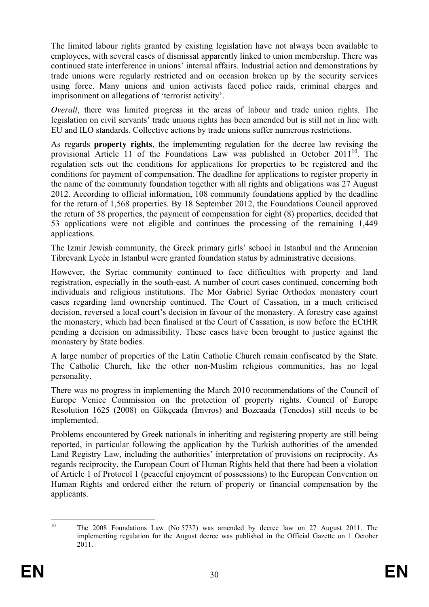The limited labour rights granted by existing legislation have not always been available to employees, with several cases of dismissal apparently linked to union membership. There was continued state interference in unions' internal affairs. Industrial action and demonstrations by trade unions were regularly restricted and on occasion broken up by the security services using force. Many unions and union activists faced police raids, criminal charges and imprisonment on allegations of 'terrorist activity'.

*Overall*, there was limited progress in the areas of labour and trade union rights. The legislation on civil servants' trade unions rights has been amended but is still not in line with EU and ILO standards. Collective actions by trade unions suffer numerous restrictions.

As regards **property rights***,* the implementing regulation for the decree law revising the provisional Article 11 of the Foundations Law was published in October 2011<sup>10</sup>. The regulation sets out the conditions for applications for properties to be registered and the conditions for payment of compensation. The deadline for applications to register property in the name of the community foundation together with all rights and obligations was 27 August 2012. According to official information, 108 community foundations applied by the deadline for the return of 1,568 properties. By 18 September 2012, the Foundations Council approved the return of 58 properties, the payment of compensation for eight (8) properties, decided that 53 applications were not eligible and continues the processing of the remaining 1,449 applications.

The Izmir Jewish community, the Greek primary girls' school in Istanbul and the Armenian Tibrevank Lycée in Istanbul were granted foundation status by administrative decisions.

However, the Syriac community continued to face difficulties with property and land registration, especially in the south-east. A number of court cases continued, concerning both individuals and religious institutions. The Mor Gabriel Syriac Orthodox monastery court cases regarding land ownership continued. The Court of Cassation, in a much criticised decision, reversed a local court's decision in favour of the monastery. A forestry case against the monastery, which had been finalised at the Court of Cassation, is now before the ECtHR pending a decision on admissibility. These cases have been brought to justice against the monastery by State bodies.

A large number of properties of the Latin Catholic Church remain confiscated by the State. The Catholic Church, like the other non-Muslim religious communities, has no legal personality.

There was no progress in implementing the March 2010 recommendations of the Council of Europe Venice Commission on the protection of property rights. Council of Europe [Resolution 1625](http://assembly.coe.int/Main.asp?link=http://assembly.coe.int/ASP/Doc/RefRedirectEN.asp?Doc=%20Resolution%201625) (2008) on Gökçeada (Imvros) and Bozcaada (Tenedos) still needs to be implemented.

Problems encountered by Greek nationals in inheriting and registering property are still being reported, in particular following the application by the Turkish authorities of the amended Land Registry Law, including the authorities' interpretation of provisions on reciprocity. As regards reciprocity, the European Court of Human Rights held that there had been a violation of Article 1 of Protocol 1 (peaceful enjoyment of possessions) to the European Convention on Human Rights and ordered either the return of property or financial compensation by the applicants.

 $10\,$ The 2008 Foundations Law (No  $5737$ ) was amended by decree law on 27 August 2011. The implementing regulation for the August decree was published in the Official Gazette on 1 October 2011.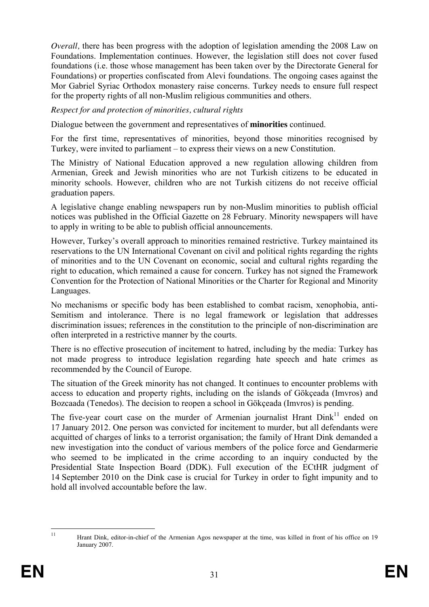*Overall*, there has been progress with the adoption of legislation amending the 2008 Law on Foundations. Implementation continues. However, the legislation still does not cover fused foundations (i.e. those whose management has been taken over by the Directorate General for Foundations) or properties confiscated from Alevi foundations. The ongoing cases against the Mor Gabriel Syriac Orthodox monastery raise concerns. Turkey needs to ensure full respect for the property rights of all non-Muslim religious communities and others.

#### *Respect for and protection of minorities, cultural rights*

Dialogue between the government and representatives of **minorities** continued.

For the first time, representatives of minorities, beyond those minorities recognised by Turkey, were invited to parliament – to express their views on a new Constitution.

The Ministry of National Education approved a new regulation allowing children from Armenian, Greek and Jewish minorities who are not Turkish citizens to be educated in minority schools. However, children who are not Turkish citizens do not receive official graduation papers.

A legislative change enabling newspapers run by non-Muslim minorities to publish official notices was published in the Official Gazette on 28 February. Minority newspapers will have to apply in writing to be able to publish official announcements.

However, Turkey's overall approach to minorities remained restrictive. Turkey maintained its reservations to the UN International Covenant on civil and political rights regarding the rights of minorities and to the UN Covenant on economic, social and cultural rights regarding the right to education, which remained a cause for concern. Turkey has not signed the Framework Convention for the Protection of National Minorities or the Charter for Regional and Minority Languages.

No mechanisms or specific body has been established to combat racism, xenophobia, anti-Semitism and intolerance. There is no legal framework or legislation that addresses discrimination issues; references in the constitution to the principle of non-discrimination are often interpreted in a restrictive manner by the courts.

There is no effective prosecution of incitement to hatred, including by the media: Turkey has not made progress to introduce legislation regarding hate speech and hate crimes as recommended by the Council of Europe.

The situation of the Greek minority has not changed. It continues to encounter problems with access to education and property rights, including on the islands of Gökçeada (Imvros) and Bozcaada (Tenedos). The decision to reopen a school in Gökçeada (Imvros) is pending.

The five-year court case on the murder of Armenian journalist Hrant  $Dink<sup>11</sup>$  ended on 17 January 2012. One person was convicted for incitement to murder, but all defendants were acquitted of charges of links to a terrorist organisation; the family of Hrant Dink demanded a new investigation into the conduct of various members of the police force and Gendarmerie who seemed to be implicated in the crime according to an inquiry conducted by the Presidential State Inspection Board (DDK). Full execution of the ECtHR judgment of 14 September 2010 on the Dink case is crucial for Turkey in order to fight impunity and to hold all involved accountable before the law.

 $11$ 11 Hrant Dink, editor-in-chief of the Armenian Agos newspaper at the time, was killed in front of his office on 19 January 2007.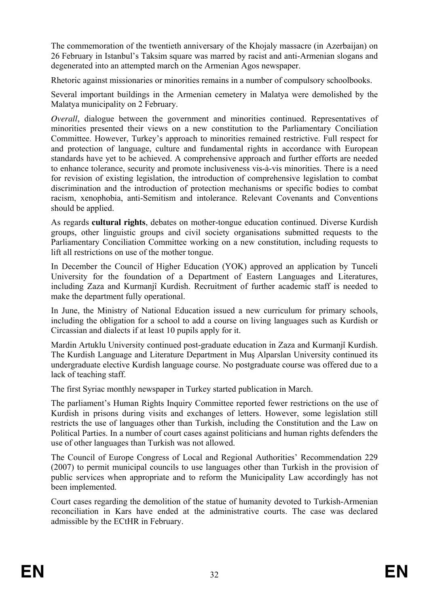The commemoration of the twentieth anniversary of the Khojaly massacre (in Azerbaijan) on 26 February in Istanbul's Taksim square was marred by racist and anti-Armenian slogans and degenerated into an attempted march on the Armenian Agos newspaper.

Rhetoric against missionaries or minorities remains in a number of compulsory schoolbooks.

Several important buildings in the Armenian cemetery in Malatya were demolished by the Malatya municipality on 2 February.

*Overall*, dialogue between the government and minorities continued. Representatives of minorities presented their views on a new constitution to the Parliamentary Conciliation Committee. However, Turkey's approach to minorities remained restrictive. Full respect for and protection of language, culture and fundamental rights in accordance with European standards have yet to be achieved. A comprehensive approach and further efforts are needed to enhance tolerance, security and promote inclusiveness vis-à-vis minorities. There is a need for revision of existing legislation, the introduction of comprehensive legislation to combat discrimination and the introduction of protection mechanisms or specific bodies to combat racism, xenophobia, anti-Semitism and intolerance. Relevant Covenants and Conventions should be applied.

As regards **cultural rights**, debates on mother-tongue education continued. Diverse Kurdish groups, other linguistic groups and civil society organisations submitted requests to the Parliamentary Conciliation Committee working on a new constitution, including requests to lift all restrictions on use of the mother tongue.

In December the Council of Higher Education (YOK) approved an application by Tunceli University for the foundation of a Department of Eastern Languages and Literatures, including Zaza and Kurmanjî Kurdish. Recruitment of further academic staff is needed to make the department fully operational.

In June, the Ministry of National Education issued a new curriculum for primary schools, including the obligation for a school to add a course on living languages such as Kurdish or Circassian and dialects if at least 10 pupils apply for it.

Mardin Artuklu University continued post-graduate education in Zaza and Kurmanjî Kurdish. The Kurdish Language and Literature Department in Mus Alparslan University continued its undergraduate elective Kurdish language course. No postgraduate course was offered due to a lack of teaching staff.

The first Syriac monthly newspaper in Turkey started publication in March.

The parliament's Human Rights Inquiry Committee reported fewer restrictions on the use of Kurdish in prisons during visits and exchanges of letters. However, some legislation still restricts the use of languages other than Turkish, including the Constitution and the Law on Political Parties. In a number of court cases against politicians and human rights defenders the use of other languages than Turkish was not allowed.

The Council of Europe Congress of Local and Regional Authorities' Recommendation 229 (2007) to permit municipal councils to use languages other than Turkish in the provision of public services when appropriate and to reform the Municipality Law accordingly has not been implemented.

Court cases regarding the demolition of the statue of humanity devoted to Turkish-Armenian reconciliation in Kars have ended at the administrative courts. The case was declared admissible by the ECtHR in February.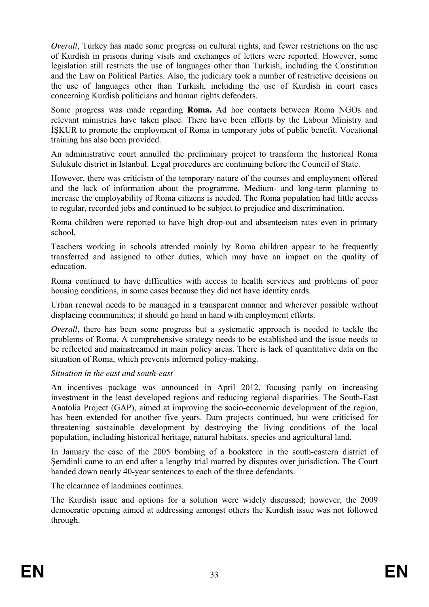*Overall*, Turkey has made some progress on cultural rights, and fewer restrictions on the use of Kurdish in prisons during visits and exchanges of letters were reported. However, some legislation still restricts the use of languages other than Turkish, including the Constitution and the Law on Political Parties. Also, the judiciary took a number of restrictive decisions on the use of languages other than Turkish, including the use of Kurdish in court cases concerning Kurdish politicians and human rights defenders.

Some progress was made regarding **Roma.** Ad hoc contacts between Roma NGOs and relevant ministries have taken place. There have been efforts by the Labour Ministry and ISKUR to promote the employment of Roma in temporary jobs of public benefit. Vocational training has also been provided.

An administrative court annulled the preliminary project to transform the historical Roma Sulukule district in Istanbul. Legal procedures are continuing before the Council of State.

However, there was criticism of the temporary nature of the courses and employment offered and the lack of information about the programme. Medium- and long-term planning to increase the employability of Roma citizens is needed. The Roma population had little access to regular, recorded jobs and continued to be subject to prejudice and discrimination.

Roma children were reported to have high drop-out and absenteeism rates even in primary school.

Teachers working in schools attended mainly by Roma children appear to be frequently transferred and assigned to other duties, which may have an impact on the quality of education.

Roma continued to have difficulties with access to health services and problems of poor housing conditions, in some cases because they did not have identity cards.

Urban renewal needs to be managed in a transparent manner and wherever possible without displacing communities; it should go hand in hand with employment efforts.

*Overall*, there has been some progress but a systematic approach is needed to tackle the problems of Roma. A comprehensive strategy needs to be established and the issue needs to be reflected and mainstreamed in main policy areas. There is lack of quantitative data on the situation of Roma, which prevents informed policy-making.

#### *Situation in the east and south-east*

An incentives package was announced in April 2012, focusing partly on increasing investment in the least developed regions and reducing regional disparities. The South-East Anatolia Project (GAP), aimed at improving the socio-economic development of the region, has been extended for another five years. Dam projects continued, but were criticised for threatening sustainable development by destroying the living conditions of the local population, including historical heritage, natural habitats, species and agricultural land.

In January the case of the 2005 bombing of a bookstore in the south-eastern district of Semdinli came to an end after a lengthy trial marred by disputes over jurisdiction. The Court handed down nearly 40-year sentences to each of the three defendants.

The clearance of landmines continues.

The Kurdish issue and options for a solution were widely discussed; however, the 2009 democratic opening aimed at addressing amongst others the Kurdish issue was not followed through.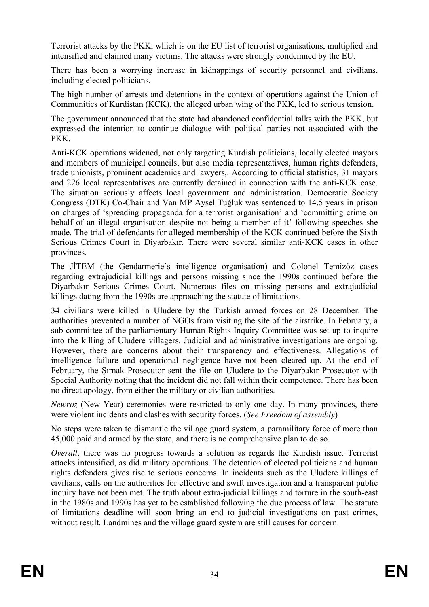Terrorist attacks by the PKK, which is on the EU list of terrorist organisations, multiplied and intensified and claimed many victims. The attacks were strongly condemned by the EU.

There has been a worrying increase in kidnappings of security personnel and civilians, including elected politicians.

The high number of arrests and detentions in the context of operations against the Union of Communities of Kurdistan (KCK), the alleged urban wing of the PKK, led to serious tension.

The government announced that the state had abandoned confidential talks with the PKK, but expressed the intention to continue dialogue with political parties not associated with the PKK.

Anti-KCK operations widened, not only targeting Kurdish politicians, locally elected mayors and members of municipal councils, but also media representatives, human rights defenders, trade unionists, prominent academics and lawyers,. According to official statistics, 31 mayors and 226 local representatives are currently detained in connection with the anti-KCK case. The situation seriously affects local government and administration. Democratic Society Congress (DTK) Co-Chair and Van MP Aysel Tuğluk was sentenced to 14.5 years in prison on charges of 'spreading propaganda for a terrorist organisation' and 'committing crime on behalf of an illegal organisation despite not being a member of it' following speeches she made. The trial of defendants for alleged membership of the KCK continued before the Sixth Serious Crimes Court in Diyarbakır. There were several similar anti-KCK cases in other provinces.

The JITEM (the Gendarmerie's intelligence organisation) and Colonel Temizöz cases regarding extrajudicial killings and persons missing since the 1990s continued before the Diyarbakır Serious Crimes Court. Numerous files on missing persons and extrajudicial killings dating from the 1990s are approaching the statute of limitations.

34 civilians were killed in Uludere by the Turkish armed forces on 28 December. The authorities prevented a number of NGOs from visiting the site of the airstrike. In February, a sub-committee of the parliamentary Human Rights Inquiry Committee was set up to inquire into the killing of Uludere villagers. Judicial and administrative investigations are ongoing. However, there are concerns about their transparency and effectiveness. Allegations of intelligence failure and operational negligence have not been cleared up. At the end of February, the Sirnak Prosecutor sent the file on Uludere to the Diyarbakir Prosecutor with Special Authority noting that the incident did not fall within their competence. There has been no direct apology, from either the military or civilian authorities.

*Newroz* (New Year) ceremonies were restricted to only one day. In many provinces, there were violent incidents and clashes with security forces. (*See Freedom of assembly*)

No steps were taken to dismantle the village guard system, a paramilitary force of more than 45,000 paid and armed by the state, and there is no comprehensive plan to do so.

*Overall*, there was no progress towards a solution as regards the Kurdish issue. Terrorist attacks intensified, as did military operations. The detention of elected politicians and human rights defenders gives rise to serious concerns. In incidents such as the Uludere killings of civilians, calls on the authorities for effective and swift investigation and a transparent public inquiry have not been met. The truth about extra-judicial killings and torture in the south-east in the 1980s and 1990s has yet to be established following the due process of law. The statute of limitations deadline will soon bring an end to judicial investigations on past crimes, without result. Landmines and the village guard system are still causes for concern.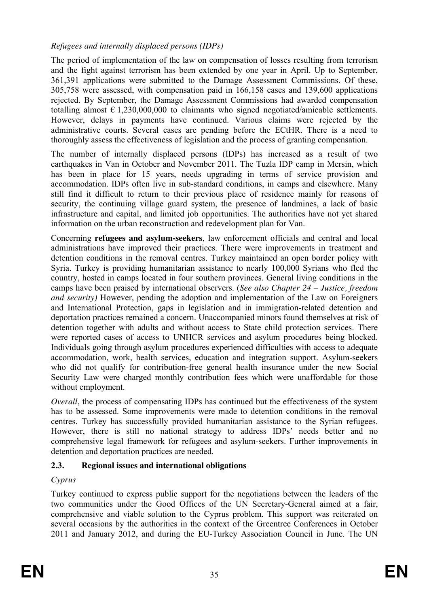## *Refugees and internally displaced persons (IDPs)*

The period of implementation of the law on compensation of losses resulting from terrorism and the fight against terrorism has been extended by one year in April. Up to September, 361,391 applications were submitted to the Damage Assessment Commissions. Of these, 305,758 were assessed, with compensation paid in 166,158 cases and 139,600 applications rejected. By September, the Damage Assessment Commissions had awarded compensation totalling almost  $\epsilon$  1,230,000,000 to claimants who signed negotiated/amicable settlements. However, delays in payments have continued. Various claims were rejected by the administrative courts. Several cases are pending before the ECtHR. There is a need to thoroughly assess the effectiveness of legislation and the process of granting compensation.

The number of internally displaced persons (IDPs) has increased as a result of two earthquakes in Van in October and November 2011. The Tuzla IDP camp in Mersin, which has been in place for 15 years, needs upgrading in terms of service provision and accommodation. IDPs often live in sub-standard conditions, in camps and elsewhere. Many still find it difficult to return to their previous place of residence mainly for reasons of security, the continuing village guard system, the presence of landmines, a lack of basic infrastructure and capital, and limited job opportunities. The authorities have not yet shared information on the urban reconstruction and redevelopment plan for Van.

Concerning **refugees and asylum-seekers**, law enforcement officials and central and local administrations have improved their practices. There were improvements in treatment and detention conditions in the removal centres. Turkey maintained an open border policy with Syria. Turkey is providing humanitarian assistance to nearly 100,000 Syrians who fled the country, hosted in camps located in four southern provinces. General living conditions in the camps have been praised by international observers. (*See also Chapter 24 – Justice, freedom and security)* However, pending the adoption and implementation of the Law on Foreigners and International Protection, gaps in legislation and in immigration-related detention and deportation practices remained a concern. Unaccompanied minors found themselves at risk of detention together with adults and without access to State child protection services. There were reported cases of access to UNHCR services and asylum procedures being blocked. Individuals going through asylum procedures experienced difficulties with access to adequate accommodation, work, health services, education and integration support. Asylum-seekers who did not qualify for contribution-free general health insurance under the new Social Security Law were charged monthly contribution fees which were unaffordable for those without employment.

*Overall*, the process of compensating IDPs has continued but the effectiveness of the system has to be assessed. Some improvements were made to detention conditions in the removal centres. Turkey has successfully provided humanitarian assistance to the Syrian refugees. However, there is still no national strategy to address IDPs' needs better and no comprehensive legal framework for refugees and asylum-seekers. Further improvements in detention and deportation practices are needed.

# <span id="page-34-0"></span>**2.3. Regional issues and international obligations**

# *Cyprus*

Turkey continued to express public support for the negotiations between the leaders of the two communities under the Good Offices of the UN Secretary-General aimed at a fair, comprehensive and viable solution to the Cyprus problem. This support was reiterated on several occasions by the authorities in the context of the Greentree Conferences in October 2011 and January 2012, and during the EU-Turkey Association Council in June. The UN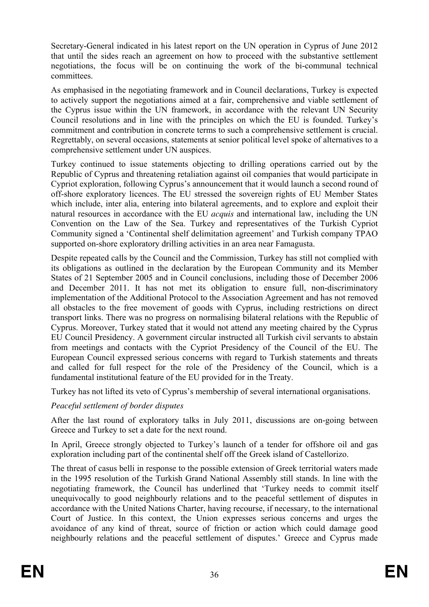Secretary-General indicated in his latest report on the UN operation in Cyprus of June 2012 that until the sides reach an agreement on how to proceed with the substantive settlement negotiations, the focus will be on continuing the work of the bi-communal technical committees.

As emphasised in the negotiating framework and in Council declarations, Turkey is expected to actively support the negotiations aimed at a fair, comprehensive and viable settlement of the Cyprus issue within the UN framework, in accordance with the relevant UN Security Council resolutions and in line with the principles on which the EU is founded. Turkey's commitment and contribution in concrete terms to such a comprehensive settlement is crucial. Regrettably, on several occasions, statements at senior political level spoke of alternatives to a comprehensive settlement under UN auspices.

Turkey continued to issue statements objecting to drilling operations carried out by the Republic of Cyprus and threatening retaliation against oil companies that would participate in Cypriot exploration, following Cyprus's announcement that it would launch a second round of off-shore exploratory licences. The EU stressed the sovereign rights of EU Member States which include, inter alia, entering into bilateral agreements, and to explore and exploit their natural resources in accordance with the EU *acquis* and international law, including the UN Convention on the Law of the Sea. Turkey and representatives of the Turkish Cypriot Community signed a 'Continental shelf delimitation agreement' and Turkish company TPAO supported on-shore exploratory drilling activities in an area near Famagusta.

Despite repeated calls by the Council and the Commission, Turkey has still not complied with its obligations as outlined in the declaration by the European Community and its Member States of 21 September 2005 and in Council conclusions, including those of December 2006 and December 2011. It has not met its obligation to ensure full, non-discriminatory implementation of the Additional Protocol to the Association Agreement and has not removed all obstacles to the free movement of goods with Cyprus, including restrictions on direct transport links. There was no progress on normalising bilateral relations with the Republic of Cyprus. Moreover, Turkey stated that it would not attend any meeting chaired by the Cyprus EU Council Presidency. A government circular instructed all Turkish civil servants to abstain from meetings and contacts with the Cypriot Presidency of the Council of the EU. The European Council expressed serious concerns with regard to Turkish statements and threats and called for full respect for the role of the Presidency of the Council, which is a fundamental institutional feature of the EU provided for in the Treaty.

Turkey has not lifted its veto of Cyprus's membership of several international organisations.

# *Peaceful settlement of border disputes*

After the last round of exploratory talks in July 2011, discussions are on-going between Greece and Turkey to set a date for the next round.

In April, Greece strongly objected to Turkey's launch of a tender for offshore oil and gas exploration including part of the continental shelf off the Greek island of Castellorizo.

The threat of casus belli in response to the possible extension of Greek territorial waters made in the 1995 resolution of the Turkish Grand National Assembly still stands. In line with the negotiating framework, the Council has underlined that 'Turkey needs to commit itself unequivocally to good neighbourly relations and to the peaceful settlement of disputes in accordance with the United Nations Charter, having recourse, if necessary, to the international Court of Justice. In this context, the Union expresses serious concerns and urges the avoidance of any kind of threat, source of friction or action which could damage good neighbourly relations and the peaceful settlement of disputes.' Greece and Cyprus made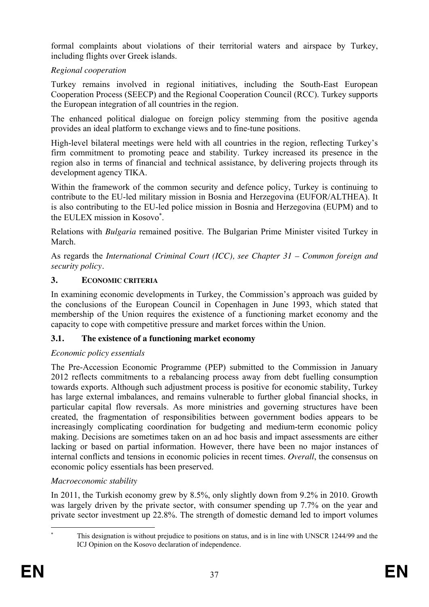formal complaints about violations of their territorial waters and airspace by Turkey, including flights over Greek islands.

# *Regional cooperation*

Turkey remains involved in regional initiatives, including the South-East European Cooperation Process (SEECP) and the Regional Cooperation Council (RCC). Turkey supports the European integration of all countries in the region.

The enhanced political dialogue on foreign policy stemming from the positive agenda provides an ideal platform to exchange views and to fine-tune positions.

High-level bilateral meetings were held with all countries in the region, reflecting Turkey's firm commitment to promoting peace and stability. Turkey increased its presence in the region also in terms of financial and technical assistance, by delivering projects through its development agency TIKA.

Within the framework of the common security and defence policy, Turkey is continuing to contribute to the EU-led military mission in Bosnia and Herzegovina (EUFOR/ALTHEA). It is also contributing to the EU-led police mission in Bosnia and Herzegovina (EUPM) and to the EULEX mission in Kosovo .

Relations with *Bulgaria* remained positive. The Bulgarian Prime Minister visited Turkey in March.

As regards the *International Criminal Court (ICC), see Chapter 31 – Common foreign and security policy.* 

### **3. ECONOMIC CRITERIA**

In examining economic developments in Turkey, the Commission's approach was guided by the conclusions of the European Council in Copenhagen in June 1993, which stated that membership of the Union requires the existence of a functioning market economy and the capacity to cope with competitive pressure and market forces within the Union.

### **3.1. The existence of a functioning market economy**

### *Economic policy essentials*

The Pre-Accession Economic Programme (PEP) submitted to the Commission in January 2012 reflects commitments to a rebalancing process away from debt fuelling consumption towards exports. Although such adjustment process is positive for economic stability, Turkey has large external imbalances, and remains vulnerable to further global financial shocks, in particular capital flow reversals. As more ministries and governing structures have been created, the fragmentation of responsibilities between government bodies appears to be increasingly complicating coordination for budgeting and medium-term economic policy making. Decisions are sometimes taken on an ad hoc basis and impact assessments are either lacking or based on partial information. However, there have been no major instances of internal conflicts and tensions in economic policies in recent times. *Overall*, the consensus on economic policy essentials has been preserved.

# *Macroeconomic stability*

In 2011, the Turkish economy grew by 8.5%, only slightly down from 9.2% in 2010. Growth was largely driven by the private sector, with consumer spending up 7.7% on the year and private sector investment up 22.8%. The strength of domestic demand led to import volumes

 This designation is without prejudice to positions on status, and is in line with UNSCR 1244/99 and the ICJ Opinion on the Kosovo declaration of independence.

<u>.</u> ×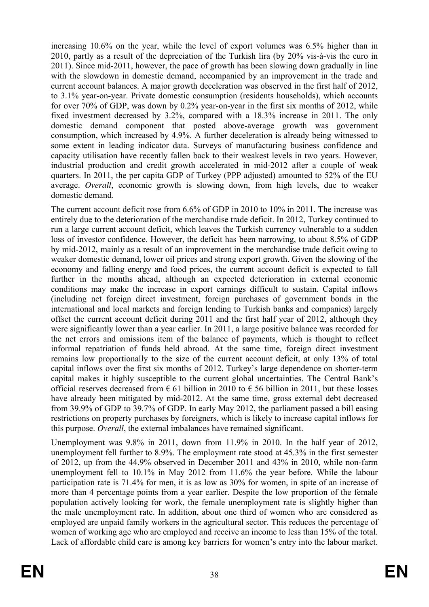increasing 10.6% on the year, while the level of export volumes was 6.5% higher than in 2010, partly as a result of the depreciation of the Turkish lira (by 20% vis-à-vis the euro in 2011). Since mid-2011, however, the pace of growth has been slowing down gradually in line with the slowdown in domestic demand, accompanied by an improvement in the trade and current account balances. A major growth deceleration was observed in the first half of 2012, to 3.1% year-on-year. Private domestic consumption (residents households), which accounts for over 70% of GDP, was down by 0.2% year-on-year in the first six months of 2012, while fixed investment decreased by 3.2%, compared with a 18.3% increase in 2011. The only domestic demand component that posted above-average growth was government consumption, which increased by 4.9%. A further deceleration is already being witnessed to some extent in leading indicator data. Surveys of manufacturing business confidence and capacity utilisation have recently fallen back to their weakest levels in two years. However, industrial production and credit growth accelerated in mid-2012 after a couple of weak quarters. In 2011, the per capita GDP of Turkey (PPP adjusted) amounted to 52% of the EU average. *Overall*, economic growth is slowing down, from high levels, due to weaker domestic demand.

The current account deficit rose from 6.6% of GDP in 2010 to 10% in 2011. The increase was entirely due to the deterioration of the merchandise trade deficit. In 2012, Turkey continued to run a large current account deficit, which leaves the Turkish currency vulnerable to a sudden loss of investor confidence. However, the deficit has been narrowing, to about 8.5% of GDP by mid-2012, mainly as a result of an improvement in the merchandise trade deficit owing to weaker domestic demand, lower oil prices and strong export growth. Given the slowing of the economy and falling energy and food prices, the current account deficit is expected to fall further in the months ahead, although an expected deterioration in external economic conditions may make the increase in export earnings difficult to sustain. Capital inflows (including net foreign direct investment, foreign purchases of government bonds in the international and local markets and foreign lending to Turkish banks and companies) largely offset the current account deficit during 2011 and the first half year of 2012, although they were significantly lower than a year earlier. In 2011, a large positive balance was recorded for the net errors and omissions item of the balance of payments, which is thought to reflect informal repatriation of funds held abroad. At the same time, foreign direct investment remains low proportionally to the size of the current account deficit, at only 13% of total capital inflows over the first six months of 2012. Turkey's large dependence on shorter-term capital makes it highly susceptible to the current global uncertainties. The Central Bank's official reserves decreased from  $\epsilon$  61 billion in 2010 to  $\epsilon$  56 billion in 2011, but these losses have already been mitigated by mid-2012. At the same time, gross external debt decreased from 39.9% of GDP to 39.7% of GDP. In early May 2012, the parliament passed a bill easing restrictions on property purchases by foreigners, which is likely to increase capital inflows for this purpose. *Overall*, the external imbalances have remained significant.

Unemployment was 9.8% in 2011, down from 11.9% in 2010. In the half year of 2012, unemployment fell further to 8.9%. The employment rate stood at 45.3% in the first semester of 2012, up from the 44.9% observed in December 2011 and 43% in 2010, while non-farm unemployment fell to 10.1% in May 2012 from 11.6% the year before. While the labour participation rate is 71.4% for men, it is as low as 30% for women, in spite of an increase of more than 4 percentage points from a year earlier. Despite the low proportion of the female population actively looking for work, the female unemployment rate is slightly higher than the male unemployment rate. In addition, about one third of women who are considered as employed are unpaid family workers in the agricultural sector. This reduces the percentage of women of working age who are employed and receive an income to less than 15% of the total. Lack of affordable child care is among key barriers for women's entry into the labour market.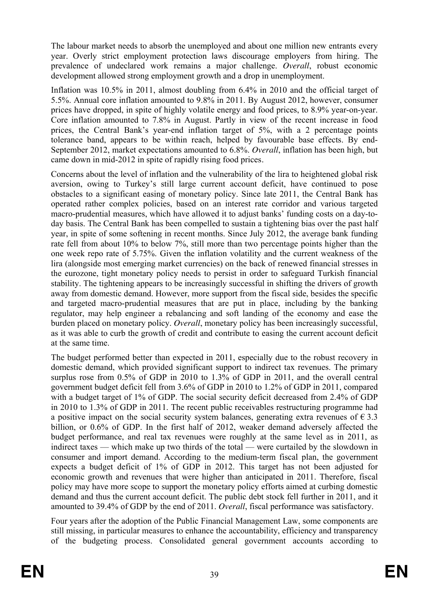The labour market needs to absorb the unemployed and about one million new entrants every year. Overly strict employment protection laws discourage employers from hiring. The prevalence of undeclared work remains a major challenge. *Overall*, robust economic development allowed strong employment growth and a drop in unemployment.

Inflation was 10.5% in 2011, almost doubling from 6.4% in 2010 and the official target of 5.5%. Annual core inflation amounted to 9.8% in 2011. By August 2012, however, consumer prices have dropped, in spite of highly volatile energy and food prices, to 8.9% year-on-year. Core inflation amounted to 7.8% in August. Partly in view of the recent increase in food prices, the Central Bank's year-end inflation target of 5%, with a 2 percentage points tolerance band, appears to be within reach, helped by favourable base effects. By end-September 2012, market expectations amounted to 6.8%. *Overall*, inflation has been high, but came down in mid-2012 in spite of rapidly rising food prices*.*

Concerns about the level of inflation and the vulnerability of the lira to heightened global risk aversion, owing to Turkey's still large current account deficit, have continued to pose obstacles to a significant easing of monetary policy. Since late 2011, the Central Bank has operated rather complex policies, based on an interest rate corridor and various targeted macro-prudential measures, which have allowed it to adjust banks' funding costs on a day-today basis. The Central Bank has been compelled to sustain a tightening bias over the past half year, in spite of some softening in recent months. Since July 2012, the average bank funding rate fell from about 10% to below 7%, still more than two percentage points higher than the one week repo rate of 5.75%. Given the inflation volatility and the current weakness of the lira (alongside most emerging market currencies) on the back of renewed financial stresses in the eurozone, tight monetary policy needs to persist in order to safeguard Turkish financial stability. The tightening appears to be increasingly successful in shifting the drivers of growth away from domestic demand. However, more support from the fiscal side, besides the specific and targeted macro-prudential measures that are put in place, including by the banking regulator, may help engineer a rebalancing and soft landing of the economy and ease the burden placed on monetary policy. *Overall*, monetary policy has been increasingly successful, as it was able to curb the growth of credit and contribute to easing the [current account deficit](http://www.roubini.com/analysis/154587.php)  at the same time.

The budget performed better than expected in 2011, especially due to the robust recovery in domestic demand, which provided significant support to indirect tax revenues. The primary surplus rose from 0.5% of GDP in 2010 to 1.3% of GDP in 2011, and the overall central government budget deficit fell from 3.6% of GDP in 2010 to 1.2% of GDP in 2011, compared with a budget target of 1% of GDP. The social security deficit decreased from 2.4% of GDP in 2010 to 1.3% of GDP in 2011. The recent public receivables restructuring programme had a positive impact on the social security system balances, generating extra revenues of  $\epsilon$  3.3 billion, or 0.6% of GDP. In the first half of 2012, weaker demand adversely affected the budget performance, and real tax revenues were roughly at the same level as in 2011, as indirect taxes — which make up two thirds of the total — were curtailed by the slowdown in consumer and import demand. According to the medium-term fiscal plan, the government expects a budget deficit of 1% of GDP in 2012. This target has not been adjusted for economic growth and revenues that were higher than anticipated in 2011. Therefore, fiscal policy may have more scope to support the monetary policy efforts aimed at curbing domestic demand and thus the current account deficit. The public debt stock fell further in 2011, and it amounted to 39.4% of GDP by the end of 2011. *Overall*, fiscal performance was satisfactory.

Four years after the adoption of the Public Financial Management Law, some components are still missing, in particular measures to enhance the accountability, efficiency and transparency of the budgeting process. Consolidated general government accounts according to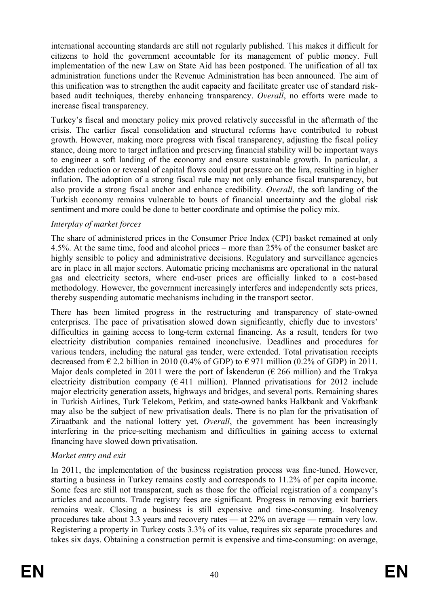international accounting standards are still not regularly published. This makes it difficult for citizens to hold the government accountable for its management of public money. Full implementation of the new Law on State Aid has been postponed. The unification of all tax administration functions under the Revenue Administration has been announced. The aim of this unification was to strengthen the audit capacity and facilitate greater use of standard riskbased audit techniques, thereby enhancing transparency. *Overall*, no efforts were made to increase fiscal transparency.

Turkey's fiscal and monetary policy mix proved relatively successful in the aftermath of the crisis. The earlier fiscal consolidation and structural reforms have contributed to robust growth. However, making more progress with fiscal transparency, adjusting the fiscal policy stance, doing more to target inflation and preserving financial stability will be important ways to engineer a soft landing of the economy and ensure sustainable growth. In particular, a sudden reduction or reversal of capital flows could put pressure on the lira, resulting in higher inflation. The adoption of a strong fiscal rule may not only enhance fiscal transparency, but also provide a strong fiscal anchor and enhance credibility. *Overall*, the soft landing of the Turkish economy remains vulnerable to bouts of financial uncertainty and the global risk sentiment and more could be done to better coordinate and optimise the policy mix.

### *Interplay of market forces*

The share of administered prices in the Consumer Price Index (CPI) basket remained at only 4.5%. At the same time, food and alcohol prices – more than 25% of the consumer basket are highly sensible to policy and administrative decisions. Regulatory and surveillance agencies are in place in all major sectors. Automatic pricing mechanisms are operational in the natural gas and electricity sectors, where end-user prices are officially linked to a cost-based methodology. However, the government increasingly interferes and independently sets prices, thereby suspending automatic mechanisms including in the transport sector.

There has been limited progress in the restructuring and transparency of state-owned enterprises. The pace of privatisation slowed down significantly, chiefly due to investors' difficulties in gaining access to long-term external financing. As a result, tenders for two electricity distribution companies remained inconclusive. Deadlines and procedures for various tenders, including the natural gas tender, were extended. Total privatisation receipts decreased from  $\epsilon$  2.2 billion in 2010 (0.4% of GDP) to  $\epsilon$  971 million (0.2% of GDP) in 2011. Major deals completed in 2011 were the port of Iskenderun ( $\epsilon$  266 million) and the Trakya electricity distribution company ( $\epsilon$  411 million). Planned privatisations for 2012 include major electricity generation assets, highways and bridges, and several ports. Remaining shares in Turkish Airlines, Turk Telekom, Petkim, and state-owned banks Halkbank and Vakıfbank may also be the subject of new privatisation deals. There is no plan for the privatisation of Ziraatbank and the national lottery yet. *Overall*, the government has been increasingly interfering in the price-setting mechanism and difficulties in gaining access to external financing have slowed down privatisation.

# *Market entry and exit*

In 2011, the implementation of the business registration process was fine-tuned. However, starting a business in Turkey remains costly and corresponds to 11.2% of per capita income. Some fees are still not transparent, such as those for the official registration of a company's articles and accounts. Trade registry fees are significant. Progress in removing exit barriers remains weak. Closing a business is still expensive and time-consuming. Insolvency procedures take about 3.3 years and recovery rates — at 22% on average — remain very low. Registering a property in Turkey costs 3.3% of its value, requires six separate procedures and takes six days. Obtaining a construction permit is expensive and time-consuming: on average,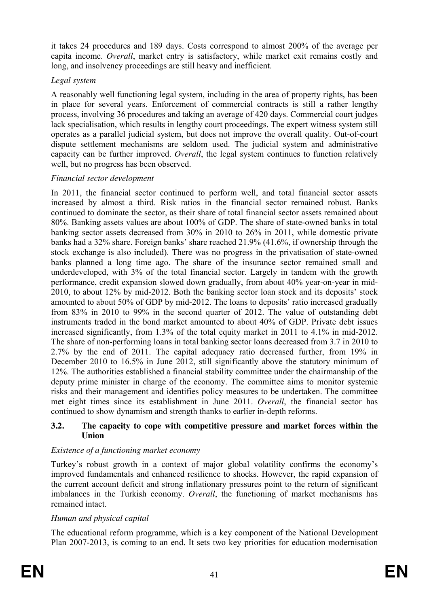it takes 24 procedures and 189 days. Costs correspond to almost 200% of the average per capita income. *Overall*, market entry is satisfactory, while market exit remains costly and long, and insolvency proceedings are still heavy and inefficient.

### *Legal system*

A reasonably well functioning legal system, including in the area of property rights, has been in place for several years. Enforcement of commercial contracts is still a rather lengthy process, involving 36 procedures and taking an average of 420 days. Commercial court judges lack specialisation, which results in lengthy court proceedings. The expert witness system still operates as a parallel judicial system, but does not improve the overall quality. Out-of-court dispute settlement mechanisms are seldom used. The judicial system and administrative capacity can be further improved. *Overall*, the legal system continues to function relatively well, but no progress has been observed.

## *Financial sector development*

In 2011, the financial sector continued to perform well, and total financial sector assets increased by almost a third. Risk ratios in the financial sector remained robust. Banks continued to dominate the sector, as their share of total financial sector assets remained about 80%. Banking assets values are about 100% of GDP. The share of state-owned banks in total banking sector assets decreased from 30% in 2010 to 26% in 2011, while domestic private banks had a 32% share. Foreign banks' share reached 21.9% (41.6%, if ownership through the stock exchange is also included). There was no progress in the privatisation of state-owned banks planned a long time ago. The share of the insurance sector remained small and underdeveloped, with 3% of the total financial sector. Largely in tandem with the growth performance, credit expansion slowed down gradually, from about 40% year-on-year in mid-2010, to about 12% by mid-2012. Both the banking sector loan stock and its deposits' stock amounted to about 50% of GDP by mid-2012. The loans to deposits' ratio increased gradually from 83% in 2010 to 99% in the second quarter of 2012. The value of outstanding debt instruments traded in the bond market amounted to about 40% of GDP. Private debt issues increased significantly, from 1.3% of the total equity market in 2011 to 4.1% in mid-2012. The share of non-performing loans in total banking sector loans decreased from 3.7 in 2010 to 2.7% by the end of 2011. The capital adequacy ratio decreased further, from 19% in December 2010 to 16.5% in June 2012, still significantly above the statutory minimum of 12%. The authorities established a financial stability committee under the chairmanship of the deputy prime minister in charge of the economy. The committee aims to monitor systemic risks and their management and identifies policy measures to be undertaken. The committee met eight times since its establishment in June 2011. *Overall*, the financial sector has continued to show dynamism and strength thanks to earlier in-depth reforms.

#### **3.2. The capacity to cope with competitive pressure and market forces within the Union**

# *Existence of a functioning market economy*

Turkey's robust growth in a context of major global volatility confirms the economy's improved fundamentals and enhanced resilience to shocks. However, the rapid expansion of the current account deficit and strong inflationary pressures point to the return of significant imbalances in the Turkish economy. *Overall*, the functioning of market mechanisms has remained intact.

### *Human and physical capital*

The educational reform programme, which is a key component of the National Development Plan 2007-2013, is coming to an end. It sets two key priorities for education modernisation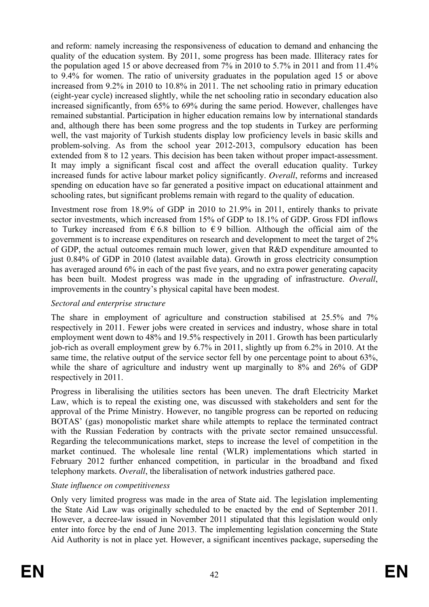and reform: namely increasing the responsiveness of education to demand and enhancing the quality of the education system. By 2011, some progress has been made. Illiteracy rates for the population aged 15 or above decreased from 7% in 2010 to 5.7% in 2011 and from 11.4% to 9.4% for women. The ratio of university graduates in the population aged 15 or above increased from 9.2% in 2010 to 10.8% in 2011. The net schooling ratio in primary education (eight-year cycle) increased slightly, while the net schooling ratio in secondary education also increased significantly, from 65% to 69% during the same period. However, challenges have remained substantial. Participation in higher education remains low by international standards and, although there has been some progress and the top students in Turkey are performing well, the vast majority of Turkish students display low proficiency levels in basic skills and problem-solving. As from the school year 2012-2013, compulsory education has been extended from 8 to 12 years. This decision has been taken without proper impact-assessment. It may imply a significant fiscal cost and affect the overall education quality. Turkey increased funds for active labour market policy significantly. *Overall*, reforms and increased spending on education have so far generated a positive impact on educational attainment and schooling rates, but significant problems remain with regard to the quality of education.

Investment rose from 18.9% of GDP in 2010 to 21.9% in 2011, entirely thanks to private sector investments, which increased from 15% of GDP to 18.1% of GDP. Gross FDI inflows to Turkey increased from  $\epsilon$  6.8 billion to  $\epsilon$  9 billion. Although the official aim of the government is to increase expenditures on research and development to meet the target of 2% of GDP, the actual outcomes remain much lower, given that R&D expenditure amounted to just 0.84% of GDP in 2010 (latest available data). Growth in gross electricity consumption has averaged around 6% in each of the past five years, and no extra power generating capacity has been built. Modest progress was made in the upgrading of infrastructure. *Overall*, improvements in the country's physical capital have been modest.

#### *Sectoral and enterprise structure*

The share in employment of agriculture and construction stabilised at 25.5% and 7% respectively in 2011. Fewer jobs were created in services and industry, whose share in total employment went down to 48% and 19.5% respectively in 2011. Growth has been particularly job-rich as overall employment grew by 6.7% in 2011, slightly up from 6.2% in 2010. At the same time, the relative output of the service sector fell by one percentage point to about 63%, while the share of agriculture and industry went up marginally to 8% and 26% of GDP respectively in 2011.

Progress in liberalising the utilities sectors has been uneven. The draft Electricity Market Law, which is to repeal the existing one, was discussed with stakeholders and sent for the approval of the Prime Ministry. However, no tangible progress can be reported on reducing BOTAS' (gas) monopolistic market share while attempts to replace the terminated contract with the Russian Federation by contracts with the private sector remained unsuccessful. Regarding the telecommunications market, steps to increase the level of competition in the market continued. The wholesale line rental (WLR) implementations which started in February 2012 further enhanced competition, in particular in the broadband and fixed telephony markets. *Overall*, the liberalisation of network industries gathered pace.

### *State influence on competitiveness*

Only very limited progress was made in the area of State aid. The legislation implementing the State Aid Law was originally scheduled to be enacted by the end of September 2011. However, a decree-law issued in November 2011 stipulated that this legislation would only enter into force by the end of June 2013. The implementing legislation concerning the State Aid Authority is not in place yet. However, a significant incentives package, superseding the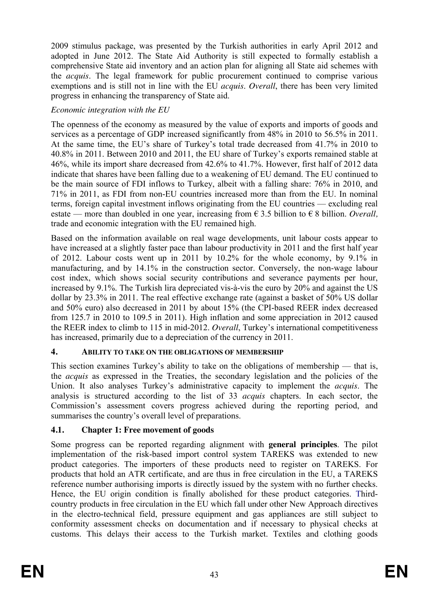2009 stimulus package, was presented by the Turkish authorities in early April 2012 and adopted in June 2012. The State Aid Authority is still expected to formally establish a comprehensive State aid inventory and an action plan for aligning all State aid schemes with the *acquis*. The legal framework for public procurement continued to comprise various exemptions and is still not in line with the EU *acquis*. *Overall*, there has been very limited progress in enhancing the transparency of State aid.

# *Economic integration with the EU*

The openness of the economy as measured by the value of exports and imports of goods and services as a percentage of GDP increased significantly from 48% in 2010 to 56.5% in 2011. At the same time, the EU's share of Turkey's total trade decreased from 41.7% in 2010 to 40.8% in 2011. Between 2010 and 2011, the EU share of Turkey's exports remained stable at 46%, while its import share decreased from 42.6% to 41.7%. However, first half of 2012 data indicate that shares have been falling due to a weakening of EU demand. The EU continued to be the main source of FDI inflows to Turkey, albeit with a falling share: 76% in 2010, and 71% in 2011, as FDI from non-EU countries increased more than from the EU. In nominal terms, foreign capital investment inflows originating from the EU countries — excluding real estate — more than doubled in one year, increasing from  $\epsilon$  3.5 billion to  $\epsilon$  8 billion. *Overall*, trade and economic integration with the EU remained high.

Based on the information available on real wage developments, unit labour costs appear to have increased at a slightly faster pace than labour productivity in 2011 and the first half year of 2012. Labour costs went up in 2011 by 10.2% for the whole economy, by 9.1% in manufacturing, and by 14.1% in the construction sector. Conversely, the non-wage labour cost index, which shows social security contributions and severance payments per hour, increased by 9.1%. The Turkish lira depreciated vis-à-vis the euro by 20% and against the US dollar by 23.3% in 2011. The real effective exchange rate (against a basket of 50% US dollar and 50% euro) also decreased in 2011 by about 15% (the CPI-based REER index decreased from 125.7 in 2010 to 109.5 in 2011). High inflation and some appreciation in 2012 caused the REER index to climb to 115 in mid-2012. *Overall*, Turkey's international competitiveness has increased, primarily due to a depreciation of the currency in 2011.

# **4. ABILITY TO TAKE ON THE OBLIGATIONS OF MEMBERSHIP**

This section examines Turkey's ability to take on the obligations of membership — that is, the *acquis* as expressed in the Treaties, the secondary legislation and the policies of the Union. It also analyses Turkey's administrative capacity to implement the *acquis*. The analysis is structured according to the list of 33 *acquis* chapters. In each sector, the Commission's assessment covers progress achieved during the reporting period, and summarises the country's overall level of preparations.

# **4.1. Chapter 1: Free movement of goods**

Some progress can be reported regarding alignment with **general principles**. The pilot implementation of the risk-based import control system TAREKS was extended to new product categories. The importers of these products need to register on TAREKS. For products that hold an ATR certificate, and are thus in free circulation in the EU, a TAREKS reference number authorising imports is directly issued by the system with no further checks. Hence, the EU origin condition is finally abolished for these product categories. Thirdcountry products in free circulation in the EU which fall under other New Approach directives in the electro-technical field, pressure equipment and gas appliances are still subject to conformity assessment checks on documentation and if necessary to physical checks at customs. This delays their access to the Turkish market. Textiles and clothing goods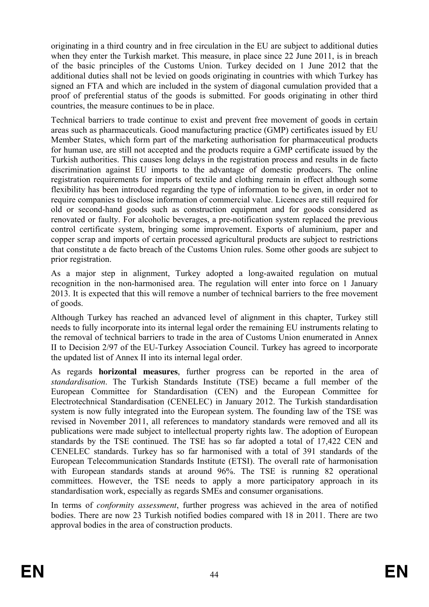originating in a third country and in free circulation in the EU are subject to additional duties when they enter the Turkish market. This measure, in place since 22 June 2011, is in breach of the basic principles of the Customs Union. Turkey decided on 1 June 2012 that the additional duties shall not be levied on goods originating in countries with which Turkey has signed an FTA and which are included in the system of diagonal cumulation provided that a proof of preferential status of the goods is submitted. For goods originating in other third countries, the measure continues to be in place.

Technical barriers to trade continue to exist and prevent free movement of goods in certain areas such as pharmaceuticals. Good manufacturing practice (GMP) certificates issued by EU Member States, which form part of the marketing authorisation for pharmaceutical products for human use, are still not accepted and the products require a GMP certificate issued by the Turkish authorities. This causes long delays in the registration process and results in de facto discrimination against EU imports to the advantage of domestic producers. The online registration requirements for imports of textile and clothing remain in effect although some flexibility has been introduced regarding the type of information to be given, in order not to require companies to disclose information of commercial value. Licences are still required for old or second-hand goods such as construction equipment and for goods considered as renovated or faulty. For alcoholic beverages, a pre-notification system replaced the previous control certificate system, bringing some improvement. Exports of aluminium, paper and copper scrap and imports of certain processed agricultural products are subject to restrictions that constitute a de facto breach of the Customs Union rules. Some other goods are subject to prior registration.

As a major step in alignment, Turkey adopted a long-awaited regulation on mutual recognition in the non-harmonised area. The regulation will enter into force on 1 January 2013. It is expected that this will remove a number of technical barriers to the free movement of goods.

Although Turkey has reached an advanced level of alignment in this chapter, Turkey still needs to fully incorporate into its internal legal order the remaining EU instruments relating to the removal of technical barriers to trade in the area of Customs Union enumerated in Annex II to Decision 2/97 of the EU-Turkey Association Council. Turkey has agreed to incorporate the updated list of Annex II into its internal legal order.

As regards **horizontal measures**, further progress can be reported in the area of *standardisation*. The Turkish Standards Institute (TSE) became a full member of the European Committee for Standardisation (CEN) and the European Committee for Electrotechnical Standardisation (CENELEC) in January 2012. The Turkish standardisation system is now fully integrated into the European system. The founding law of the TSE was revised in November 2011, all references to mandatory standards were removed and all its publications were made subject to intellectual property rights law. The adoption of European standards by the TSE continued. The TSE has so far adopted a total of 17,422 CEN and CENELEC standards. Turkey has so far harmonised with a total of 391 standards of the European Telecommunication Standards Institute (ETSI). The overall rate of harmonisation with European standards stands at around 96%. The TSE is running 82 operational committees. However, the TSE needs to apply a more participatory approach in its standardisation work, especially as regards SMEs and consumer organisations.

In terms of *conformity assessment*, further progress was achieved in the area of notified bodies. There are now 23 Turkish notified bodies compared with 18 in 2011. There are two approval bodies in the area of construction products.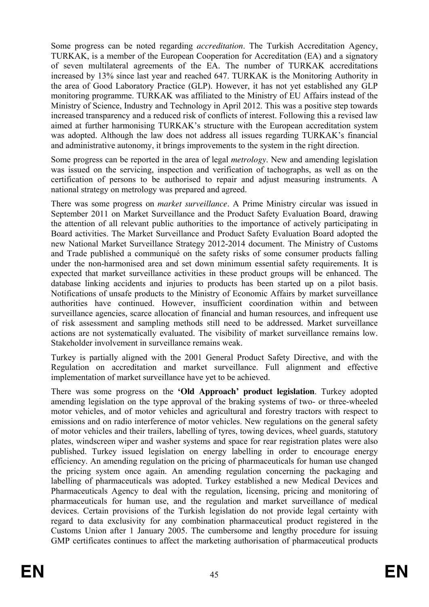Some progress can be noted regarding *accreditation*. The Turkish Accreditation Agency, TURKAK, is a member of the European Cooperation for Accreditation (EA) and a signatory of seven multilateral agreements of the EA. The number of TURKAK accreditations increased by 13% since last year and reached 647. TURKAK is the Monitoring Authority in the area of Good Laboratory Practice (GLP). However, it has not yet established any GLP monitoring programme. TURKAK was affiliated to the Ministry of EU Affairs instead of the Ministry of Science, Industry and Technology in April 2012. This was a positive step towards increased transparency and a reduced risk of conflicts of interest. Following this a revised law aimed at further harmonising TURKAK's structure with the European accreditation system was adopted. Although the law does not address all issues regarding TURKAK's financial and administrative autonomy, it brings improvements to the system in the right direction.

Some progress can be reported in the area of legal *metrology*. New and amending legislation was issued on the servicing, inspection and verification of tachographs, as well as on the certification of persons to be authorised to repair and adjust measuring instruments. A national strategy on metrology was prepared and agreed.

There was some progress on *market surveillance*. A Prime Ministry circular was issued in September 2011 on Market Surveillance and the Product Safety Evaluation Board, drawing the attention of all relevant public authorities to the importance of actively participating in Board activities. The Market Surveillance and Product Safety Evaluation Board adopted the new National Market Surveillance Strategy 2012-2014 document. The Ministry of Customs and Trade published a communiqué on the safety risks of some consumer products falling under the non-harmonised area and set down minimum essential safety requirements. It is expected that market surveillance activities in these product groups will be enhanced. The database linking accidents and injuries to products has been started up on a pilot basis. Notifications of unsafe products to the Ministry of Economic Affairs by market surveillance authorities have continued. However, insufficient coordination within and between surveillance agencies, scarce allocation of financial and human resources, and infrequent use of risk assessment and sampling methods still need to be addressed. Market surveillance actions are not systematically evaluated. The visibility of market surveillance remains low. Stakeholder involvement in surveillance remains weak.

Turkey is partially aligned with the 2001 General Product Safety Directive, and with the Regulation on accreditation and market surveillance. Full alignment and effective implementation of market surveillance have yet to be achieved.

There was some progress on the **'Old Approach' product legislation**. Turkey adopted amending legislation on the type approval of the braking systems of two- or three-wheeled motor vehicles, and of motor vehicles and agricultural and forestry tractors with respect to emissions and on radio interference of motor vehicles. New regulations on the general safety of motor vehicles and their trailers, labelling of tyres, towing devices, wheel guards, statutory plates, windscreen wiper and washer systems and space for rear registration plates were also published. Turkey issued legislation on energy labelling in order to encourage energy efficiency. An amending regulation on the pricing of pharmaceuticals for human use changed the pricing system once again. An amending regulation concerning the packaging and labelling of pharmaceuticals was adopted. Turkey established a new Medical Devices and Pharmaceuticals Agency to deal with the regulation, licensing, pricing and monitoring of pharmaceuticals for human use, and the regulation and market surveillance of medical devices. Certain provisions of the Turkish legislation do not provide legal certainty with regard to data exclusivity for any combination pharmaceutical product registered in the Customs Union after 1 January 2005. The cumbersome and lengthy procedure for issuing GMP certificates continues to affect the marketing authorisation of pharmaceutical products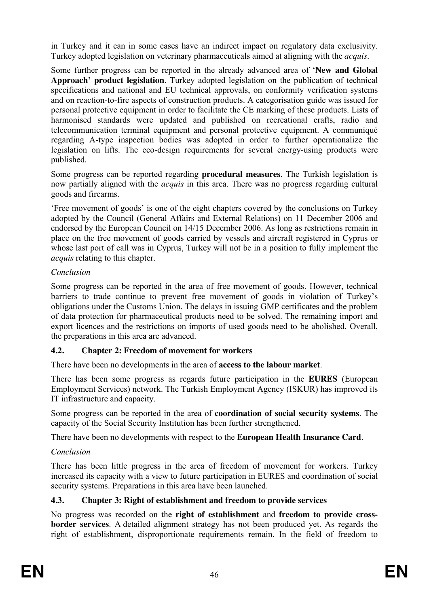in Turkey and it can in some cases have an indirect impact on regulatory data exclusivity. Turkey adopted legislation on veterinary pharmaceuticals aimed at aligning with the *acquis*.

Some further progress can be reported in the already advanced area of '**New and Global Approach' product legislation**. Turkey adopted legislation on the publication of technical specifications and national and EU technical approvals, on conformity verification systems and on reaction-to-fire aspects of construction products. A categorisation guide was issued for personal protective equipment in order to facilitate the CE marking of these products. Lists of harmonised standards were updated and published on recreational crafts, radio and telecommunication terminal equipment and personal protective equipment. A communiqué regarding A-type inspection bodies was adopted in order to further operationalize the legislation on lifts. The eco-design requirements for several energy-using products were published.

Some progress can be reported regarding **procedural measures**. The Turkish legislation is now partially aligned with the *acquis* in this area. There was no progress regarding cultural goods and firearms.

'Free movement of goods' is one of the eight chapters covered by the conclusions on Turkey adopted by the Council (General Affairs and External Relations) on 11 December 2006 and endorsed by the European Council on 14/15 December 2006. As long as restrictions remain in place on the free movement of goods carried by vessels and aircraft registered in Cyprus or whose last port of call was in Cyprus, Turkey will not be in a position to fully implement the *acquis* relating to this chapter.

## *Conclusion*

Some progress can be reported in the area of free movement of goods. However, technical barriers to trade continue to prevent free movement of goods in violation of Turkey's obligations under the Customs Union. The delays in issuing GMP certificates and the problem of data protection for pharmaceutical products need to be solved. The remaining import and export licences and the restrictions on imports of used goods need to be abolished. Overall, the preparations in this area are advanced.

### **4.2. Chapter 2: Freedom of movement for workers**

There have been no developments in the area of **access to the labour market**.

There has been some progress as regards future participation in the **EURES** (European Employment Services) network. The Turkish Employment Agency (ISKUR) has improved its IT infrastructure and capacity.

Some progress can be reported in the area of **coordination of social security systems**. The capacity of the Social Security Institution has been further strengthened.

There have been no developments with respect to the **European Health Insurance Card**.

# *Conclusion*

There has been little progress in the area of freedom of movement for workers. Turkey increased its capacity with a view to future participation in EURES and coordination of social security systems. Preparations in this area have been launched.

# **4.3. Chapter 3: Right of establishment and freedom to provide services**

No progress was recorded on the **right of establishment** and **freedom to provide crossborder services**. A detailed alignment strategy has not been produced yet. As regards the right of establishment, disproportionate requirements remain. In the field of freedom to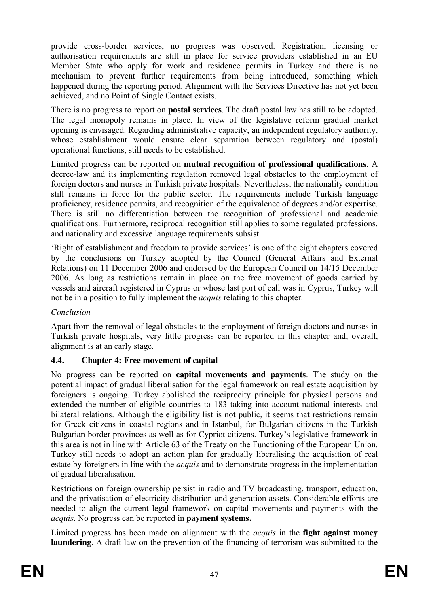provide cross-border services, no progress was observed. Registration, licensing or authorisation requirements are still in place for service providers established in an EU Member State who apply for work and residence permits in Turkey and there is no mechanism to prevent further requirements from being introduced, something which happened during the reporting period. Alignment with the Services Directive has not yet been achieved, and no Point of Single Contact exists.

There is no progress to report on **postal services**. The draft postal law has still to be adopted. The legal monopoly remains in place. In view of the legislative reform gradual market opening is envisaged. Regarding administrative capacity, an independent regulatory authority, whose establishment would ensure clear separation between regulatory and (postal) operational functions, still needs to be established.

Limited progress can be reported on **mutual recognition of professional qualifications**. A decree-law and its implementing regulation removed legal obstacles to the employment of foreign doctors and nurses in Turkish private hospitals. Nevertheless, the nationality condition still remains in force for the public sector. The requirements include Turkish language proficiency, residence permits, and recognition of the equivalence of degrees and/or expertise. There is still no differentiation between the recognition of professional and academic qualifications. Furthermore, reciprocal recognition still applies to some regulated professions, and nationality and excessive language requirements subsist.

'Right of establishment and freedom to provide services' is one of the eight chapters covered by the conclusions on Turkey adopted by the Council (General Affairs and External Relations) on 11 December 2006 and endorsed by the European Council on 14/15 December 2006. As long as restrictions remain in place on the free movement of goods carried by vessels and aircraft registered in Cyprus or whose last port of call was in Cyprus, Turkey will not be in a position to fully implement the *acquis* relating to this chapter.

# *Conclusion*

Apart from the removal of legal obstacles to the employment of foreign doctors and nurses in Turkish private hospitals, very little progress can be reported in this chapter and, overall, alignment is at an early stage.

# **4.4. Chapter 4: Free movement of capital**

No progress can be reported on **capital movements and payments**. The study on the potential impact of gradual liberalisation for the legal framework on real estate acquisition by foreigners is ongoing. Turkey abolished the reciprocity principle for physical persons and extended the number of eligible countries to 183 taking into account national interests and bilateral relations. Although the eligibility list is not public, it seems that restrictions remain for Greek citizens in coastal regions and in Istanbul, for Bulgarian citizens in the Turkish Bulgarian border provinces as well as for Cypriot citizens. Turkey's legislative framework in this area is not in line with Article 63 of the Treaty on the Functioning of the European Union. Turkey still needs to adopt an action plan for gradually liberalising the acquisition of real estate by foreigners in line with the *acquis* and to demonstrate progress in the implementation of gradual liberalisation.

Restrictions on foreign ownership persist in radio and TV broadcasting, transport, education, and the privatisation of electricity distribution and generation assets. Considerable efforts are needed to align the current legal framework on capital movements and payments with the *acquis*. No progress can be reported in **payment systems.** 

Limited progress has been made on alignment with the *acquis* in the **fight against money laundering**. A draft law on the prevention of the financing of terrorism was submitted to the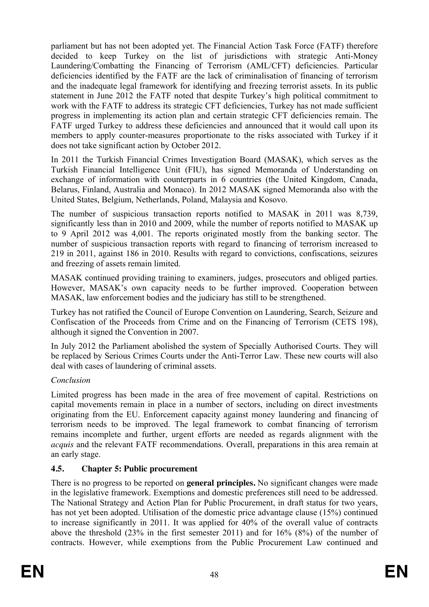parliament but has not been adopted yet. The Financial Action Task Force (FATF) therefore decided to keep Turkey on the list of jurisdictions with strategic Anti-Money Laundering/Combatting the Financing of Terrorism (AML/CFT) deficiencies. Particular deficiencies identified by the FATF are the lack of criminalisation of financing of terrorism and the inadequate legal framework for identifying and freezing terrorist assets. In its public statement in June 2012 the FATF noted that despite Turkey's high political commitment to work with the FATF to address its strategic CFT deficiencies, Turkey has not made sufficient progress in implementing its action plan and certain strategic CFT deficiencies remain. The FATF urged Turkey to address these deficiencies and announced that it would call upon its members to apply counter-measures proportionate to the risks associated with Turkey if it does not take significant action by October 2012.

In 2011 the Turkish Financial Crimes Investigation Board (MASAK), which serves as the Turkish Financial Intelligence Unit (FIU), has signed Memoranda of Understanding on exchange of information with counterparts in 6 countries (the United Kingdom, Canada, Belarus, Finland, Australia and Monaco). In 2012 MASAK signed Memoranda also with the United States, Belgium, Netherlands, Poland, Malaysia and Kosovo.

The number of suspicious transaction reports notified to MASAK in 2011 was 8,739, significantly less than in 2010 and 2009, while the number of reports notified to MASAK up to 9 April 2012 was 4,001. The reports originated mostly from the banking sector. The number of suspicious transaction reports with regard to financing of terrorism increased to 219 in 2011, against 186 in 2010. Results with regard to convictions, confiscations, seizures and freezing of assets remain limited.

MASAK continued providing training to examiners, judges, prosecutors and obliged parties. However, MASAK's own capacity needs to be further improved. Cooperation between MASAK, law enforcement bodies and the judiciary has still to be strengthened.

Turkey has not ratified the Council of Europe Convention on Laundering, Search, Seizure and Confiscation of the Proceeds from Crime and on the Financing of Terrorism (CETS 198), although it signed the Convention in 2007.

In July 2012 the Parliament abolished the system of Specially Authorised Courts. They will be replaced by Serious Crimes Courts under the Anti-Terror Law. These new courts will also deal with cases of laundering of criminal assets.

# *Conclusion*

Limited progress has been made in the area of free movement of capital. Restrictions on capital movements remain in place in a number of sectors, including on direct investments originating from the EU. Enforcement capacity against money laundering and financing of terrorism needs to be improved. The legal framework to combat financing of terrorism remains incomplete and further, urgent efforts are needed as regards alignment with the *acquis* and the relevant FATF recommendations. Overall, preparations in this area remain at an early stage.

# **4.5. Chapter 5: Public procurement**

There is no progress to be reported on **general principles.** No significant changes were made in the legislative framework. Exemptions and domestic preferences still need to be addressed. The National Strategy and Action Plan for Public Procurement, in draft status for two years, has not yet been adopted. Utilisation of the domestic price advantage clause (15%) continued to increase significantly in 2011. It was applied for 40% of the overall value of contracts above the threshold (23% in the first semester 2011) and for 16% (8%) of the number of contracts. However, while exemptions from the Public Procurement Law continued and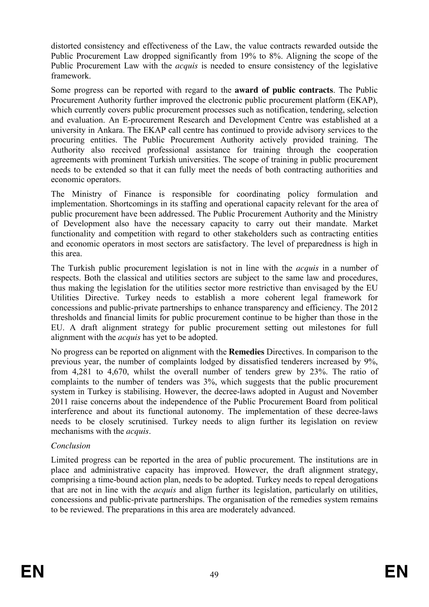distorted consistency and effectiveness of the Law, the value contracts rewarded outside the Public Procurement Law dropped significantly from 19% to 8%. Aligning the scope of the Public Procurement Law with the *acquis* is needed to ensure consistency of the legislative framework.

Some progress can be reported with regard to the **award of public contracts**. The Public Procurement Authority further improved the electronic public procurement platform (EKAP), which currently covers public procurement processes such as notification, tendering, selection and evaluation. An E-procurement Research and Development Centre was established at a university in Ankara. The EKAP call centre has continued to provide advisory services to the procuring entities. The Public Procurement Authority actively provided training. The Authority also received professional assistance for training through the cooperation agreements with prominent Turkish universities. The scope of training in public procurement needs to be extended so that it can fully meet the needs of both contracting authorities and economic operators.

The Ministry of Finance is responsible for coordinating policy formulation and implementation. Shortcomings in its staffing and operational capacity relevant for the area of public procurement have been addressed. The Public Procurement Authority and the Ministry of Development also have the necessary capacity to carry out their mandate. Market functionality and competition with regard to other stakeholders such as contracting entities and economic operators in most sectors are satisfactory. The level of preparedness is high in this area.

The Turkish public procurement legislation is not in line with the *acquis* in a number of respects. Both the classical and utilities sectors are subject to the same law and procedures, thus making the legislation for the utilities sector more restrictive than envisaged by the EU Utilities Directive. Turkey needs to establish a more coherent legal framework for concessions and public-private partnerships to enhance transparency and efficiency. The 2012 thresholds and financial limits for public procurement continue to be higher than those in the EU. A draft alignment strategy for public procurement setting out milestones for full alignment with the *acquis* has yet to be adopted.

No progress can be reported on alignment with the **Remedies** Directives. In comparison to the previous year, the number of complaints lodged by dissatisfied tenderers increased by 9%, from 4,281 to 4,670, whilst the overall number of tenders grew by 23%. The ratio of complaints to the number of tenders was 3%, which suggests that the public procurement system in Turkey is stabilising. However, the decree-laws adopted in August and November 2011 raise concerns about the independence of the Public Procurement Board from political interference and about its functional autonomy. The implementation of these decree-laws needs to be closely scrutinised. Turkey needs to align further its legislation on review mechanisms with the *acquis*.

### *Conclusion*

Limited progress can be reported in the area of public procurement. The institutions are in place and administrative capacity has improved. However, the draft alignment strategy, comprising a time-bound action plan, needs to be adopted. Turkey needs to repeal derogations that are not in line with the *acquis* and align further its legislation, particularly on utilities, concessions and public-private partnerships. The organisation of the remedies system remains to be reviewed. The preparations in this area are moderately advanced.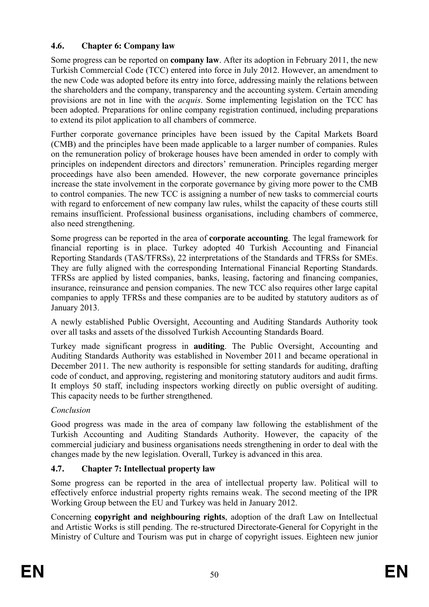# **4.6. Chapter 6: Company law**

Some progress can be reported on **company law**. After its adoption in February 2011, the new Turkish Commercial Code (TCC) entered into force in July 2012. However, an amendment to the new Code was adopted before its entry into force, addressing mainly the relations between the shareholders and the company, transparency and the accounting system. Certain amending provisions are not in line with the *acquis*. Some implementing legislation on the TCC has been adopted. Preparations for online company registration continued, including preparations to extend its pilot application to all chambers of commerce.

Further corporate governance principles have been issued by the Capital Markets Board (CMB) and the principles have been made applicable to a larger number of companies. Rules on the remuneration policy of brokerage houses have been amended in order to comply with principles on independent directors and directors' remuneration. Principles regarding merger proceedings have also been amended. However, the new corporate governance principles increase the state involvement in the corporate governance by giving more power to the CMB to control companies. The new TCC is assigning a number of new tasks to commercial courts with regard to enforcement of new company law rules, whilst the capacity of these courts still remains insufficient. Professional business organisations, including chambers of commerce, also need strengthening.

Some progress can be reported in the area of **corporate accounting**. The legal framework for financial reporting is in place. Turkey adopted 40 Turkish Accounting and Financial Reporting Standards (TAS/TFRSs), 22 interpretations of the Standards and TFRSs for SMEs. They are fully aligned with the corresponding International Financial Reporting Standards. TFRSs are applied by listed companies, banks, leasing, factoring and financing companies, insurance, reinsurance and pension companies. The new TCC also requires other large capital companies to apply TFRSs and these companies are to be audited by statutory auditors as of January 2013.

A newly established Public Oversight, Accounting and Auditing Standards Authority took over all tasks and assets of the dissolved Turkish Accounting Standards Board.

Turkey made significant progress in **auditing**. The Public Oversight, Accounting and Auditing Standards Authority was established in November 2011 and became operational in December 2011. The new authority is responsible for setting standards for auditing, drafting code of conduct, and approving, registering and monitoring statutory auditors and audit firms. It employs 50 staff, including inspectors working directly on public oversight of auditing. This capacity needs to be further strengthened.

# *Conclusion*

Good progress was made in the area of company law following the establishment of the Turkish Accounting and Auditing Standards Authority. However, the capacity of the commercial judiciary and business organisations needs strengthening in order to deal with the changes made by the new legislation. Overall, Turkey is advanced in this area.

# **4.7. Chapter 7: Intellectual property law**

Some progress can be reported in the area of intellectual property law. Political will to effectively enforce industrial property rights remains weak. The second meeting of the IPR Working Group between the EU and Turkey was held in January 2012.

Concerning **copyright and neighbouring rights**, adoption of the draft Law on Intellectual and Artistic Works is still pending. The re-structured Directorate-General for Copyright in the Ministry of Culture and Tourism was put in charge of copyright issues. Eighteen new junior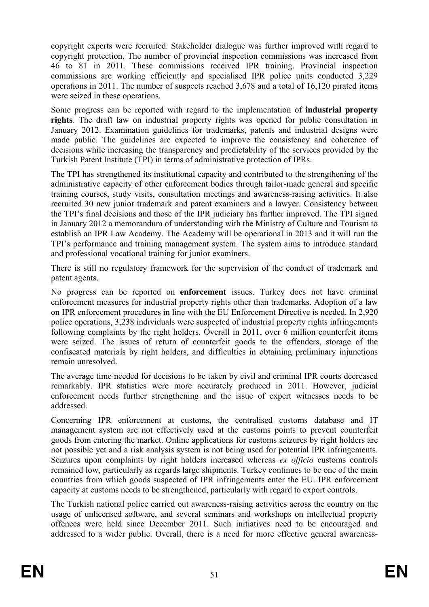copyright experts were recruited. Stakeholder dialogue was further improved with regard to copyright protection. The number of provincial inspection commissions was increased from 46 to 81 in 2011. These commissions received IPR training. Provincial inspection commissions are working efficiently and specialised IPR police units conducted 3,229 operations in 2011. The number of suspects reached 3,678 and a total of 16,120 pirated items were seized in these operations.

Some progress can be reported with regard to the implementation of **industrial property rights**. The draft law on industrial property rights was opened for public consultation in January 2012. Examination guidelines for trademarks, patents and industrial designs were made public. The guidelines are expected to improve the consistency and coherence of decisions while increasing the transparency and predictability of the services provided by the Turkish Patent Institute (TPI) in terms of administrative protection of IPRs.

The TPI has strengthened its institutional capacity and contributed to the strengthening of the administrative capacity of other enforcement bodies through tailor-made general and specific training courses, study visits, consultation meetings and awareness-raising activities. It also recruited 30 new junior trademark and patent examiners and a lawyer. Consistency between the TPI's final decisions and those of the IPR judiciary has further improved. The TPI signed in January 2012 a memorandum of understanding with the Ministry of Culture and Tourism to establish an IPR Law Academy. The Academy will be operational in 2013 and it will run the TPI's performance and training management system. The system aims to introduce standard and professional vocational training for junior examiners.

There is still no regulatory framework for the supervision of the conduct of trademark and patent agents.

No progress can be reported on **enforcement** issues. Turkey does not have criminal enforcement measures for industrial property rights other than trademarks. Adoption of a law on IPR enforcement procedures in line with the EU Enforcement Directive is needed. In 2,920 police operations, 3,238 individuals were suspected of industrial property rights infringements following complaints by the right holders. Overall in 2011, over 6 million counterfeit items were seized. The issues of return of counterfeit goods to the offenders, storage of the confiscated materials by right holders, and difficulties in obtaining preliminary injunctions remain unresolved.

The average time needed for decisions to be taken by civil and criminal IPR courts decreased remarkably. IPR statistics were more accurately produced in 2011. However, judicial enforcement needs further strengthening and the issue of expert witnesses needs to be addressed.

Concerning IPR enforcement at customs, the centralised customs database and IT management system are not effectively used at the customs points to prevent counterfeit goods from entering the market. Online applications for customs seizures by right holders are not possible yet and a risk analysis system is not being used for potential IPR infringements. Seizures upon complaints by right holders increased whereas *ex officio* customs controls remained low, particularly as regards large shipments. Turkey continues to be one of the main countries from which goods suspected of IPR infringements enter the EU. IPR enforcement capacity at customs needs to be strengthened, particularly with regard to export controls.

The Turkish national police carried out awareness-raising activities across the country on the usage of unlicensed software, and several seminars and workshops on intellectual property offences were held since December 2011. Such initiatives need to be encouraged and addressed to a wider public. Overall, there is a need for more effective general awareness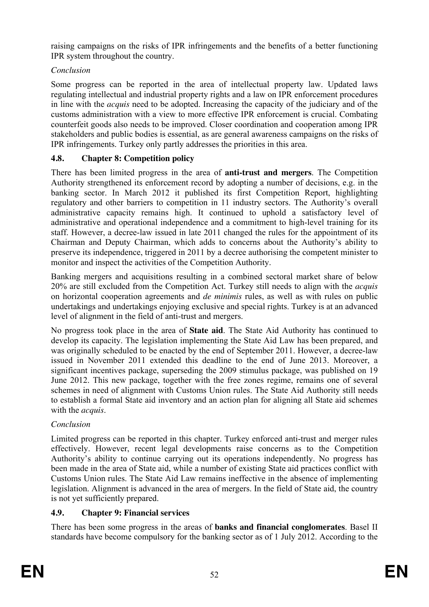raising campaigns on the risks of IPR infringements and the benefits of a better functioning IPR system throughout the country.

# *Conclusion*

Some progress can be reported in the area of intellectual property law. Updated laws regulating intellectual and industrial property rights and a law on IPR enforcement procedures in line with the *acquis* need to be adopted. Increasing the capacity of the judiciary and of the customs administration with a view to more effective IPR enforcement is crucial. Combating counterfeit goods also needs to be improved. Closer coordination and cooperation among IPR stakeholders and public bodies is essential, as are general awareness campaigns on the risks of IPR infringements. Turkey only partly addresses the priorities in this area.

# **4.8. Chapter 8: Competition policy**

There has been limited progress in the area of **anti-trust and mergers**. The Competition Authority strengthened its enforcement record by adopting a number of decisions, e.g. in the banking sector. In March 2012 it published its first Competition Report, highlighting regulatory and other barriers to competition in 11 industry sectors. The Authority's overall administrative capacity remains high. It continued to uphold a satisfactory level of administrative and operational independence and a commitment to high-level training for its staff. However, a decree-law issued in late 2011 changed the rules for the appointment of its Chairman and Deputy Chairman, which adds to concerns about the Authority's ability to preserve its independence, triggered in 2011 by a decree authorising the competent minister to monitor and inspect the activities of the Competition Authority.

Banking mergers and acquisitions resulting in a combined sectoral market share of below 20% are still excluded from the Competition Act. Turkey still needs to align with the *acquis* on horizontal cooperation agreements and *de minimis* rules, as well as with rules on public undertakings and undertakings enjoying exclusive and special rights. Turkey is at an advanced level of alignment in the field of anti-trust and mergers.

No progress took place in the area of **State aid**. The State Aid Authority has continued to develop its capacity. The legislation implementing the State Aid Law has been prepared, and was originally scheduled to be enacted by the end of September 2011. However, a decree-law issued in November 2011 extended this deadline to the end of June 2013. Moreover, a significant incentives package, superseding the 2009 stimulus package, was published on 19 June 2012. This new package, together with the free zones regime, remains one of several schemes in need of alignment with Customs Union rules. The State Aid Authority still needs to establish a formal State aid inventory and an action plan for aligning all State aid schemes with the *acquis*.

# *Conclusion*

Limited progress can be reported in this chapter. Turkey enforced anti-trust and merger rules effectively. However, recent legal developments raise concerns as to the Competition Authority's ability to continue carrying out its operations independently. No progress has been made in the area of State aid, while a number of existing State aid practices conflict with Customs Union rules. The State Aid Law remains ineffective in the absence of implementing legislation. Alignment is advanced in the area of mergers. In the field of State aid, the country is not yet sufficiently prepared.

# **4.9. Chapter 9: Financial services**

There has been some progress in the areas of **banks and financial conglomerates**. Basel II standards have become compulsory for the banking sector as of 1 July 2012. According to the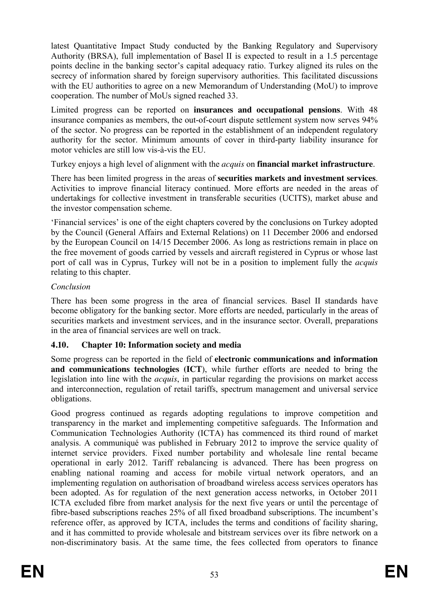latest Quantitative Impact Study conducted by the Banking Regulatory and Supervisory Authority (BRSA), full implementation of Basel II is expected to result in a 1.5 percentage points decline in the banking sector's capital adequacy ratio. Turkey aligned its rules on the secrecy of information shared by foreign supervisory authorities. This facilitated discussions with the EU authorities to agree on a new Memorandum of Understanding (MoU) to improve cooperation. The number of MoUs signed reached 33.

Limited progress can be reported on **insurances and occupational pensions**. With 48 insurance companies as members, the out-of-court dispute settlement system now serves 94% of the sector. No progress can be reported in the establishment of an independent regulatory authority for the sector. Minimum amounts of cover in third-party liability insurance for motor vehicles are still low vis-à-vis the EU.

Turkey enjoys a high level of alignment with the *acquis* on **financial market infrastructure**.

There has been limited progress in the areas of **securities markets and investment services**. Activities to improve financial literacy continued. More efforts are needed in the areas of undertakings for collective investment in transferable securities (UCITS), market abuse and the investor compensation scheme.

'Financial services' is one of the eight chapters covered by the conclusions on Turkey adopted by the Council (General Affairs and External Relations) on 11 December 2006 and endorsed by the European Council on 14/15 December 2006. As long as restrictions remain in place on the free movement of goods carried by vessels and aircraft registered in Cyprus or whose last port of call was in Cyprus, Turkey will not be in a position to implement fully the *acquis* relating to this chapter.

# *Conclusion*

There has been some progress in the area of financial services. Basel II standards have become obligatory for the banking sector. More efforts are needed, particularly in the areas of securities markets and investment services, and in the insurance sector. Overall, preparations in the area of financial services are well on track.

# **4.10. Chapter 10: Information society and media**

Some progress can be reported in the field of **electronic communications and information and communications technologies (ICT**), while further efforts are needed to bring the legislation into line with the *acquis*, in particular regarding the provisions on market access and interconnection, regulation of retail tariffs, spectrum management and universal service obligations.

Good progress continued as regards adopting regulations to improve competition and transparency in the market and implementing competitive safeguards. The Information and Communication Technologies Authority (ICTA) has commenced its third round of market analysis. A communiqué was published in February 2012 to improve the service quality of internet service providers. Fixed number portability and wholesale line rental became operational in early 2012. Tariff rebalancing is advanced. There has been progress on enabling national roaming and access for mobile virtual network operators, and an implementing regulation on authorisation of broadband wireless access services operators has been adopted. As for regulation of the next generation access networks, in October 2011 ICTA excluded fibre from market analysis for the next five years or until the percentage of fibre-based subscriptions reaches 25% of all fixed broadband subscriptions. The incumbent's reference offer, as approved by ICTA, includes the terms and conditions of facility sharing, and it has committed to provide wholesale and bitstream services over its fibre network on a non-discriminatory basis. At the same time, the fees collected from operators to finance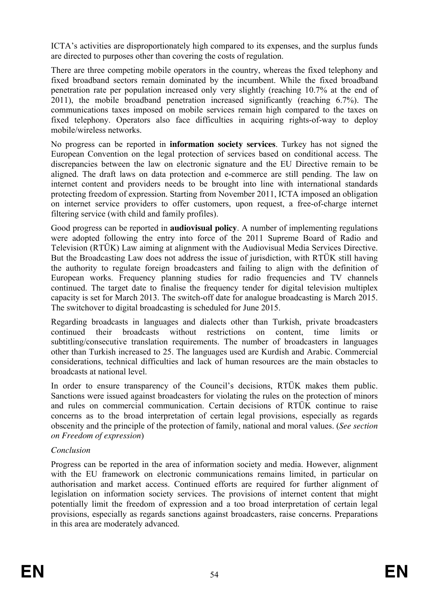ICTA's activities are disproportionately high compared to its expenses, and the surplus funds are directed to purposes other than covering the costs of regulation.

There are three competing mobile operators in the country, whereas the fixed telephony and fixed broadband sectors remain dominated by the incumbent. While the fixed broadband penetration rate per population increased only very slightly (reaching 10.7% at the end of 2011), the mobile broadband penetration increased significantly (reaching 6.7%). The communications taxes imposed on mobile services remain high compared to the taxes on fixed telephony. Operators also face difficulties in acquiring rights-of-way to deploy mobile/wireless networks.

No progress can be reported in **information society services**. Turkey has not signed the European Convention on the legal protection of services based on conditional access. The discrepancies between the law on electronic signature and the EU Directive remain to be aligned. The draft laws on data protection and e-commerce are still pending. The law on internet content and providers needs to be brought into line with international standards protecting freedom of expression. Starting from November 2011, ICTA imposed an obligation on internet service providers to offer customers, upon request, a free-of-charge internet filtering service (with child and family profiles).

Good progress can be reported in **audiovisual policy**. A number of implementing regulations were adopted following the entry into force of the 2011 Supreme Board of Radio and Television (RTÜK) Law aiming at alignment with the Audiovisual Media Services Directive. But the Broadcasting Law does not address the issue of jurisdiction, with RTÜK still having the authority to regulate foreign broadcasters and failing to align with the definition of European works. Frequency planning studies for radio frequencies and TV channels continued. The target date to finalise the frequency tender for digital television multiplex capacity is set for March 2013. The switch-off date for analogue broadcasting is March 2015. The switchover to digital broadcasting is scheduled for June 2015.

Regarding broadcasts in languages and dialects other than Turkish, private broadcasters continued their broadcasts without restrictions on content, time limits subtitling/consecutive translation requirements. The number of broadcasters in languages other than Turkish increased to 25. The languages used are Kurdish and Arabic. Commercial considerations, technical difficulties and lack of human resources are the main obstacles to broadcasts at national level.

In order to ensure transparency of the Council's decisions, RTÜK makes them public. Sanctions were issued against broadcasters for violating the rules on the protection of minors and rules on commercial communication. Certain decisions of RTÜK continue to raise concerns as to the broad interpretation of certain legal provisions, especially as regards obscenity and the principle of the protection of family, national and moral values. (*See section on Freedom of expression*)

### *Conclusion*

Progress can be reported in the area of information society and media. However, alignment with the EU framework on electronic communications remains limited, in particular on authorisation and market access. Continued efforts are required for further alignment of legislation on information society services. The provisions of internet content that might potentially limit the freedom of expression and a too broad interpretation of certain legal provisions, especially as regards sanctions against broadcasters, raise concerns. Preparations in this area are moderately advanced.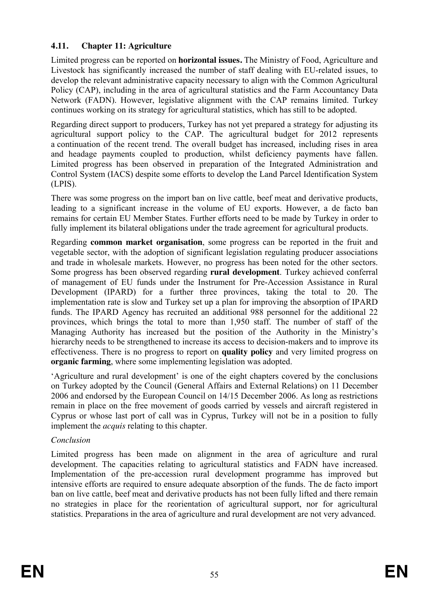## **4.11. Chapter 11: Agriculture**

Limited progress can be reported on **horizontal issues.** The Ministry of Food, Agriculture and Livestock has significantly increased the number of staff dealing with EU-related issues, to develop the relevant administrative capacity necessary to align with the Common Agricultural Policy (CAP), including in the area of agricultural statistics and the Farm Accountancy Data Network (FADN). However, legislative alignment with the CAP remains limited. Turkey continues working on its strategy for agricultural statistics, which has still to be adopted.

Regarding direct support to producers, Turkey has not yet prepared a strategy for adjusting its agricultural support policy to the CAP. The agricultural budget for 2012 represents a continuation of the recent trend. The overall budget has increased, including rises in area and headage payments coupled to production, whilst deficiency payments have fallen. Limited progress has been observed in preparation of the Integrated Administration and Control System (IACS) despite some efforts to develop the Land Parcel Identification System (LPIS).

There was some progress on the import ban on live cattle, beef meat and derivative products, leading to a significant increase in the volume of EU exports. However, a de facto ban remains for certain EU Member States. Further efforts need to be made by Turkey in order to fully implement its bilateral obligations under the trade agreement for agricultural products.

Regarding **common market organisation**, some progress can be reported in the fruit and vegetable sector, with the adoption of significant legislation regulating producer associations and trade in wholesale markets. However, no progress has been noted for the other sectors. Some progress has been observed regarding **rural development**. Turkey achieved conferral of management of EU funds under the Instrument for Pre-Accession Assistance in Rural Development (IPARD) for a further three provinces, taking the total to 20. The implementation rate is slow and Turkey set up a plan for improving the absorption of IPARD funds. The IPARD Agency has recruited an additional 988 personnel for the additional 22 provinces, which brings the total to more than 1,950 staff. The number of staff of the Managing Authority has increased but the position of the Authority in the Ministry's hierarchy needs to be strengthened to increase its access to decision-makers and to improve its effectiveness. There is no progress to report on **quality policy** and very limited progress on **organic farming**, where some implementing legislation was adopted.

'Agriculture and rural development' is one of the eight chapters covered by the conclusions on Turkey adopted by the Council (General Affairs and External Relations) on 11 December 2006 and endorsed by the European Council on 14/15 December 2006. As long as restrictions remain in place on the free movement of goods carried by vessels and aircraft registered in Cyprus or whose last port of call was in Cyprus, Turkey will not be in a position to fully implement the *acquis* relating to this chapter.

### *Conclusion*

Limited progress has been made on alignment in the area of agriculture and rural development. The capacities relating to agricultural statistics and FADN have increased. Implementation of the pre-accession rural development programme has improved but intensive efforts are required to ensure adequate absorption of the funds. The de facto import ban on live cattle, beef meat and derivative products has not been fully lifted and there remain no strategies in place for the reorientation of agricultural support, nor for agricultural statistics. Preparations in the area of agriculture and rural development are not very advanced.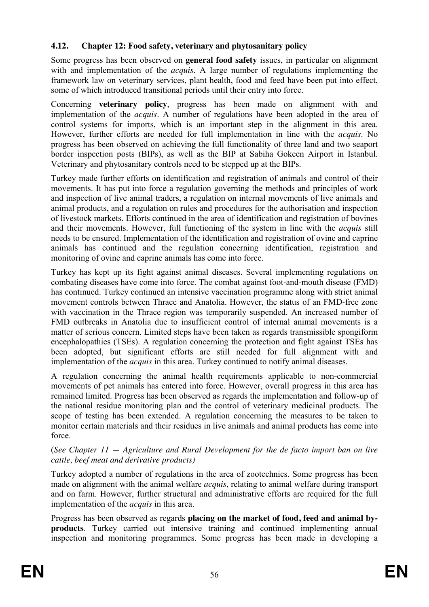## **4.12. Chapter 12: Food safety, veterinary and phytosanitary policy**

Some progress has been observed on **general food safety** issues, in particular on alignment with and implementation of the *acquis*. A large number of regulations implementing the framework law on veterinary services, plant health, food and feed have been put into effect, some of which introduced transitional periods until their entry into force.

Concerning **veterinary policy**, progress has been made on alignment with and implementation of the *acquis*. A number of regulations have been adopted in the area of control systems for imports, which is an important step in the alignment in this area. However, further efforts are needed for full implementation in line with the *acquis*. No progress has been observed on achieving the full functionality of three land and two seaport border inspection posts (BIPs), as well as the BIP at Sabiha Gokcen Airport in Istanbul. Veterinary and phytosanitary controls need to be stepped up at the BIPs.

Turkey made further efforts on identification and registration of animals and control of their movements. It has put into force a regulation governing the methods and principles of work and inspection of live animal traders, a regulation on internal movements of live animals and animal products, and a regulation on rules and procedures for the authorisation and inspection of livestock markets. Efforts continued in the area of identification and registration of bovines and their movements. However, full functioning of the system in line with the *acquis* still needs to be ensured. Implementation of the identification and registration of ovine and caprine animals has continued and the regulation concerning identification, registration and monitoring of ovine and caprine animals has come into force.

Turkey has kept up its fight against animal diseases. Several implementing regulations on combating diseases have come into force. The combat against foot-and-mouth disease (FMD) has continued. Turkey continued an intensive vaccination programme along with strict animal movement controls between Thrace and Anatolia. However, the status of an FMD-free zone with vaccination in the Thrace region was temporarily suspended. An increased number of FMD outbreaks in Anatolia due to insufficient control of internal animal movements is a matter of serious concern. Limited steps have been taken as regards transmissible spongiform encephalopathies (TSEs). A regulation concerning the protection and fight against TSEs has been adopted, but significant efforts are still needed for full alignment with and implementation of the *acquis* in this area. Turkey continued to notify animal diseases.

A regulation concerning the animal health requirements applicable to non-commercial movements of pet animals has entered into force. However, overall progress in this area has remained limited. Progress has been observed as regards the implementation and follow-up of the national residue monitoring plan and the control of veterinary medicinal products. The scope of testing has been extended. A regulation concerning the measures to be taken to monitor certain materials and their residues in live animals and animal products has come into force.

#### (*See Chapter 11 — Agriculture and Rural Development for the de facto import ban on live cattle, beef meat and derivative products)*

Turkey adopted a number of regulations in the area of zootechnics. Some progress has been made on alignment with the animal welfare *acquis*, relating to animal welfare during transport and on farm. However, further structural and administrative efforts are required for the full implementation of the *acquis* in this area.

Progress has been observed as regards **placing on the market of food, feed and animal byproducts**. Turkey carried out intensive training and continued implementing annual inspection and monitoring programmes. Some progress has been made in developing a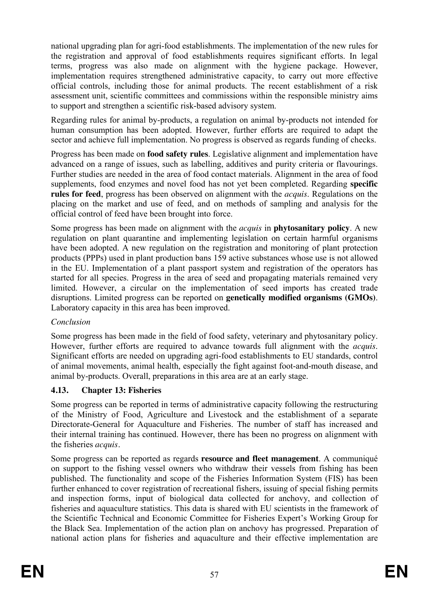national upgrading plan for agri-food establishments. The implementation of the new rules for the registration and approval of food establishments requires significant efforts. In legal terms, progress was also made on alignment with the hygiene package. However, implementation requires strengthened administrative capacity, to carry out more effective official controls, including those for animal products. The recent establishment of a risk assessment unit, scientific committees and commissions within the responsible ministry aims to support and strengthen a scientific risk-based advisory system.

Regarding rules for animal by-products, a regulation on animal by-products not intended for human consumption has been adopted. However, further efforts are required to adapt the sector and achieve full implementation. No progress is observed as regards funding of checks.

Progress has been made on **food safety rules**. Legislative alignment and implementation have advanced on a range of issues, such as labelling, additives and purity criteria or flavourings. Further studies are needed in the area of food contact materials. Alignment in the area of food supplements, food enzymes and novel food has not yet been completed. Regarding **specific rules for feed**, progress has been observed on alignment with the *acquis*. Regulations on the placing on the market and use of feed, and on methods of sampling and analysis for the official control of feed have been brought into force.

Some progress has been made on alignment with the *acquis* in **phytosanitary policy**. A new regulation on plant quarantine and implementing legislation on certain harmful organisms have been adopted. A new regulation on the registration and monitoring of plant protection products (PPPs) used in plant production bans 159 active substances whose use is not allowed in the EU. Implementation of a plant passport system and registration of the operators has started for all species. Progress in the area of seed and propagating materials remained very limited. However, a circular on the implementation of seed imports has created trade disruptions. Limited progress can be reported on **genetically modified organisms (GMOs)**. Laboratory capacity in this area has been improved.

### *Conclusion*

Some progress has been made in the field of food safety, veterinary and phytosanitary policy. However, further efforts are required to advance towards full alignment with the *acquis*. Significant efforts are needed on upgrading agri-food establishments to EU standards, control of animal movements, animal health, especially the fight against foot-and-mouth disease, and animal by-products. Overall, preparations in this area are at an early stage.

### **4.13. Chapter 13: Fisheries**

Some progress can be reported in terms of administrative capacity following the restructuring of the Ministry of Food, Agriculture and Livestock and the establishment of a separate Directorate-General for Aquaculture and Fisheries. The number of staff has increased and their internal training has continued. However, there has been no progress on alignment with the fisheries *acquis.*

Some progress can be reported as regards **resource and fleet management**. A communiqué on support to the fishing vessel owners who withdraw their vessels from fishing has been published. The functionality and scope of the Fisheries Information System (FIS) has been further enhanced to cover registration of recreational fishers, issuing of special fishing permits and inspection forms, input of biological data collected for anchovy, and collection of fisheries and aquaculture statistics. This data is shared with EU scientists in the framework of the Scientific Technical and Economic Committee for Fisheries Expert's Working Group for the Black Sea. Implementation of the action plan on anchovy has progressed. Preparation of national action plans for fisheries and aquaculture and their effective implementation are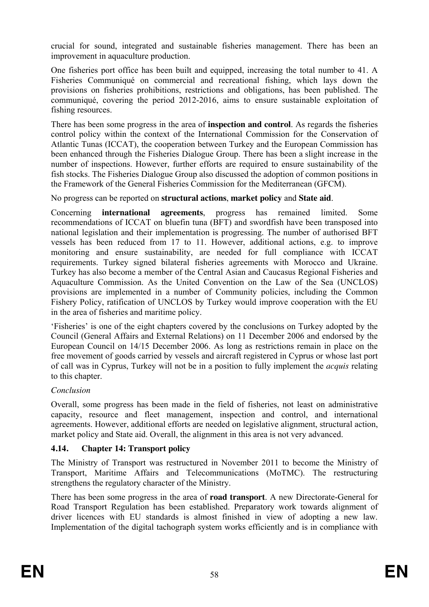crucial for sound, integrated and sustainable fisheries management. There has been an improvement in aquaculture production.

One fisheries port office has been built and equipped, increasing the total number to 41. A Fisheries Communiqué on commercial and recreational fishing, which lays down the provisions on fisheries prohibitions, restrictions and obligations, has been published. The communiqué, covering the period 2012-2016, aims to ensure sustainable exploitation of fishing resources.

There has been some progress in the area of **inspection and control**. As regards the fisheries control policy within the context of the International Commission for the Conservation of Atlantic Tunas (ICCAT), the cooperation between Turkey and the European Commission has been enhanced through the Fisheries Dialogue Group. There has been a slight increase in the number of inspections. However, further efforts are required to ensure sustainability of the fish stocks. The Fisheries Dialogue Group also discussed the adoption of common positions in the Framework of the General Fisheries Commission for the Mediterranean (GFCM).

No progress can be reported on **structural actions**, **market policy** and **State aid**.

Concerning **international agreements**, progress has remained limited. Some recommendations of ICCAT on bluefin tuna (BFT) and swordfish have been transposed into national legislation and their implementation is progressing. The number of authorised BFT vessels has been reduced from 17 to 11. However, additional actions, e.g. to improve monitoring and ensure sustainability, are needed for full compliance with ICCAT requirements. Turkey signed bilateral fisheries agreements with Morocco and Ukraine. Turkey has also become a member of the Central Asian and Caucasus Regional Fisheries and Aquaculture Commission. As the United Convention on the Law of the Sea (UNCLOS) provisions are implemented in a number of Community policies, including the Common Fishery Policy, ratification of UNCLOS by Turkey would improve cooperation with the EU in the area of fisheries and maritime policy.

'Fisheries' is one of the eight chapters covered by the conclusions on Turkey adopted by the Council (General Affairs and External Relations) on 11 December 2006 and endorsed by the European Council on 14/15 December 2006. As long as restrictions remain in place on the free movement of goods carried by vessels and aircraft registered in Cyprus or whose last port of call was in Cyprus, Turkey will not be in a position to fully implement the *acquis* relating to this chapter.

### *Conclusion*

Overall, some progress has been made in the field of fisheries, not least on administrative capacity, resource and fleet management, inspection and control, and international agreements. However, additional efforts are needed on legislative alignment, structural action, market policy and State aid. Overall, the alignment in this area is not very advanced.

# **4.14. Chapter 14: Transport policy**

The Ministry of Transport was restructured in November 2011 to become the Ministry of Transport, Maritime Affairs and Telecommunications (MoTMC). The restructuring strengthens the regulatory character of the Ministry.

There has been some progress in the area of **road transport**. A new Directorate-General for Road Transport Regulation has been established. Preparatory work towards alignment of driver licences with EU standards is almost finished in view of adopting a new law. Implementation of the digital tachograph system works efficiently and is in compliance with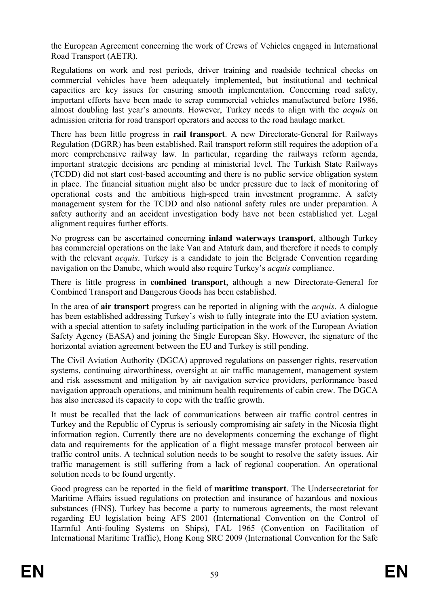the European Agreement concerning the work of Crews of Vehicles engaged in International Road Transport (AETR).

Regulations on work and rest periods, driver training and roadside technical checks on commercial vehicles have been adequately implemented, but institutional and technical capacities are key issues for ensuring smooth implementation. Concerning road safety, important efforts have been made to scrap commercial vehicles manufactured before 1986, almost doubling last year's amounts. However, Turkey needs to align with the *acquis* on admission criteria for road transport operators and access to the road haulage market.

There has been little progress in **rail transport**. A new Directorate-General for Railways Regulation (DGRR) has been established. Rail transport reform still requires the adoption of a more comprehensive railway law. In particular, regarding the railways reform agenda, important strategic decisions are pending at ministerial level. The Turkish State Railways (TCDD) did not start cost-based accounting and there is no public service obligation system in place. The financial situation might also be under pressure due to lack of monitoring of operational costs and the ambitious high-speed train investment programme. A safety management system for the TCDD and also national safety rules are under preparation. A safety authority and an accident investigation body have not been established yet. Legal alignment requires further efforts.

No progress can be ascertained concerning **inland waterways transport**, although Turkey has commercial operations on the lake Van and Ataturk dam, and therefore it needs to comply with the relevant *acquis*. Turkey is a candidate to join the Belgrade Convention regarding navigation on the Danube, which would also require Turkey's *acquis* compliance.

There is little progress in **combined transport**, although a new Directorate-General for Combined Transport and Dangerous Goods has been established.

In the area of **air transport** progress can be reported in aligning with the *acquis*. A dialogue has been established addressing Turkey's wish to fully integrate into the EU aviation system, with a special attention to safety including participation in the work of the European Aviation Safety Agency (EASA) and joining the Single European Sky. However, the signature of the horizontal aviation agreement between the EU and Turkey is still pending.

The Civil Aviation Authority (DGCA) approved regulations on passenger rights, reservation systems, continuing airworthiness, oversight at air traffic management, management system and risk assessment and mitigation by air navigation service providers, performance based navigation approach operations, and minimum health requirements of cabin crew. The DGCA has also increased its capacity to cope with the traffic growth.

It must be recalled that the lack of communications between air traffic control centres in Turkey and the Republic of Cyprus is seriously compromising air safety in the Nicosia flight information region. Currently there are no developments concerning the exchange of flight data and requirements for the application of a flight message transfer protocol between air traffic control units. A technical solution needs to be sought to resolve the safety issues. Air traffic management is still suffering from a lack of regional cooperation. An operational solution needs to be found urgently.

Good progress can be reported in the field of **maritime transport**. The Undersecretariat for Maritime Affairs issued regulations on protection and insurance of hazardous and noxious substances (HNS). Turkey has become a party to numerous agreements, the most relevant regarding EU legislation being AFS 2001 (International Convention on the Control of Harmful Anti-fouling Systems on Ships), FAL 1965 (Convention on Facilitation of International Maritime Traffic), Hong Kong SRC 2009 (International Convention for the Safe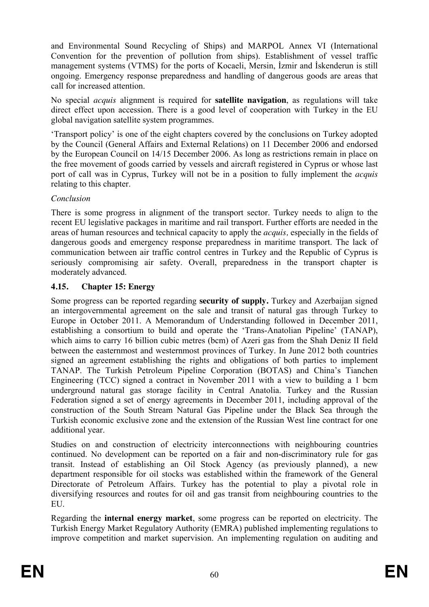and Environmental Sound Recycling of Ships) and MARPOL Annex VI (International Convention for the prevention of pollution from ships). Establishment of vessel traffic management systems (VTMS) for the ports of Kocaeli, Mersin, İzmir and İskenderun is still ongoing. Emergency response preparedness and handling of dangerous goods are areas that call for increased attention.

No special *acquis* alignment is required for **satellite navigation**, as regulations will take direct effect upon accession. There is a good level of cooperation with Turkey in the EU global navigation satellite system programmes.

'Transport policy' is one of the eight chapters covered by the conclusions on Turkey adopted by the Council (General Affairs and External Relations) on 11 December 2006 and endorsed by the European Council on 14/15 December 2006. As long as restrictions remain in place on the free movement of goods carried by vessels and aircraft registered in Cyprus or whose last port of call was in Cyprus, Turkey will not be in a position to fully implement the *acquis*  relating to this chapter.

#### *Conclusion*

There is some progress in alignment of the transport sector. Turkey needs to align to the recent EU legislative packages in maritime and rail transport. Further efforts are needed in the areas of human resources and technical capacity to apply the *acquis,* especially in the fields of dangerous goods and emergency response preparedness in maritime transport. The lack of communication between air traffic control centres in Turkey and the Republic of Cyprus is seriously compromising air safety. Overall, preparedness in the transport chapter is moderately advanced.

### **4.15. Chapter 15: Energy**

Some progress can be reported regarding **security of supply.** Turkey and Azerbaijan signed an intergovernmental agreement on the sale and transit of natural gas through Turkey to Europe in October 2011. A Memorandum of Understanding followed in December 2011, establishing a consortium to build and operate the 'Trans-Anatolian Pipeline' (TANAP), which aims to carry 16 billion cubic metres (bcm) of Azeri gas from the Shah Deniz II field between the easternmost and westernmost provinces of Turkey. In June 2012 both countries signed an agreement establishing the rights and obligations of both parties to implement TANAP. The Turkish Petroleum Pipeline Corporation (BOTAS) and China's Tianchen Engineering (TCC) signed a contract in November 2011 with a view to building a 1 bcm underground natural gas storage facility in Central Anatolia. Turkey and the Russian Federation signed a set of energy agreements in December 2011, including approval of the construction of the South Stream Natural Gas Pipeline under the Black Sea through the Turkish economic exclusive zone and the extension of the Russian West line contract for one additional year.

Studies on and construction of electricity interconnections with neighbouring countries continued. No development can be reported on a fair and non-discriminatory rule for gas transit. Instead of establishing an Oil Stock Agency (as previously planned), a new department responsible for oil stocks was established within the framework of the General Directorate of Petroleum Affairs. Turkey has the potential to play a pivotal role in diversifying resources and routes for oil and gas transit from neighbouring countries to the EU.

Regarding the **internal energy market**, some progress can be reported on electricity. The Turkish Energy Market Regulatory Authority (EMRA) published implementing regulations to improve competition and market supervision. An implementing regulation on auditing and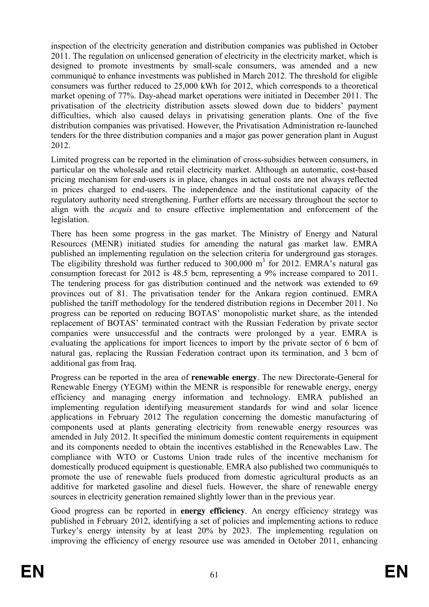inspection of the electricity generation and distribution companies was published in October 2011. The regulation on unlicensed generation of electricity in the electricity market, which is designed to promote investments by small-scale consumers, was amended and a new communiqué to enhance investments was published in March 2012. The threshold for eligible consumers was further reduced to 25,000 kWh for 2012, which corresponds to a theoretical market opening of 77%. Day-ahead market operations were initiated in December 2011. The privatisation of the electricity distribution assets slowed down due to bidders' payment difficulties, which also caused delays in privatising generation plants. One of the five distribution companies was privatised. However, the Privatisation Administration re-launched tenders for the three distribution companies and a major gas power generation plant in August 2012.

Limited progress can be reported in the elimination of cross-subsidies between consumers, in particular on the wholesale and retail electricity market. Although an automatic, cost-based pricing mechanism for end-users is in place, changes in actual costs are not always reflected in prices charged to end-users. The independence and the institutional capacity of the regulatory authority need strengthening. Further efforts are necessary throughout the sector to align with the *acquis* and to ensure effective implementation and enforcement of the legislation.

There has been some progress in the gas market. The Ministry of Energy and Natural Resources (MENR) initiated studies for amending the natural gas market law. EMRA published an implementing regulation on the selection criteria for underground gas storages. The eligibility threshold was further reduced to  $300,000 \text{ m}^3$  for 2012. EMRA's natural gas consumption forecast for 2012 is 48.5 bcm, representing a 9% increase compared to 2011. The tendering process for gas distribution continued and the network was extended to 69 provinces out of 81. The privatisation tender for the Ankara region continued. EMRA published the tariff methodology for the tendered distribution regions in December 2011. No progress can be reported on reducing BOTAS' monopolistic market share, as the intended replacement of BOTAS' terminated contract with the Russian Federation by private sector companies were unsuccessful and the contracts were prolonged by a year. EMRA is evaluating the applications for import licences to import by the private sector of 6 bcm of natural gas, replacing the Russian Federation contract upon its termination, and 3 bcm of additional gas from Iraq.

Progress can be reported in the area of **renewable energy**. The new Directorate-General for Renewable Energy (YEGM) within the MENR is responsible for renewable energy, energy efficiency and managing energy information and technology. EMRA published an implementing regulation identifying measurement standards for wind and solar licence applications in February 2012 The regulation concerning the domestic manufacturing of components used at plants generating electricity from renewable energy resources was amended in July 2012. It specified the minimum domestic content requirements in equipment and its components needed to obtain the incentives established in the Renewables Law. The compliance with WTO or Customs Union trade rules of the incentive mechanism for domestically produced equipment is questionable. EMRA also published two communiqués to promote the use of renewable fuels produced from domestic agricultural products as an additive for marketed gasoline and diesel fuels. However, the share of renewable energy sources in electricity generation remained slightly lower than in the previous year.

Good progress can be reported in **energy efficiency**. An energy efficiency strategy was published in February 2012, identifying a set of policies and implementing actions to reduce Turkey's energy intensity by at least 20% by 2023. The implementing regulation on improving the efficiency of energy resource use was amended in October 2011, enhancing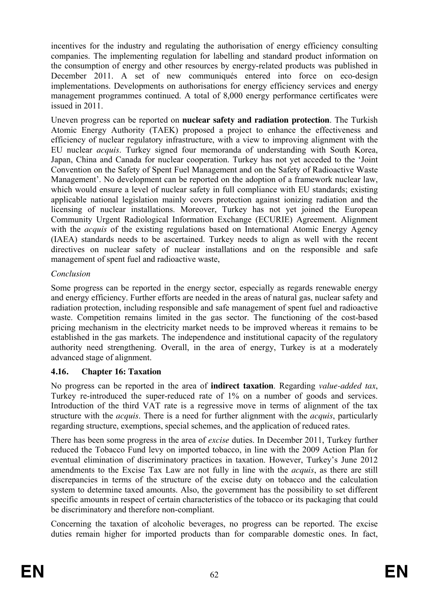incentives for the industry and regulating the authorisation of energy efficiency consulting companies. The implementing regulation for labelling and standard product information on the consumption of energy and other resources by energy-related products was published in December 2011. A set of new communiqués entered into force on eco-design implementations. Developments on authorisations for energy efficiency services and energy management programmes continued. A total of 8,000 energy performance certificates were issued in 2011.

Uneven progress can be reported on **nuclear safety and radiation protection**. The Turkish Atomic Energy Authority (TAEK) proposed a project to enhance the effectiveness and efficiency of nuclear regulatory infrastructure, with a view to improving alignment with the EU nuclear *acquis*. Turkey signed four memoranda of understanding with South Korea, Japan, China and Canada for nuclear cooperation. Turkey has not yet acceded to the 'Joint Convention on the Safety of Spent Fuel Management and on the Safety of Radioactive Waste Management'. No development can be reported on the adoption of a framework nuclear law, which would ensure a level of nuclear safety in full compliance with EU standards; existing applicable national legislation mainly covers protection against ionizing radiation and the licensing of nuclear installations. Moreover, Turkey has not yet joined the European Community Urgent Radiological Information Exchange (ECURIE) Agreement. Alignment with the *acquis* of the existing regulations based on International Atomic Energy Agency (IAEA) standards needs to be ascertained. Turkey needs to align as well with the recent directives on nuclear safety of nuclear installations and on the responsible and safe management of spent fuel and radioactive waste,

### *Conclusion*

Some progress can be reported in the energy sector, especially as regards renewable energy and energy efficiency. Further efforts are needed in the areas of natural gas, nuclear safety and radiation protection, including responsible and safe management of spent fuel and radioactive waste. Competition remains limited in the gas sector. The functioning of the cost-based pricing mechanism in the electricity market needs to be improved whereas it remains to be established in the gas markets. The independence and institutional capacity of the regulatory authority need strengthening. Overall, in the area of energy, Turkey is at a moderately advanced stage of alignment.

### **4.16. Chapter 16: Taxation**

No progress can be reported in the area of **indirect taxation**. Regarding *value-added tax*, Turkey re-introduced the super-reduced rate of 1% on a number of goods and services. Introduction of the third VAT rate is a regressive move in terms of alignment of the tax structure with the *acquis*. There is a need for further alignment with the *acquis*, particularly regarding structure, exemptions, special schemes, and the application of reduced rates.

There has been some progress in the area of *excise* duties. In December 2011, Turkey further reduced the Tobacco Fund levy on imported tobacco, in line with the 2009 Action Plan for eventual elimination of discriminatory practices in taxation. However, Turkey's June 2012 amendments to the Excise Tax Law are not fully in line with the *acquis*, as there are still discrepancies in terms of the structure of the excise duty on tobacco and the calculation system to determine taxed amounts. Also, the government has the possibility to set different specific amounts in respect of certain characteristics of the tobacco or its packaging that could be discriminatory and therefore non-compliant.

Concerning the taxation of alcoholic beverages, no progress can be reported. The excise duties remain higher for imported products than for comparable domestic ones. In fact,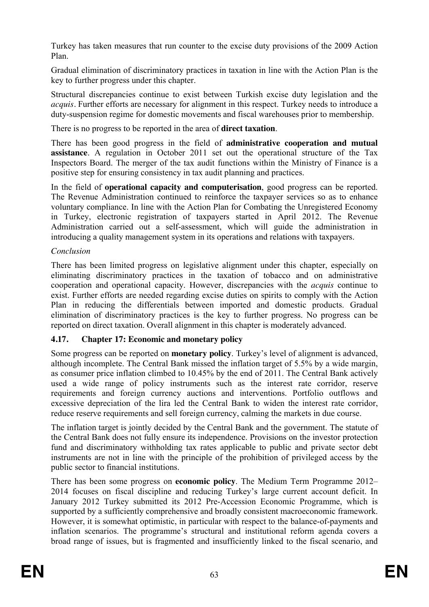Turkey has taken measures that run counter to the excise duty provisions of the 2009 Action Plan.

Gradual elimination of discriminatory practices in taxation in line with the Action Plan is the key to further progress under this chapter.

Structural discrepancies continue to exist between Turkish excise duty legislation and the *acquis.* Further efforts are necessary for alignment in this respect. Turkey needs to introduce a duty-suspension regime for domestic movements and fiscal warehouses prior to membership.

There is no progress to be reported in the area of **direct taxation**.

There has been good progress in the field of **administrative cooperation and mutual assistance**. A regulation in October 2011 set out the operational structure of the Tax Inspectors Board. The merger of the tax audit functions within the Ministry of Finance is a positive step for ensuring consistency in tax audit planning and practices.

In the field of **operational capacity and computerisation**, good progress can be reported. The Revenue Administration continued to reinforce the taxpayer services so as to enhance voluntary compliance. In line with the Action Plan for Combating the Unregistered Economy in Turkey, electronic registration of taxpayers started in April 2012. The Revenue Administration carried out a self-assessment, which will guide the administration in introducing a quality management system in its operations and relations with taxpayers.

### *Conclusion*

There has been limited progress on legislative alignment under this chapter, especially on eliminating discriminatory practices in the taxation of tobacco and on administrative cooperation and operational capacity. However, discrepancies with the *acquis* continue to exist. Further efforts are needed regarding excise duties on spirits to comply with the Action Plan in reducing the differentials between imported and domestic products. Gradual elimination of discriminatory practices is the key to further progress. No progress can be reported on direct taxation. Overall alignment in this chapter is moderately advanced.

# **4.17. Chapter 17: Economic and monetary policy**

Some progress can be reported on **monetary policy**. Turkey's level of alignment is advanced, although incomplete. The Central Bank missed the inflation target of 5.5% by a wide margin, as consumer price inflation climbed to 10.45% by the end of 2011. The Central Bank actively used a wide range of policy instruments such as the interest rate corridor, reserve requirements and foreign currency auctions and interventions. Portfolio outflows and excessive depreciation of the lira led the Central Bank to widen the interest rate corridor, reduce reserve requirements and sell foreign currency, calming the markets in due course.

The inflation target is jointly decided by the Central Bank and the government. The statute of the Central Bank does not fully ensure its independence. Provisions on the investor protection fund and discriminatory withholding tax rates applicable to public and private sector debt instruments are not in line with the principle of the prohibition of privileged access by the public sector to financial institutions.

There has been some progress on **economic policy**. The Medium Term Programme 2012– 2014 focuses on fiscal discipline and reducing Turkey's large current account deficit. In January 2012 Turkey submitted its 2012 Pre-Accession Economic Programme, which is supported by a sufficiently comprehensive and broadly consistent macroeconomic framework. However, it is somewhat optimistic, in particular with respect to the balance-of-payments and inflation scenarios. The programme's structural and institutional reform agenda covers a broad range of issues, but is fragmented and insufficiently linked to the fiscal scenario, and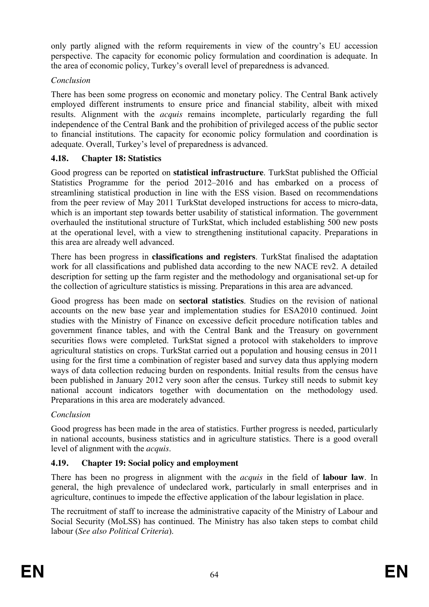only partly aligned with the reform requirements in view of the country's EU accession perspective. The capacity for economic policy formulation and coordination is adequate. In the area of economic policy, Turkey's overall level of preparedness is advanced.

## *Conclusion*

There has been some progress on economic and monetary policy. The Central Bank actively employed different instruments to ensure price and financial stability, albeit with mixed results. Alignment with the *acquis* remains incomplete, particularly regarding the full independence of the Central Bank and the prohibition of privileged access of the public sector to financial institutions. The capacity for economic policy formulation and coordination is adequate. Overall, Turkey's level of preparedness is advanced.

# **4.18. Chapter 18: Statistics**

Good progress can be reported on **statistical infrastructure**. TurkStat published the Official Statistics Programme for the period 2012–2016 and has embarked on a process of streamlining statistical production in line with the ESS vision. Based on recommendations from the peer review of May 2011 TurkStat developed instructions for access to micro-data, which is an important step towards better usability of statistical information. The government overhauled the institutional structure of TurkStat, which included establishing 500 new posts at the operational level, with a view to strengthening institutional capacity. Preparations in this area are already well advanced.

There has been progress in **classifications and registers**. TurkStat finalised the adaptation work for all classifications and published data according to the new NACE rev2. A detailed description for setting up the farm register and the methodology and organisational set-up for the collection of agriculture statistics is missing. Preparations in this area are advanced.

Good progress has been made on **sectoral statistics**. Studies on the revision of national accounts on the new base year and implementation studies for ESA2010 continued. Joint studies with the Ministry of Finance on excessive deficit procedure notification tables and government finance tables, and with the Central Bank and the Treasury on government securities flows were completed. TurkStat signed a protocol with stakeholders to improve agricultural statistics on crops. TurkStat carried out a population and housing census in 2011 using for the first time a combination of register based and survey data thus applying modern ways of data collection reducing burden on respondents. Initial results from the census have been published in January 2012 very soon after the census. Turkey still needs to submit key national account indicators together with documentation on the methodology used. Preparations in this area are moderately advanced.

# *Conclusion*

Good progress has been made in the area of statistics. Further progress is needed, particularly in national accounts, business statistics and in agriculture statistics. There is a good overall level of alignment with the *acquis*.

# **4.19. Chapter 19: Social policy and employment**

There has been no progress in alignment with the *acquis* in the field of **labour law**. In general, the high prevalence of undeclared work, particularly in small enterprises and in agriculture, continues to impede the effective application of the labour legislation in place.

The recruitment of staff to increase the administrative capacity of the Ministry of Labour and Social Security (MoLSS) has continued. The Ministry has also taken steps to combat child labour (*See also Political Criteria*).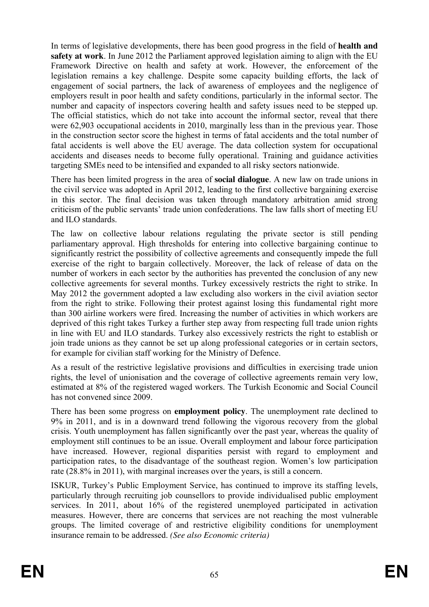In terms of legislative developments, there has been good progress in the field of **health and safety at work**. In June 2012 the Parliament approved legislation aiming to align with the EU Framework Directive on health and safety at work. However, the enforcement of the legislation remains a key challenge. Despite some capacity building efforts, the lack of engagement of social partners, the lack of awareness of employees and the negligence of employers result in poor health and safety conditions, particularly in the informal sector. The number and capacity of inspectors covering health and safety issues need to be stepped up. The official statistics, which do not take into account the informal sector, reveal that there were 62,903 occupational accidents in 2010, marginally less than in the previous year. Those in the construction sector score the highest in terms of fatal accidents and the total number of fatal accidents is well above the EU average. The data collection system for occupational accidents and diseases needs to become fully operational. Training and guidance activities targeting SMEs need to be intensified and expanded to all risky sectors nationwide.

There has been limited progress in the area of **social dialogue**. A new law on trade unions in the civil service was adopted in April 2012, leading to the first collective bargaining exercise in this sector. The final decision was taken through mandatory arbitration amid strong criticism of the public servants' trade union confederations. The law falls short of meeting EU and ILO standards.

The law on collective labour relations regulating the private sector is still pending parliamentary approval. High thresholds for entering into collective bargaining continue to significantly restrict the possibility of collective agreements and consequently impede the full exercise of the right to bargain collectively. Moreover, the lack of release of data on the number of workers in each sector by the authorities has prevented the conclusion of any new collective agreements for several months. Turkey excessively restricts the right to strike. In May 2012 the government adopted a law excluding also workers in the civil aviation sector from the right to strike. Following their protest against losing this fundamental right more than 300 airline workers were fired. Increasing the number of activities in which workers are deprived of this right takes Turkey a further step away from respecting full trade union rights in line with EU and ILO standards. Turkey also excessively restricts the right to establish or join trade unions as they cannot be set up along professional categories or in certain sectors, for example for civilian staff working for the Ministry of Defence.

As a result of the restrictive legislative provisions and difficulties in exercising trade union rights, the level of unionisation and the coverage of collective agreements remain very low, estimated at 8% of the registered waged workers. The Turkish Economic and Social Council has not convened since 2009.

There has been some progress on **employment policy**. The unemployment rate declined to 9% in 2011, and is in a downward trend following the vigorous recovery from the global crisis. Youth unemployment has fallen significantly over the past year, whereas the quality of employment still continues to be an issue. Overall employment and labour force participation have increased. However, regional disparities persist with regard to employment and participation rates, to the disadvantage of the southeast region. Women's low participation rate (28.8% in 2011), with marginal increases over the years, is still a concern.

ISKUR, Turkey's Public Employment Service, has continued to improve its staffing levels, particularly through recruiting job counsellors to provide individualised public employment services. In 2011, about 16% of the registered unemployed participated in activation measures. However, there are concerns that services are not reaching the most vulnerable groups. The limited coverage of and restrictive eligibility conditions for unemployment insurance remain to be addressed. *(See also Economic criteria)*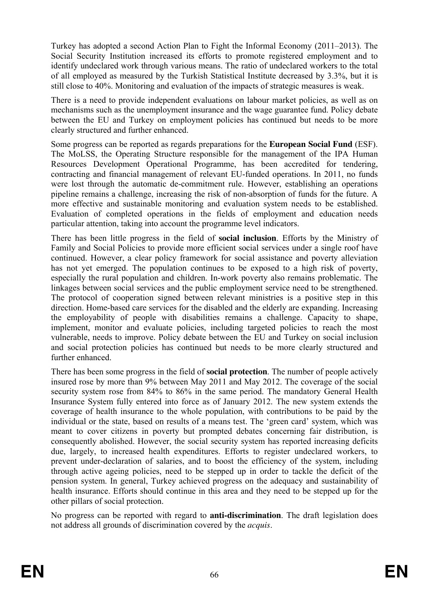Turkey has adopted a second Action Plan to Fight the Informal Economy (2011–2013). The Social Security Institution increased its efforts to promote registered employment and to identify undeclared work through various means. The ratio of undeclared workers to the total of all employed as measured by the Turkish Statistical Institute decreased by 3.3%, but it is still close to 40%. Monitoring and evaluation of the impacts of strategic measures is weak.

There is a need to provide independent evaluations on labour market policies, as well as on mechanisms such as the unemployment insurance and the wage guarantee fund. Policy debate between the EU and Turkey on employment policies has continued but needs to be more clearly structured and further enhanced.

Some progress can be reported as regards preparations for the **European Social Fund** (ESF). The MoLSS, the Operating Structure responsible for the management of the IPA Human Resources Development Operational Programme, has been accredited for tendering, contracting and financial management of relevant EU-funded operations. In 2011, no funds were lost through the automatic de-commitment rule. However, establishing an operations pipeline remains a challenge, increasing the risk of non-absorption of funds for the future. A more effective and sustainable monitoring and evaluation system needs to be established. Evaluation of completed operations in the fields of employment and education needs particular attention, taking into account the programme level indicators.

There has been little progress in the field of **social inclusion**. Efforts by the Ministry of Family and Social Policies to provide more efficient social services under a single roof have continued. However, a clear policy framework for social assistance and poverty alleviation has not yet emerged. The population continues to be exposed to a high risk of poverty, especially the rural population and children. In-work poverty also remains problematic. The linkages between social services and the public employment service need to be strengthened. The protocol of cooperation signed between relevant ministries is a positive step in this direction. Home-based care services for the disabled and the elderly are expanding. Increasing the employability of people with disabilities remains a challenge. Capacity to shape, implement, monitor and evaluate policies, including targeted policies to reach the most vulnerable, needs to improve. Policy debate between the EU and Turkey on social inclusion and social protection policies has continued but needs to be more clearly structured and further enhanced.

There has been some progress in the field of **social protection**. The number of people actively insured rose by more than 9% between May 2011 and May 2012. The coverage of the social security system rose from 84% to 86% in the same period. The mandatory General Health Insurance System fully entered into force as of January 2012. The new system extends the coverage of health insurance to the whole population, with contributions to be paid by the individual or the state, based on results of a means test. The 'green card' system, which was meant to cover citizens in poverty but prompted debates concerning fair distribution, is consequently abolished. However, the social security system has reported increasing deficits due, largely, to increased health expenditures. Efforts to register undeclared workers, to prevent under-declaration of salaries, and to boost the efficiency of the system, including through active ageing policies, need to be stepped up in order to tackle the deficit of the pension system. In general, Turkey achieved progress on the adequacy and sustainability of health insurance. Efforts should continue in this area and they need to be stepped up for the other pillars of social protection.

No progress can be reported with regard to **anti-discrimination**. The draft legislation does not address all grounds of discrimination covered by the *acquis*.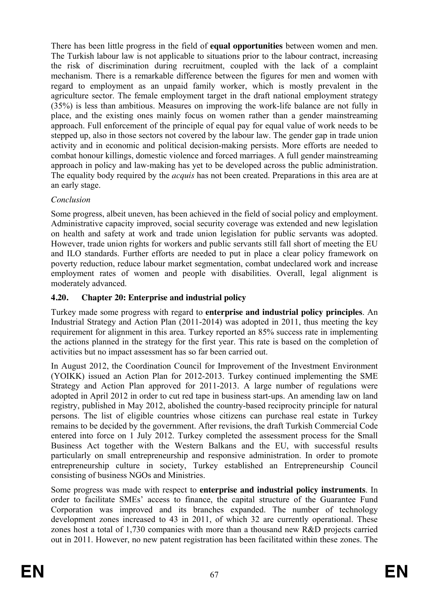There has been little progress in the field of **equal opportunities** between women and men. The Turkish labour law is not applicable to situations prior to the labour contract, increasing the risk of discrimination during recruitment, coupled with the lack of a complaint mechanism. There is a remarkable difference between the figures for men and women with regard to employment as an unpaid family worker, which is mostly prevalent in the agriculture sector. The female employment target in the draft national employment strategy (35%) is less than ambitious. Measures on improving the work-life balance are not fully in place, and the existing ones mainly focus on women rather than a gender mainstreaming approach. Full enforcement of the principle of equal pay for equal value of work needs to be stepped up, also in those sectors not covered by the labour law. The gender gap in trade union activity and in economic and political decision-making persists. More efforts are needed to combat honour killings, domestic violence and forced marriages. A full gender mainstreaming approach in policy and law-making has yet to be developed across the public administration. The equality body required by the *acquis* has not been created. Preparations in this area are at an early stage.

## *Conclusion*

Some progress, albeit uneven, has been achieved in the field of social policy and employment. Administrative capacity improved, social security coverage was extended and new legislation on health and safety at work and trade union legislation for public servants was adopted. However, trade union rights for workers and public servants still fall short of meeting the EU and ILO standards. Further efforts are needed to put in place a clear policy framework on poverty reduction, reduce labour market segmentation, combat undeclared work and increase employment rates of women and people with disabilities. Overall, legal alignment is moderately advanced.

# **4.20. Chapter 20: Enterprise and industrial policy**

Turkey made some progress with regard to **enterprise and industrial policy principles**. An Industrial Strategy and Action Plan (2011-2014) was adopted in 2011, thus meeting the key requirement for alignment in this area. Turkey reported an 85% success rate in implementing the actions planned in the strategy for the first year. This rate is based on the completion of activities but no impact assessment has so far been carried out.

In August 2012, the Coordination Council for Improvement of the Investment Environment (YOIKK) issued an Action Plan for 2012-2013. Turkey continued implementing the SME Strategy and Action Plan approved for 2011-2013. A large number of regulations were adopted in April 2012 in order to cut red tape in business start-ups. An amending law on land registry, published in May 2012, abolished the country-based reciprocity principle for natural persons. The list of eligible countries whose citizens can purchase real estate in Turkey remains to be decided by the government. After revisions, the draft Turkish Commercial Code entered into force on 1 July 2012. Turkey completed the assessment process for the Small Business Act together with the Western Balkans and the EU, with successful results particularly on small entrepreneurship and responsive administration. In order to promote entrepreneurship culture in society, Turkey established an Entrepreneurship Council consisting of business NGOs and Ministries.

Some progress was made with respect to **enterprise and industrial policy instruments**. In order to facilitate SMEs' access to finance, the capital structure of the Guarantee Fund Corporation was improved and its branches expanded. The number of technology development zones increased to 43 in 2011, of which 32 are currently operational. These zones host a total of 1,730 companies with more than a thousand new R&D projects carried out in 2011. However, no new patent registration has been facilitated within these zones. The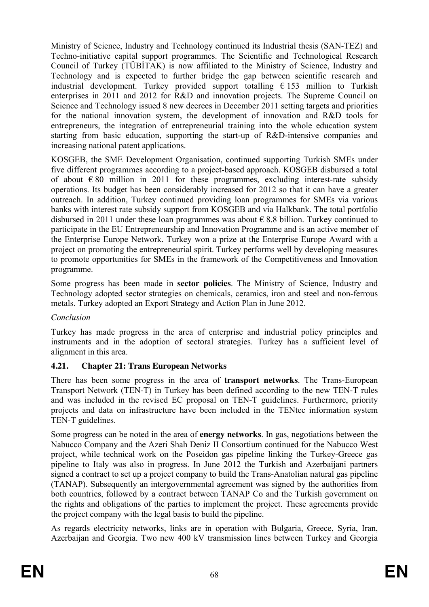Ministry of Science, Industry and Technology continued its Industrial thesis (SAN-TEZ) and Techno-initiative capital support programmes. The Scientific and Technological Research Council of Turkey (TÜBİTAK) is now affiliated to the Ministry of Science, Industry and Technology and is expected to further bridge the gap between scientific research and industrial development. Turkey provided support totalling  $\epsilon$  153 million to Turkish enterprises in 2011 and 2012 for R&D and innovation projects. The Supreme Council on Science and Technology issued 8 new decrees in December 2011 setting targets and priorities for the national innovation system, the development of innovation and R&D tools for entrepreneurs, the integration of entrepreneurial training into the whole education system starting from basic education, supporting the start-up of R&D-intensive companies and increasing national patent applications.

KOSGEB, the SME Development Organisation, continued supporting Turkish SMEs under five different programmes according to a project-based approach. KOSGEB disbursed a total of about  $\epsilon$  80 million in 2011 for these programmes, excluding interest-rate subsidy operations. Its budget has been considerably increased for 2012 so that it can have a greater outreach. In addition, Turkey continued providing loan programmes for SMEs via various banks with interest rate subsidy support from KOSGEB and via Halkbank. The total portfolio disbursed in 2011 under these loan programmes was about  $\epsilon$  8.8 billion. Turkey continued to participate in the EU Entrepreneurship and Innovation Programme and is an active member of the Enterprise Europe Network. Turkey won a prize at the Enterprise Europe Award with a project on promoting the entrepreneurial spirit. Turkey performs well by developing measures to promote opportunities for SMEs in the framework of the Competitiveness and Innovation programme.

Some progress has been made in **sector policies**. The Ministry of Science, Industry and Technology adopted sector strategies on chemicals, ceramics, iron and steel and non-ferrous metals. Turkey adopted an Export Strategy and Action Plan in June 2012.

### *Conclusion*

Turkey has made progress in the area of enterprise and industrial policy principles and instruments and in the adoption of sectoral strategies. Turkey has a sufficient level of alignment in this area.

# **4.21. Chapter 21: Trans European Networks**

There has been some progress in the area of **transport networks**. The Trans-European Transport Network (TEN-T) in Turkey has been defined according to the new TEN-T rules and was included in the revised EC proposal on TEN-T guidelines. Furthermore, priority projects and data on infrastructure have been included in the TENtec information system TEN-T guidelines.

Some progress can be noted in the area of **energy networks**. In gas, negotiations between the Nabucco Company and the Azeri Shah Deniz II Consortium continued for the Nabucco West project, while technical work on the Poseidon gas pipeline linking the Turkey-Greece gas pipeline to Italy was also in progress. In June 2012 the Turkish and Azerbaijani partners signed a contract to set up a project company to build the Trans-Anatolian natural gas pipeline (TANAP). Subsequently an intergovernmental agreement was signed by the authorities from both countries, followed by a contract between TANAP Co and the Turkish government on the rights and obligations of the parties to implement the project. These agreements provide the project company with the legal basis to build the pipeline.

As regards electricity networks, links are in operation with Bulgaria, Greece, Syria, Iran, Azerbaijan and Georgia. Two new 400 kV transmission lines between Turkey and Georgia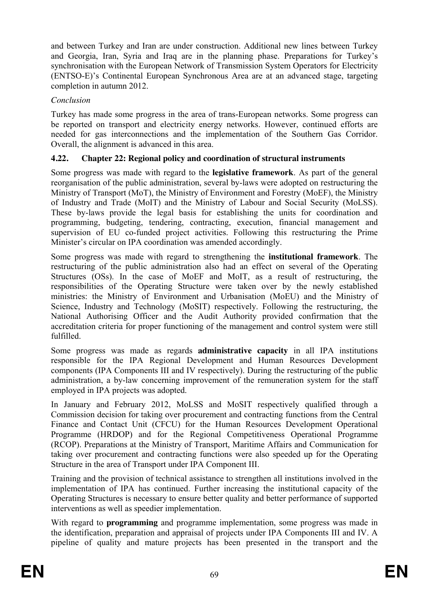and between Turkey and Iran are under construction. Additional new lines between Turkey and Georgia, Iran, Syria and Iraq are in the planning phase. Preparations for Turkey's synchronisation with the European Network of Transmission System Operators for Electricity (ENTSO-E)'s Continental European Synchronous Area are at an advanced stage, targeting completion in autumn 2012.

### *Conclusion*

Turkey has made some progress in the area of trans-European networks. Some progress can be reported on transport and electricity energy networks. However, continued efforts are needed for gas interconnections and the implementation of the Southern Gas Corridor. Overall, the alignment is advanced in this area.

## **4.22. Chapter 22: Regional policy and coordination of structural instruments**

Some progress was made with regard to the **legislative framework**. As part of the general reorganisation of the public administration, several by-laws were adopted on restructuring the Ministry of Transport (MoT), the Ministry of Environment and Forestry (MoEF), the Ministry of Industry and Trade (MoIT) and the Ministry of Labour and Social Security (MoLSS). These by-laws provide the legal basis for establishing the units for coordination and programming, budgeting, tendering, contracting, execution, financial management and supervision of EU co-funded project activities. Following this restructuring the Prime Minister's circular on IPA coordination was amended accordingly.

Some progress was made with regard to strengthening the **institutional framework**. The restructuring of the public administration also had an effect on several of the Operating Structures (OSs). In the case of MoEF and MoIT, as a result of restructuring, the responsibilities of the Operating Structure were taken over by the newly established ministries: the Ministry of Environment and Urbanisation (MoEU) and the Ministry of Science, Industry and Technology (MoSIT) respectively. Following the restructuring, the National Authorising Officer and the Audit Authority provided confirmation that the accreditation criteria for proper functioning of the management and control system were still fulfilled.

Some progress was made as regards **administrative capacity** in all IPA institutions responsible for the IPA Regional Development and Human Resources Development components (IPA Components III and IV respectively). During the restructuring of the public administration, a by-law concerning improvement of the remuneration system for the staff employed in IPA projects was adopted.

In January and February 2012, MoLSS and MoSIT respectively qualified through a Commission decision for taking over procurement and contracting functions from the Central Finance and Contact Unit (CFCU) for the Human Resources Development Operational Programme (HRDOP) and for the Regional Competitiveness Operational Programme (RCOP). Preparations at the Ministry of Transport, Maritime Affairs and Communication for taking over procurement and contracting functions were also speeded up for the Operating Structure in the area of Transport under IPA Component III.

Training and the provision of technical assistance to strengthen all institutions involved in the implementation of IPA has continued. Further increasing the institutional capacity of the Operating Structures is necessary to ensure better quality and better performance of supported interventions as well as speedier implementation.

With regard to **programming** and programme implementation, some progress was made in the identification, preparation and appraisal of projects under IPA Components III and IV. A pipeline of quality and mature projects has been presented in the transport and the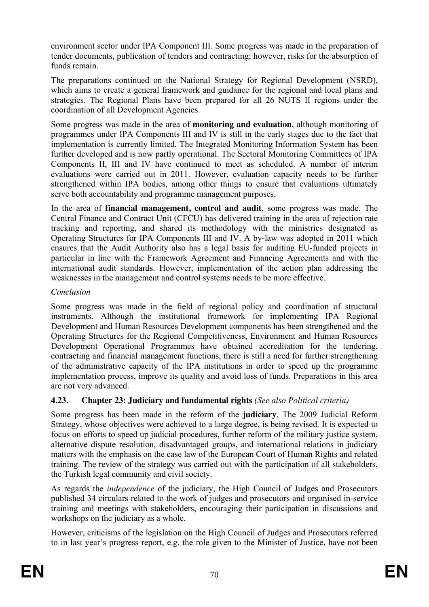environment sector under IPA Component III. Some progress was made in the preparation of tender documents, publication of tenders and contracting; however, risks for the absorption of funds remain.

The preparations continued on the National Strategy for Regional Development (NSRD), which aims to create a general framework and guidance for the regional and local plans and strategies. The Regional Plans have been prepared for all 26 NUTS II regions under the coordination of all Development Agencies.

Some progress was made in the area of **monitoring and evaluation**, although monitoring of programmes under IPA Components III and IV is still in the early stages due to the fact that implementation is currently limited. The Integrated Monitoring Information System has been further developed and is now partly operational. The Sectoral Monitoring Committees of IPA Components II, III and IV have continued to meet as scheduled. A number of interim evaluations were carried out in 2011. However, evaluation capacity needs to be further strengthened within IPA bodies, among other things to ensure that evaluations ultimately serve both accountability and programme management purposes.

In the area of **financial management, control and audit**, some progress was made. The Central Finance and Contract Unit (CFCU) has delivered training in the area of rejection rate tracking and reporting, and shared its methodology with the ministries designated as Operating Structures for IPA Components III and IV. A by-law was adopted in 2011 which ensures that the Audit Authority also has a legal basis for auditing EU-funded projects in particular in line with the Framework Agreement and Financing Agreements and with the international audit standards. However, implementation of the action plan addressing the weaknesses in the management and control systems needs to be more effective.

## *Conclusion*

Some progress was made in the field of regional policy and coordination of structural instruments. Although the institutional framework for implementing IPA Regional Development and Human Resources Development components has been strengthened and the Operating Structures for the Regional Competitiveness, Environment and Human Resources Development Operational Programmes have obtained accreditation for the tendering, contracting and financial management functions, there is still a need for further strengthening of the administrative capacity of the IPA institutions in order to speed up the programme implementation process, improve its quality and avoid loss of funds. Preparations in this area are not very advanced.

# **4.23. Chapter 23: Judiciary and fundamental rights** *(See also Political criteria)*

Some progress has been made in the reform of the **judiciary**. The 2009 Judicial Reform Strategy, whose objectives were achieved to a large degree, is being revised. It is expected to focus on efforts to speed up judicial procedures, further reform of the military justice system, alternative dispute resolution, disadvantaged groups, and international relations in judiciary matters with the emphasis on the case law of the European Court of Human Rights and related training. The review of the strategy was carried out with the participation of all stakeholders, the Turkish legal community and civil society.

As regards the *independence* of the judiciary, the High Council of Judges and Prosecutors published 34 circulars related to the work of judges and prosecutors and organised in-service training and meetings with stakeholders, encouraging their participation in discussions and workshops on the judiciary as a whole.

However, criticisms of the legislation on the High Council of Judges and Prosecutors referred to in last year's progress report, e.g. the role given to the Minister of Justice, have not been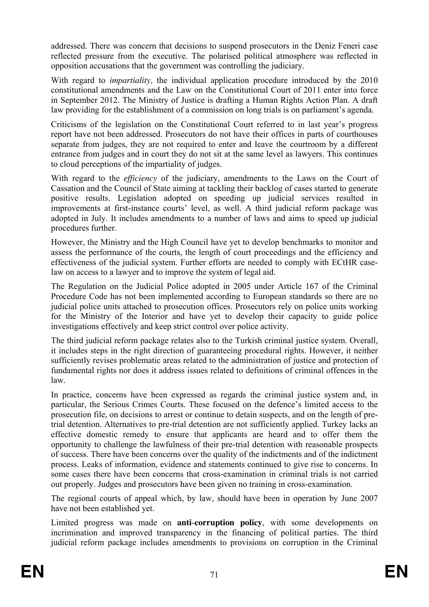addressed. There was concern that decisions to suspend prosecutors in the Deniz Feneri case reflected pressure from the executive. The polarised political atmosphere was reflected in opposition accusations that the government was controlling the judiciary.

With regard to *impartiality,* the individual application procedure introduced by the 2010 constitutional amendments and the Law on the Constitutional Court of 2011 enter into force in September 2012. The Ministry of Justice is drafting a Human Rights Action Plan. A draft law providing for the establishment of a commission on long trials is on parliament's agenda.

Criticisms of the legislation on the Constitutional Court referred to in last year's progress report have not been addressed. Prosecutors do not have their offices in parts of courthouses separate from judges, they are not required to enter and leave the courtroom by a different entrance from judges and in court they do not sit at the same level as lawyers. This continues to cloud perceptions of the impartiality of judges.

With regard to the *efficiency* of the judiciary, amendments to the Laws on the Court of Cassation and the Council of State aiming at tackling their backlog of cases started to generate positive results. Legislation adopted on speeding up judicial services resulted in improvements at first-instance courts' level, as well. A third judicial reform package was adopted in July. It includes amendments to a number of laws and aims to speed up judicial procedures further.

However, the Ministry and the High Council have yet to develop benchmarks to monitor and assess the performance of the courts, the length of court proceedings and the efficiency and effectiveness of the judicial system. Further efforts are needed to comply with ECtHR caselaw on access to a lawyer and to improve the system of legal aid.

The Regulation on the Judicial Police adopted in 2005 under Article 167 of the Criminal Procedure Code has not been implemented according to European standards so there are no judicial police units attached to prosecution offices. Prosecutors rely on police units working for the Ministry of the Interior and have yet to develop their capacity to guide police investigations effectively and keep strict control over police activity.

The third judicial reform package relates also to the Turkish criminal justice system. Overall, it includes steps in the right direction of guaranteeing procedural rights. However, it neither sufficiently revises problematic areas related to the administration of justice and protection of fundamental rights nor does it address issues related to definitions of criminal offences in the law.

In practice, concerns have been expressed as regards the criminal justice system and, in particular, the Serious Crimes Courts. These focused on the defence's limited access to the prosecution file, on decisions to arrest or continue to detain suspects, and on the length of pretrial detention. Alternatives to pre-trial detention are not sufficiently applied. Turkey lacks an effective domestic remedy to ensure that applicants are heard and to offer them the opportunity to challenge the lawfulness of their pre-trial detention with reasonable prospects of success. There have been concerns over the quality of the indictments and of the indictment process. Leaks of information, evidence and statements continued to give rise to concerns. In some cases there have been concerns that cross-examination in criminal trials is not carried out properly. Judges and prosecutors have been given no training in cross-examination.

The regional courts of appeal which, by law, should have been in operation by June 2007 have not been established yet.

Limited progress was made on **anti**-**corruption policy**, with some developments on incrimination and improved transparency in the financing of political parties. The third judicial reform package includes amendments to provisions on corruption in the Criminal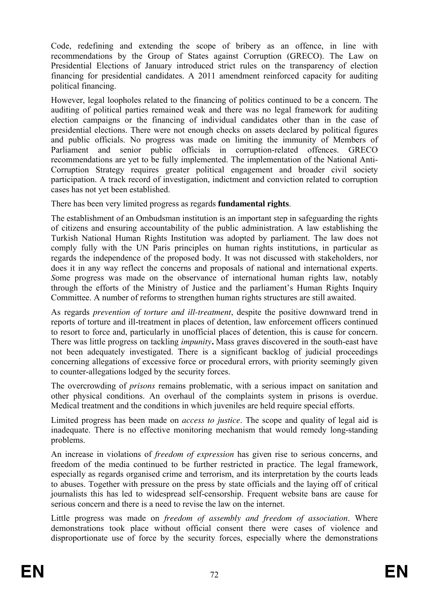Code, redefining and extending the scope of bribery as an offence, in line with recommendations by the Group of States against Corruption (GRECO). The Law on Presidential Elections of January introduced strict rules on the transparency of election financing for presidential candidates. A 2011 amendment reinforced capacity for auditing political financing.

However, legal loopholes related to the financing of politics continued to be a concern. The auditing of political parties remained weak and there was no legal framework for auditing election campaigns or the financing of individual candidates other than in the case of presidential elections. There were not enough checks on assets declared by political figures and public officials. No progress was made on limiting the immunity of Members of Parliament and senior public officials in corruption-related offences. GRECO recommendations are yet to be fully implemented. The implementation of the National Anti-Corruption Strategy requires greater political engagement and broader civil society participation. A track record of investigation, indictment and conviction related to corruption cases has not yet been established.

There has been very limited progress as regards **fundamental rights**.

The establishment of an Ombudsman institution is an important step in safeguarding the rights of citizens and ensuring accountability of the public administration. A law establishing the Turkish National Human Rights Institution was adopted by parliament. The law does not comply fully with the UN Paris principles on human rights institutions, in particular as regards the independence of the proposed body. It was not discussed with stakeholders, nor does it in any way reflect the concerns and proposals of national and international experts. *S*ome progress was made on the observance of international human rights law, notably through the efforts of the Ministry of Justice and the parliament's Human Rights Inquiry Committee. A number of reforms to strengthen human rights structures are still awaited.

As regards *prevention of torture and ill-treatment*, despite the positive downward trend in reports of torture and ill-treatment in places of detention, law enforcement officers continued to resort to force and, particularly in unofficial places of detention, this is cause for concern. There was little progress on tackling *impunity***.** Mass graves discovered in the south-east have not been adequately investigated. There is a significant backlog of judicial proceedings concerning allegations of excessive force or procedural errors, with priority seemingly given to counter-allegations lodged by the security forces.

The overcrowding of *prisons* remains problematic, with a serious impact on sanitation and other physical conditions. An overhaul of the complaints system in prisons is overdue. Medical treatment and the conditions in which juveniles are held require special efforts.

Limited progress has been made on *access to justice*. The scope and quality of legal aid is inadequate. There is no effective monitoring mechanism that would remedy long-standing problems.

An increase in violations of *freedom of expression* has given rise to serious concerns, and freedom of the media continued to be further restricted in practice. The legal framework, especially as regards organised crime and terrorism, and its interpretation by the courts leads to abuses. Together with pressure on the press by state officials and the laying off of critical journalists this has led to widespread self-censorship. Frequent website bans are cause for serious concern and there is a need to revise the law on the internet.

Little progress was made on *freedom of assembly and freedom of association*. Where demonstrations took place without official consent there were cases of violence and disproportionate use of force by the security forces, especially where the demonstrations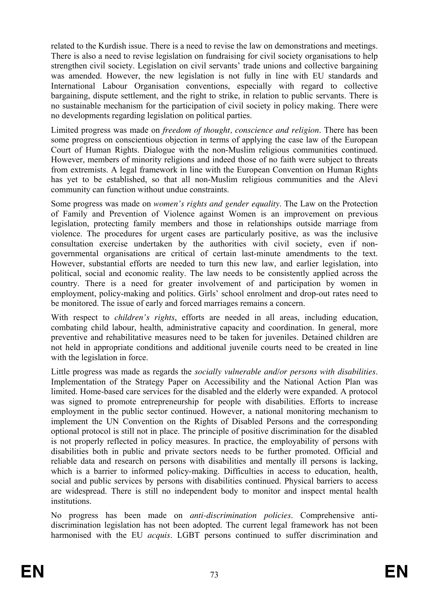related to the Kurdish issue. There is a need to revise the law on demonstrations and meetings. There is also a need to revise legislation on fundraising for civil society organisations to help strengthen civil society. Legislation on civil servants' trade unions and collective bargaining was amended. However, the new legislation is not fully in line with EU standards and International Labour Organisation conventions, especially with regard to collective bargaining, dispute settlement, and the right to strike, in relation to public servants. There is no sustainable mechanism for the participation of civil society in policy making. There were no developments regarding legislation on political parties.

Limited progress was made on *freedom of thought, conscience and religion*. There has been some progress on conscientious objection in terms of applying the case law of the European Court of Human Rights. Dialogue with the non-Muslim religious communities continued. However, members of minority religions and indeed those of no faith were subject to threats from extremists. A legal framework in line with the European Convention on Human Rights has yet to be established, so that all non-Muslim religious communities and the Alevi community can function without undue constraints.

Some progress was made on *women's rights and gender equality*. The Law on the Protection of Family and Prevention of Violence against Women is an improvement on previous legislation, protecting family members and those in relationships outside marriage from violence. The procedures for urgent cases are particularly positive, as was the inclusive consultation exercise undertaken by the authorities with civil society, even if nongovernmental organisations are critical of certain last-minute amendments to the text. However, substantial efforts are needed to turn this new law, and earlier legislation, into political, social and economic reality. The law needs to be consistently applied across the country. There is a need for greater involvement of and participation by women in employment, policy-making and politics. Girls' school enrolment and drop-out rates need to be monitored. The issue of early and forced marriages remains a concern.

With respect to *children's rights*, efforts are needed in all areas, including education, combating child labour, health, administrative capacity and coordination. In general, more preventive and rehabilitative measures need to be taken for juveniles. Detained children are not held in appropriate conditions and additional juvenile courts need to be created in line with the legislation in force.

Little progress was made as regards the *socially vulnerable and/or persons with disabilities*. Implementation of the Strategy Paper on Accessibility and the National Action Plan was limited. Home-based care services for the disabled and the elderly were expanded. A protocol was signed to promote entrepreneurship for people with disabilities. Efforts to increase employment in the public sector continued. However, a national monitoring mechanism to implement the UN Convention on the Rights of Disabled Persons and the corresponding optional protocol is still not in place. The principle of positive discrimination for the disabled is not properly reflected in policy measures. In practice, the employability of persons with disabilities both in public and private sectors needs to be further promoted. Official and reliable data and research on persons with disabilities and mentally ill persons is lacking, which is a barrier to informed policy-making. Difficulties in access to education, health, social and public services by persons with disabilities continued. Physical barriers to access are widespread. There is still no independent body to monitor and inspect mental health institutions.

No progress has been made on *anti-discrimination policies*. Comprehensive antidiscrimination legislation has not been adopted. The current legal framework has not been harmonised with the EU *acquis*. LGBT persons continued to suffer discrimination and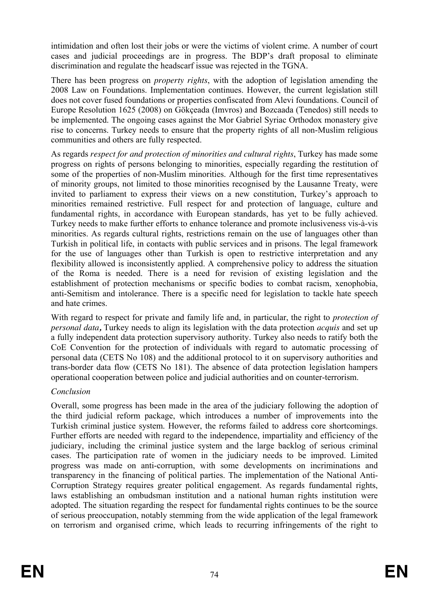intimidation and often lost their jobs or were the victims of violent crime. A number of court cases and judicial proceedings are in progress. The BDP's draft proposal to eliminate discrimination and regulate the headscarf issue was rejected in the TGNA.

There has been progress on *property rights*, with the adoption of legislation amending the 2008 Law on Foundations. Implementation continues. However, the current legislation still does not cover fused foundations or properties confiscated from Alevi foundations. Council of Europe [Resolution 1625](http://assembly.coe.int/Main.asp?link=http://assembly.coe.int/ASP/Doc/RefRedirectEN.asp?Doc=%20Resolution%201625) (2008) on Gökçeada (Imvros) and Bozcaada (Tenedos) still needs to be implemented. The ongoing cases against the Mor Gabriel Syriac Orthodox monastery give rise to concerns. Turkey needs to ensure that the property rights of all non-Muslim religious communities and others are fully respected.

As regards *respect for and protection of minorities and cultural rights*, Turkey has made some progress on rights of persons belonging to minorities, especially regarding the restitution of some of the properties of non-Muslim minorities. Although for the first time representatives of minority groups, not limited to those minorities recognised by the Lausanne Treaty, were invited to parliament to express their views on a new constitution, Turkey's approach to minorities remained restrictive. Full respect for and protection of language, culture and fundamental rights, in accordance with European standards, has yet to be fully achieved. Turkey needs to make further efforts to enhance tolerance and promote inclusiveness vis-à-vis minorities. As regards cultural rights, restrictions remain on the use of languages other than Turkish in political life, in contacts with public services and in prisons. The legal framework for the use of languages other than Turkish is open to restrictive interpretation and any flexibility allowed is inconsistently applied. A comprehensive policy to address the situation of the Roma is needed. There is a need for revision of existing legislation and the establishment of protection mechanisms or specific bodies to combat racism, xenophobia, anti-Semitism and intolerance. There is a specific need for legislation to tackle hate speech and hate crimes.

With regard to respect for private and family life and, in particular, the right to *protection of personal data,* Turkey needs to align its legislation with the data protection *acquis* and set up a fully independent data protection supervisory authority. Turkey also needs to ratify both the CoE Convention for the protection of individuals with regard to automatic processing of personal data (CETS No 108) and the additional protocol to it on supervisory authorities and trans-border data flow (CETS No 181). The absence of data protection legislation hampers operational cooperation between police and judicial authorities and on counter-terrorism.

## *Conclusion*

Overall, some progress has been made in the area of the judiciary following the adoption of the third judicial reform package, which introduces a number of improvements into the Turkish criminal justice system. However, the reforms failed to address core shortcomings. Further efforts are needed with regard to the independence, impartiality and efficiency of the judiciary, including the criminal justice system and the large backlog of serious criminal cases. The participation rate of women in the judiciary needs to be improved. Limited progress was made on anti-corruption, with some developments on incriminations and transparency in the financing of political parties. The implementation of the National Anti-Corruption Strategy requires greater political engagement. As regards fundamental rights, laws establishing an ombudsman institution and a national human rights institution were adopted. The situation regarding the respect for fundamental rights continues to be the source of serious preoccupation, notably stemming from the wide application of the legal framework on terrorism and organised crime, which leads to recurring infringements of the right to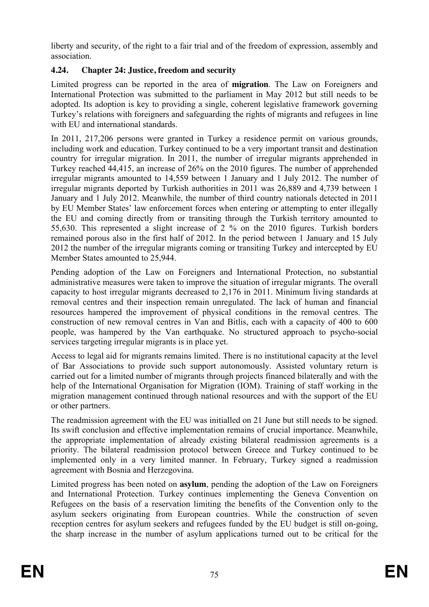liberty and security, of the right to a fair trial and of the freedom of expression, assembly and association.

# **4.24. Chapter 24: Justice, freedom and security**

Limited progress can be reported in the area of **migration**. The Law on Foreigners and International Protection was submitted to the parliament in May 2012 but still needs to be adopted. Its adoption is key to providing a single, coherent legislative framework governing Turkey's relations with foreigners and safeguarding the rights of migrants and refugees in line with EU and international standards.

In 2011, 217,206 persons were granted in Turkey a residence permit on various grounds, including work and education. Turkey continued to be a very important transit and destination country for irregular migration. In 2011, the number of irregular migrants apprehended in Turkey reached 44,415, an increase of 26% on the 2010 figures. The number of apprehended irregular migrants amounted to 14,559 between 1 January and 1 July 2012. The number of irregular migrants deported by Turkish authorities in 2011 was 26,889 and 4,739 between 1 January and 1 July 2012. Meanwhile, the number of third country nationals detected in 2011 by EU Member States' law enforcement forces when entering or attempting to enter illegally the EU and coming directly from or transiting through the Turkish territory amounted to 55,630. This represented a slight increase of 2 % on the 2010 figures. Turkish borders remained porous also in the first half of 2012. In the period between 1 January and 15 July 2012 the number of the irregular migrants coming or transiting Turkey and intercepted by EU Member States amounted to 25,944.

Pending adoption of the Law on Foreigners and International Protection, no substantial administrative measures were taken to improve the situation of irregular migrants. The overall capacity to host irregular migrants decreased to 2,176 in 2011. Minimum living standards at removal centres and their inspection remain unregulated. The lack of human and financial resources hampered the improvement of physical conditions in the removal centres. The construction of new removal centres in Van and Bitlis, each with a capacity of 400 to 600 people, was hampered by the Van earthquake. No structured approach to psycho-social services targeting irregular migrants is in place yet.

Access to legal aid for migrants remains limited. There is no institutional capacity at the level of Bar Associations to provide such support autonomously. Assisted voluntary return is carried out for a limited number of migrants through projects financed bilaterally and with the help of the International Organisation for Migration (IOM). Training of staff working in the migration management continued through national resources and with the support of the EU or other partners.

The readmission agreement with the EU was initialled on 21 June but still needs to be signed. Its swift conclusion and effective implementation remains of crucial importance. Meanwhile, the appropriate implementation of already existing bilateral readmission agreements is a priority. The bilateral readmission protocol between Greece and Turkey continued to be implemented only in a very limited manner. In February, Turkey signed a readmission agreement with Bosnia and Herzegovina.

Limited progress has been noted on **asylum**, pending the adoption of the Law on Foreigners and International Protection. Turkey continues implementing the Geneva Convention on Refugees on the basis of a reservation limiting the benefits of the Convention only to the asylum seekers originating from European countries. While the construction of seven reception centres for asylum seekers and refugees funded by the EU budget is still on-going, the sharp increase in the number of asylum applications turned out to be critical for the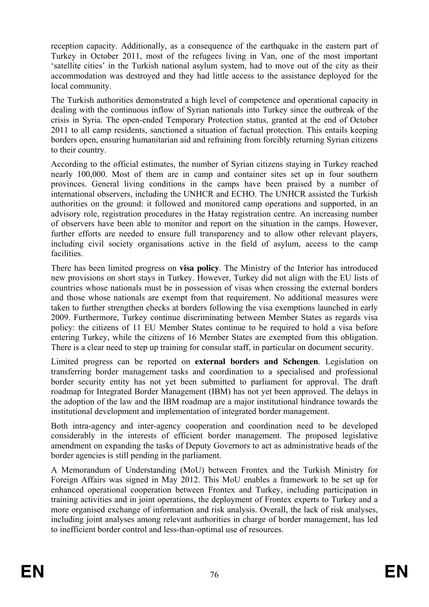reception capacity. Additionally, as a consequence of the earthquake in the eastern part of Turkey in October 2011, most of the refugees living in Van, one of the most important 'satellite cities' in the Turkish national asylum system, had to move out of the city as their accommodation was destroyed and they had little access to the assistance deployed for the local community.

The Turkish authorities demonstrated a high level of competence and operational capacity in dealing with the continuous inflow of Syrian nationals into Turkey since the outbreak of the crisis in Syria. The open-ended Temporary Protection status, granted at the end of October 2011 to all camp residents, sanctioned a situation of factual protection. This entails keeping borders open, ensuring humanitarian aid and refraining from forcibly returning Syrian citizens to their country.

According to the official estimates, the number of Syrian citizens staying in Turkey reached nearly 100,000. Most of them are in camp and container sites set up in four southern provinces. General living conditions in the camps have been praised by a number of international observers, including the UNHCR and ECHO. The UNHCR assisted the Turkish authorities on the ground: it followed and monitored camp operations and supported, in an advisory role, registration procedures in the Hatay registration centre. An increasing number of observers have been able to monitor and report on the situation in the camps. However, further efforts are needed to ensure full transparency and to allow other relevant players, including civil society organisations active in the field of asylum, access to the camp facilities.

There has been limited progress on **visa policy**. The Ministry of the Interior has introduced new provisions on short stays in Turkey. However, Turkey did not align with the EU lists of countries whose nationals must be in possession of visas when crossing the external borders and those whose nationals are exempt from that requirement. No additional measures were taken to further strengthen checks at borders following the visa exemptions launched in early 2009. Furthermore, Turkey continue discriminating between Member States as regards visa policy: the citizens of 11 EU Member States continue to be required to hold a visa before entering Turkey, while the citizens of 16 Member States are exempted from this obligation. There is a clear need to step up training for consular staff, in particular on document security.

Limited progress can be reported on **external borders and Schengen**. Legislation on transferring border management tasks and coordination to a specialised and professional border security entity has not yet been submitted to parliament for approval. The draft roadmap for Integrated Border Management (IBM) has not yet been approved. The delays in the adoption of the law and the IBM roadmap are a major institutional hindrance towards the institutional development and implementation of integrated border management.

Both intra-agency and inter-agency cooperation and coordination need to be developed considerably in the interests of efficient border management. The proposed legislative amendment on expanding the tasks of Deputy Governors to act as administrative heads of the border agencies is still pending in the parliament.

A Memorandum of Understanding (MoU) between Frontex and the Turkish Ministry for Foreign Affairs was signed in May 2012. This MoU enables a framework to be set up for enhanced operational cooperation between Frontex and Turkey, including participation in training activities and in joint operations, the deployment of Frontex experts to Turkey and a more organised exchange of information and risk analysis. Overall, the lack of risk analyses, including joint analyses among relevant authorities in charge of border management, has led to inefficient border control and less-than-optimal use of resources.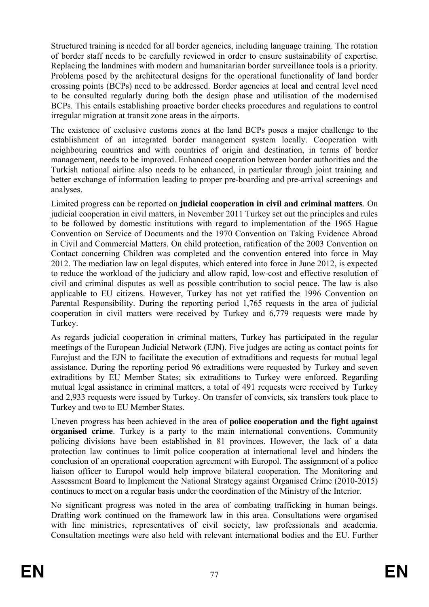Structured training is needed for all border agencies, including language training. The rotation of border staff needs to be carefully reviewed in order to ensure sustainability of expertise. Replacing the landmines with modern and humanitarian border surveillance tools is a priority. Problems posed by the architectural designs for the operational functionality of land border crossing points (BCPs) need to be addressed. Border agencies at local and central level need to be consulted regularly during both the design phase and utilisation of the modernised BCPs. This entails establishing proactive border checks procedures and regulations to control irregular migration at transit zone areas in the airports.

The existence of exclusive customs zones at the land BCPs poses a major challenge to the establishment of an integrated border management system locally. Cooperation with neighbouring countries and with countries of origin and destination, in terms of border management, needs to be improved. Enhanced cooperation between border authorities and the Turkish national airline also needs to be enhanced, in particular through joint training and better exchange of information leading to proper pre-boarding and pre-arrival screenings and analyses.

Limited progress can be reported on **judicial cooperation in civil and criminal matters**. On judicial cooperation in civil matters, in November 2011 Turkey set out the principles and rules to be followed by domestic institutions with regard to implementation of the 1965 Hague Convention on Service of Documents and the 1970 Convention on Taking Evidence Abroad in Civil and Commercial Matters. On child protection, ratification of the 2003 Convention on Contact concerning Children was completed and the convention entered into force in May 2012. The mediation law on legal disputes, which entered into force in June 2012, is expected to reduce the workload of the judiciary and allow rapid, low-cost and effective resolution of civil and criminal disputes as well as possible contribution to social peace. The law is also applicable to EU citizens. However, Turkey has not yet ratified the 1996 Convention on Parental Responsibility. During the reporting period 1,765 requests in the area of judicial cooperation in civil matters were received by Turkey and 6,779 requests were made by Turkey.

As regards judicial cooperation in criminal matters, Turkey has participated in the regular meetings of the European Judicial Network (EJN). Five judges are acting as contact points for Eurojust and the EJN to facilitate the execution of extraditions and requests for mutual legal assistance. During the reporting period 96 extraditions were requested by Turkey and seven extraditions by EU Member States; six extraditions to Turkey were enforced. Regarding mutual legal assistance in criminal matters, a total of 491 requests were received by Turkey and 2,933 requests were issued by Turkey. On transfer of convicts, six transfers took place to Turkey and two to EU Member States.

Uneven progress has been achieved in the area of **police cooperation and the fight against organised crime**. Turkey is a party to the main international conventions. Community policing divisions have been established in 81 provinces. However, the lack of a data protection law continues to limit police cooperation at international level and hinders the conclusion of an operational cooperation agreement with Europol. The assignment of a police liaison officer to Europol would help improve bilateral cooperation. The Monitoring and Assessment Board to Implement the National Strategy against Organised Crime (2010-2015) continues to meet on a regular basis under the coordination of the Ministry of the Interior.

No significant progress was noted in the area of combating trafficking in human beings. Drafting work continued on the framework law in this area. Consultations were organised with line ministries, representatives of civil society, law professionals and academia. Consultation meetings were also held with relevant international bodies and the EU. Further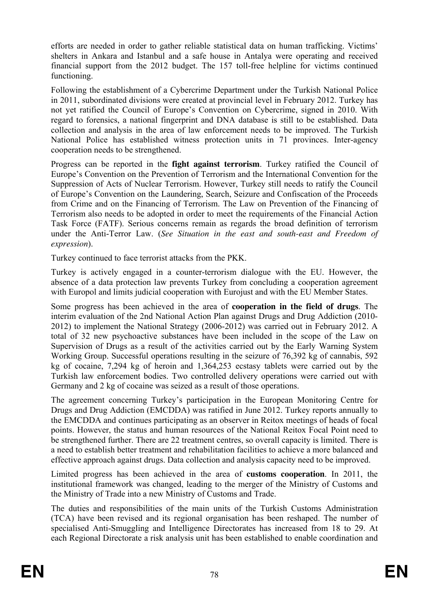efforts are needed in order to gather reliable statistical data on human trafficking. Victims' shelters in Ankara and Istanbul and a safe house in Antalya were operating and received financial support from the 2012 budget. The 157 toll-free helpline for victims continued functioning.

Following the establishment of a Cybercrime Department under the Turkish National Police in 2011, subordinated divisions were created at provincial level in February 2012. Turkey has not yet ratified the Council of Europe's Convention on Cybercrime, signed in 2010. With regard to forensics, a national fingerprint and DNA database is still to be established. Data collection and analysis in the area of law enforcement needs to be improved. The Turkish National Police has established witness protection units in 71 provinces. Inter-agency cooperation needs to be strengthened.

Progress can be reported in the **fight against terrorism**. Turkey ratified the Council of Europe's Convention on the Prevention of Terrorism and the International Convention for the Suppression of Acts of Nuclear Terrorism. However, Turkey still needs to ratify the Council of Europe's Convention on the Laundering, Search, Seizure and Confiscation of the Proceeds from Crime and on the Financing of Terrorism. The Law on Prevention of the Financing of Terrorism also needs to be adopted in order to meet the requirements of the Financial Action Task Force (FATF). Serious concerns remain as regards the broad definition of terrorism under the Anti-Terror Law. (*See Situation in the east and south-east and Freedom of expression*).

Turkey continued to face terrorist attacks from the PKK.

Turkey is actively engaged in a counter-terrorism dialogue with the EU. However, the absence of a data protection law prevents Turkey from concluding a cooperation agreement with Europol and limits judicial cooperation with Eurojust and with the EU Member States.

Some progress has been achieved in the area of **cooperation in the field of drugs**. The interim evaluation of the 2nd National Action Plan against Drugs and Drug Addiction (2010- 2012) to implement the National Strategy (2006-2012) was carried out in February 2012. A total of 32 new psychoactive substances have been included in the scope of the Law on Supervision of Drugs as a result of the activities carried out by the Early Warning System Working Group. Successful operations resulting in the seizure of 76,392 kg of cannabis, 592 kg of cocaine, 7,294 kg of heroin and 1,364,253 ecstasy tablets were carried out by the Turkish law enforcement bodies. Two controlled delivery operations were carried out with Germany and 2 kg of cocaine was seized as a result of those operations.

The agreement concerning Turkey's participation in the European Monitoring Centre for Drugs and Drug Addiction (EMCDDA) was ratified in June 2012. Turkey reports annually to the EMCDDA and continues participating as an observer in Reitox meetings of heads of focal points. However, the status and human resources of the National Reitox Focal Point need to be strengthened further. There are 22 treatment centres, so overall capacity is limited. There is a need to establish better treatment and rehabilitation facilities to achieve a more balanced and effective approach against drugs. Data collection and analysis capacity need to be improved.

Limited progress has been achieved in the area of **customs cooperation**. In 2011, the institutional framework was changed, leading to the merger of the Ministry of Customs and the Ministry of Trade into a new Ministry of Customs and Trade.

The duties and responsibilities of the main units of the Turkish Customs Administration (TCA) have been revised and its regional organisation has been reshaped. The number of specialised Anti-Smuggling and Intelligence Directorates has increased from 18 to 29. At each Regional Directorate a risk analysis unit has been established to enable coordination and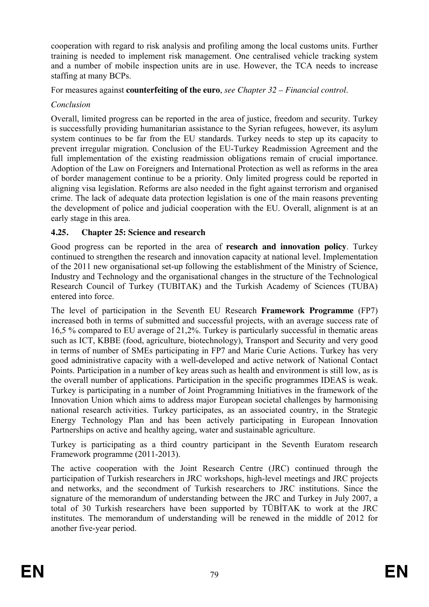cooperation with regard to risk analysis and profiling among the local customs units. Further training is needed to implement risk management. One centralised vehicle tracking system and a number of mobile inspection units are in use. However, the TCA needs to increase staffing at many BCPs.

For measures against **counterfeiting of the euro**, *see Chapter 32 – Financial control*.

# *Conclusion*

Overall, limited progress can be reported in the area of justice, freedom and security. Turkey is successfully providing humanitarian assistance to the Syrian refugees, however, its asylum system continues to be far from the EU standards. Turkey needs to step up its capacity to prevent irregular migration. Conclusion of the EU-Turkey Readmission Agreement and the full implementation of the existing readmission obligations remain of crucial importance. Adoption of the Law on Foreigners and International Protection as well as reforms in the area of border management continue to be a priority. Only limited progress could be reported in aligning visa legislation. Reforms are also needed in the fight against terrorism and organised crime. The lack of adequate data protection legislation is one of the main reasons preventing the development of police and judicial cooperation with the EU. Overall, alignment is at an early stage in this area.

# **4.25. Chapter 25: Science and research**

Good progress can be reported in the area of **research and innovation policy**. Turkey continued to strengthen the research and innovation capacity at national level. Implementation of the 2011 new organisational set-up following the establishment of the Ministry of Science, Industry and Technology and the organisational changes in the structure of the Technological Research Council of Turkey (TUBITAK) and the Turkish Academy of Sciences (TUBA) entered into force.

The level of participation in the Seventh EU Research **Framework Programme** (FP7) increased both in terms of submitted and successful projects, with an average success rate of 16,5 % compared to EU average of 21,2%. Turkey is particularly successful in thematic areas such as ICT, KBBE (food, agriculture, biotechnology), Transport and Security and very good in terms of number of SMEs participating in FP7 and Marie Curie Actions. Turkey has very good administrative capacity with a well-developed and active network of National Contact Points. Participation in a number of key areas such as health and environment is still low, as is the overall number of applications. Participation in the specific programmes IDEAS is weak. Turkey is participating in a number of Joint Programming Initiatives in the framework of the Innovation Union which aims to address major European societal challenges by harmonising national research activities. Turkey participates, as an associated country, in the Strategic Energy Technology Plan and has been actively participating in European Innovation Partnerships on active and healthy ageing, water and sustainable agriculture.

Turkey is participating as a third country participant in the Seventh Euratom research Framework programme (2011-2013).

The active cooperation with the Joint Research Centre (JRC) continued through the participation of Turkish researchers in JRC workshops, high-level meetings and JRC projects and networks, and the secondment of Turkish researchers to JRC institutions. Since the signature of the memorandum of understanding between the JRC and Turkey in July 2007, a total of 30 Turkish researchers have been supported by TÜBİTAK to work at the JRC institutes. The memorandum of understanding will be renewed in the middle of 2012 for another five-year period.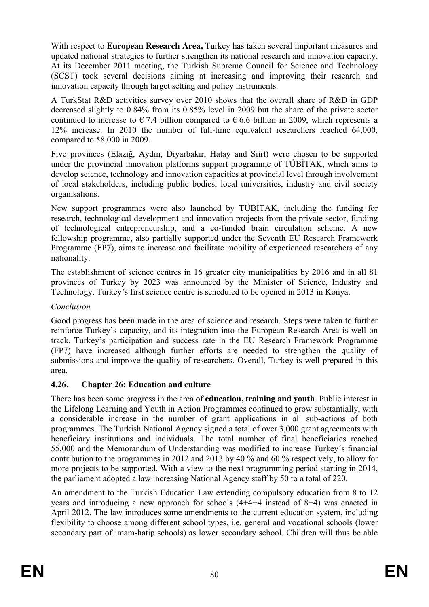With respect to **European Research Area,** Turkey has taken several important measures and updated national strategies to further strengthen its national research and innovation capacity. At its December 2011 meeting, the Turkish Supreme Council for Science and Technology (SCST) took several decisions aiming at increasing and improving their research and innovation capacity through target setting and policy instruments.

A TurkStat R&D activities survey over 2010 shows that the overall share of R&D in GDP decreased slightly to 0.84% from its 0.85% level in 2009 but the share of the private sector continued to increase to  $\epsilon$  7.4 billion compared to  $\epsilon$  6.6 billion in 2009, which represents a 12% increase. In 2010 the number of full-time equivalent researchers reached 64,000, compared to 58,000 in 2009.

Five provinces (Elazığ, Aydın, Diyarbakır, Hatay and Siirt) were chosen to be supported under the provincial innovation platforms support programme of TÜBİTAK, which aims to develop science, technology and innovation capacities at provincial level through involvement of local stakeholders, including public bodies, local universities, industry and civil society organisations.

New support programmes were also launched by TÜBİTAK, including the funding for research, technological development and innovation projects from the private sector, funding of technological entrepreneurship, and a co-funded brain circulation scheme. A new fellowship programme, also partially supported under the Seventh EU Research Framework Programme (FP7), aims to increase and facilitate mobility of experienced researchers of any nationality.

The establishment of science centres in 16 greater city municipalities by 2016 and in all 81 provinces of Turkey by 2023 was announced by the Minister of Science, Industry and Technology. Turkey's first science centre is scheduled to be opened in 2013 in Konya.

## *Conclusion*

Good progress has been made in the area of science and research. Steps were taken to further reinforce Turkey's capacity, and its integration into the European Research Area is well on track. Turkey's participation and success rate in the EU Research Framework Programme (FP7) have increased although further efforts are needed to strengthen the quality of submissions and improve the quality of researchers. Overall, Turkey is well prepared in this area.

## **4.26. Chapter 26: Education and culture**

There has been some progress in the area of **education, training and youth**. Public interest in the Lifelong Learning and Youth in Action Programmes continued to grow substantially, with a considerable increase in the number of grant applications in all sub-actions of both programmes. The Turkish National Agency signed a total of over 3,000 grant agreements with beneficiary institutions and individuals. The total number of final beneficiaries reached 55,000 and the Memorandum of Understanding was modified to increase Turkey´s financial contribution to the programmes in 2012 and 2013 by 40 % and 60 % respectively, to allow for more projects to be supported. With a view to the next programming period starting in 2014, the parliament adopted a law increasing National Agency staff by 50 to a total of 220.

An amendment to the Turkish Education Law extending compulsory education from 8 to 12 years and introducing a new approach for schools (4+4+4 instead of 8+4) was enacted in April 2012. The law introduces some amendments to the current education system, including flexibility to choose among different school types, i.e. general and vocational schools (lower secondary part of imam-hatip schools) as lower secondary school. Children will thus be able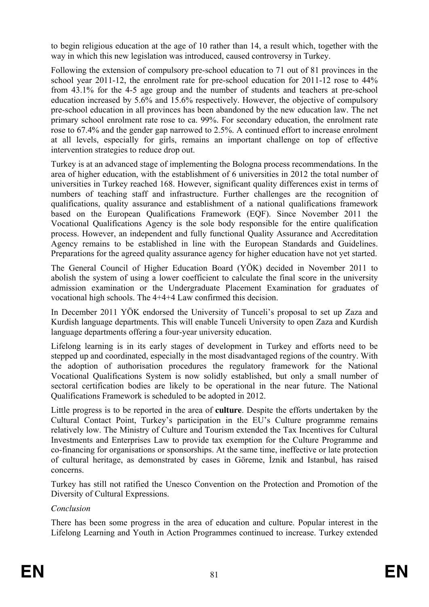to begin religious education at the age of 10 rather than 14, a result which, together with the way in which this new legislation was introduced, caused controversy in Turkey.

Following the extension of compulsory pre-school education to 71 out of 81 provinces in the school year 2011-12, the enrolment rate for pre-school education for 2011-12 rose to 44% from 43.1% for the 4-5 age group and the number of students and teachers at pre-school education increased by 5.6% and 15.6% respectively. However, the objective of compulsory pre-school education in all provinces has been abandoned by the new education law. The net primary school enrolment rate rose to ca. 99%. For secondary education, the enrolment rate rose to 67.4% and the gender gap narrowed to 2.5%. A continued effort to increase enrolment at all levels, especially for girls, remains an important challenge on top of effective intervention strategies to reduce drop out.

Turkey is at an advanced stage of implementing the Bologna process recommendations. In the area of higher education, with the establishment of 6 universities in 2012 the total number of universities in Turkey reached 168. However, significant quality differences exist in terms of numbers of teaching staff and infrastructure. Further challenges are the recognition of qualifications, quality assurance and establishment of a national qualifications framework based on the European Qualifications Framework (EQF). Since November 2011 the Vocational Qualifications Agency is the sole body responsible for the entire qualification process. However, an independent and fully functional Quality Assurance and Accreditation Agency remains to be established in line with the European Standards and Guidelines. Preparations for the agreed quality assurance agency for higher education have not yet started.

The General Council of Higher Education Board (YÖK) decided in November 2011 to abolish the system of using a lower coefficient to calculate the final score in the university admission examination or the Undergraduate Placement Examination for graduates of vocational high schools. The 4+4+4 Law confirmed this decision.

In December 2011 YÖK endorsed the University of Tunceli's proposal to set up Zaza and Kurdish language departments. This will enable Tunceli University to open Zaza and Kurdish language departments offering a four-year university education.

Lifelong learning is in its early stages of development in Turkey and efforts need to be stepped up and coordinated, especially in the most disadvantaged regions of the country. With the adoption of authorisation procedures the regulatory framework for the National Vocational Qualifications System is now solidly established, but only a small number of sectoral certification bodies are likely to be operational in the near future. The National Qualifications Framework is scheduled to be adopted in 2012.

Little progress is to be reported in the area of **culture**. Despite the efforts undertaken by the Cultural Contact Point, Turkey's participation in the EU's Culture programme remains relatively low. The Ministry of Culture and Tourism extended the Tax Incentives for Cultural Investments and Enterprises Law to provide tax exemption for the Culture Programme and co-financing for organisations or sponsorships. At the same time, ineffective or late protection of cultural heritage, as demonstrated by cases in Göreme, İznik and Istanbul, has raised concerns.

Turkey has still not ratified the Unesco Convention on the Protection and Promotion of the Diversity of Cultural Expressions.

## *Conclusion*

There has been some progress in the area of education and culture. Popular interest in the Lifelong Learning and Youth in Action Programmes continued to increase. Turkey extended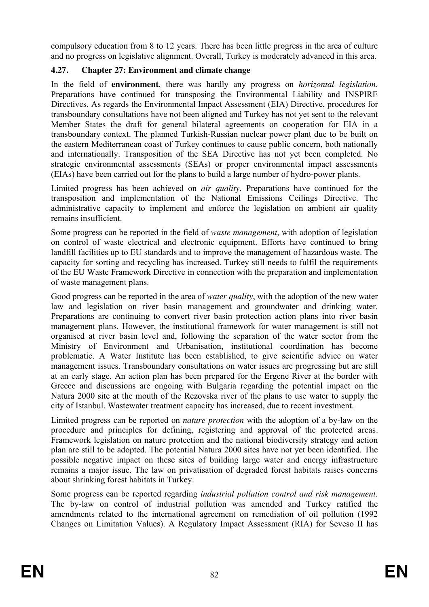compulsory education from 8 to 12 years. There has been little progress in the area of culture and no progress on legislative alignment. Overall, Turkey is moderately advanced in this area.

## **4.27. Chapter 27: Environment and climate change**

In the field of **environment**, there was hardly any progress on *horizontal legislation*. Preparations have continued for transposing the Environmental Liability and INSPIRE Directives. As regards the Environmental Impact Assessment (EIA) Directive, procedures for transboundary consultations have not been aligned and Turkey has not yet sent to the relevant Member States the draft for general bilateral agreements on cooperation for EIA in a transboundary context. The planned Turkish-Russian nuclear power plant due to be built on the eastern Mediterranean coast of Turkey continues to cause public concern, both nationally and internationally. Transposition of the SEA Directive has not yet been completed. No strategic environmental assessments (SEAs) or proper environmental impact assessments (EIAs) have been carried out for the plans to build a large number of hydro-power plants.

Limited progress has been achieved on *air quality*. Preparations have continued for the transposition and implementation of the National Emissions Ceilings Directive. The administrative capacity to implement and enforce the legislation on ambient air quality remains insufficient.

Some progress can be reported in the field of *waste management*, with adoption of legislation on control of waste electrical and electronic equipment. Efforts have continued to bring landfill facilities up to EU standards and to improve the management of hazardous waste. The capacity for sorting and recycling has increased. Turkey still needs to fulfil the requirements of the EU Waste Framework Directive in connection with the preparation and implementation of waste management plans.

Good progress can be reported in the area of *water quality*, with the adoption of the new water law and legislation on river basin management and groundwater and drinking water. Preparations are continuing to convert river basin protection action plans into river basin management plans. However, the institutional framework for water management is still not organised at river basin level and, following the separation of the water sector from the Ministry of Environment and Urbanisation, institutional coordination has become problematic. A Water Institute has been established, to give scientific advice on water management issues. Transboundary consultations on water issues are progressing but are still at an early stage. An action plan has been prepared for the Ergene River at the border with Greece and discussions are ongoing with Bulgaria regarding the potential impact on the Natura 2000 site at the mouth of the Rezovska river of the plans to use water to supply the city of Istanbul. Wastewater treatment capacity has increased, due to recent investment.

Limited progress can be reported on *nature protection* with the adoption of a by-law on the procedure and principles for defining, registering and approval of the protected areas*.*  Framework legislation on nature protection and the national biodiversity strategy and action plan are still to be adopted. The potential Natura 2000 sites have not yet been identified. The possible negative impact on these sites of building large water and energy infrastructure remains a major issue. The law on privatisation of degraded forest habitats raises concerns about shrinking forest habitats in Turkey.

Some progress can be reported regarding *industrial pollution control and risk management*. The by-law on control of industrial pollution was amended and Turkey ratified the amendments related to the international agreement on remediation of oil pollution (1992 Changes on Limitation Values). A Regulatory Impact Assessment (RIA) for Seveso II has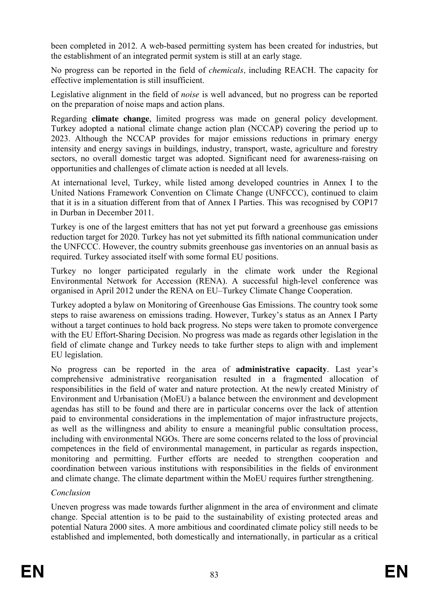been completed in 2012. A web-based permitting system has been created for industries, but the establishment of an integrated permit system is still at an early stage.

No progress can be reported in the field of *chemicals,* including REACH. The capacity for effective implementation is still insufficient.

Legislative alignment in the field of *noise* is well advanced, but no progress can be reported on the preparation of noise maps and action plans.

Regarding **climate change**, limited progress was made on general policy development. Turkey adopted a national climate change action plan (NCCAP) covering the period up to 2023. Although the NCCAP provides for major emissions reductions in primary energy intensity and energy savings in buildings, industry, transport, waste, agriculture and forestry sectors, no overall domestic target was adopted. Significant need for awareness-raising on opportunities and challenges of climate action is needed at all levels.

At international level, Turkey, while listed among developed countries in Annex I to the United Nations Framework Convention on Climate Change (UNFCCC), continued to claim that it is in a situation different from that of Annex I Parties. This was recognised by COP17 in Durban in December 2011.

Turkey is one of the largest emitters that has not yet put forward a greenhouse gas emissions reduction target for 2020. Turkey has not yet submitted its fifth national communication under the UNFCCC. However, the country submits greenhouse gas inventories on an annual basis as required. Turkey associated itself with some formal EU positions.

Turkey no longer participated regularly in the climate work under the Regional Environmental Network for Accession (RENA). A successful high-level conference was organised in April 2012 under the RENA on EU–Turkey Climate Change Cooperation.

Turkey adopted a bylaw on Monitoring of Greenhouse Gas Emissions. The country took some steps to raise awareness on emissions trading. However, Turkey's status as an Annex I Party without a target continues to hold back progress. No steps were taken to promote convergence with the EU Effort-Sharing Decision. No progress was made as regards other legislation in the field of climate change and Turkey needs to take further steps to align with and implement EU legislation.

No progress can be reported in the area of **administrative capacity**. Last year's comprehensive administrative reorganisation resulted in a fragmented allocation of responsibilities in the field of water and nature protection. At the newly created Ministry of Environment and Urbanisation (MoEU) a balance between the environment and development agendas has still to be found and there are in particular concerns over the lack of attention paid to environmental considerations in the implementation of major infrastructure projects, as well as the willingness and ability to ensure a meaningful public consultation process, including with environmental NGOs. There are some concerns related to the loss of provincial competences in the field of environmental management, in particular as regards inspection, monitoring and permitting. Further efforts are needed to strengthen cooperation and coordination between various institutions with responsibilities in the fields of environment and climate change. The climate department within the MoEU requires further strengthening.

## *Conclusion*

Uneven progress was made towards further alignment in the area of environment and climate change. Special attention is to be paid to the sustainability of existing protected areas and potential Natura 2000 sites. A more ambitious and coordinated climate policy still needs to be established and implemented, both domestically and internationally, in particular as a critical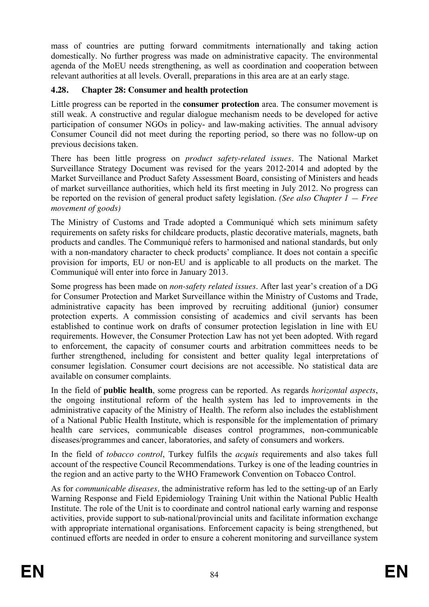mass of countries are putting forward commitments internationally and taking action domestically. No further progress was made on administrative capacity. The environmental agenda of the MoEU needs strengthening, as well as coordination and cooperation between relevant authorities at all levels. Overall, preparations in this area are at an early stage.

## **4.28. Chapter 28: Consumer and health protection**

Little progress can be reported in the **consumer protection** area. The consumer movement is still weak. A constructive and regular dialogue mechanism needs to be developed for active participation of consumer NGOs in policy- and law-making activities. The annual advisory Consumer Council did not meet during the reporting period, so there was no follow-up on previous decisions taken.

There has been little progress on *product safety-related issues.* The National Market Surveillance Strategy Document was revised for the years 2012-2014 and adopted by the Market Surveillance and Product Safety Assessment Board, consisting of Ministers and heads of market surveillance authorities, which held its first meeting in July 2012. No progress can be reported on the revision of general product safety legislation. *(See also Chapter 1 — Free movement of goods)* 

The Ministry of Customs and Trade adopted a Communiqué which sets minimum safety requirements on safety risks for childcare products, plastic decorative materials, magnets, bath products and candles. The Communiqué refers to harmonised and national standards, but only with a non-mandatory character to check products' compliance. It does not contain a specific provision for imports, EU or non-EU and is applicable to all products on the market. The Communiqué will enter into force in January 2013.

Some progress has been made on *non-safety related issues*. After last year's creation of a DG for Consumer Protection and Market Surveillance within the Ministry of Customs and Trade, administrative capacity has been improved by recruiting additional (junior) consumer protection experts. A commission consisting of academics and civil servants has been established to continue work on drafts of consumer protection legislation in line with EU requirements. However, the Consumer Protection Law has not yet been adopted. With regard to enforcement, the capacity of consumer courts and arbitration committees needs to be further strengthened, including for consistent and better quality legal interpretations of consumer legislation. Consumer court decisions are not accessible. No statistical data are available on consumer complaints.

In the field of **public health**, some progress can be reported. As regards *horizontal aspects*, the ongoing institutional reform of the health system has led to improvements in the administrative capacity of the Ministry of Health. The reform also includes the establishment of a National Public Health Institute, which is responsible for the implementation of primary health care services, communicable diseases control programmes, non-communicable diseases/programmes and cancer, laboratories, and safety of consumers and workers.

In the field of *tobacco control*, Turkey fulfils the *acquis* requirements and also takes full account of the respective Council Recommendations. Turkey is one of the leading countries in the region and an active party to the WHO Framework Convention on Tobacco Control.

As for *communicable diseases,* the administrative reform has led to the setting-up of an Early Warning Response and Field Epidemiology Training Unit within the National Public Health Institute. The role of the Unit is to coordinate and control national early warning and response activities, provide support to sub-national/provincial units and facilitate information exchange with appropriate international organisations. Enforcement capacity is being strengthened, but continued efforts are needed in order to ensure a coherent monitoring and surveillance system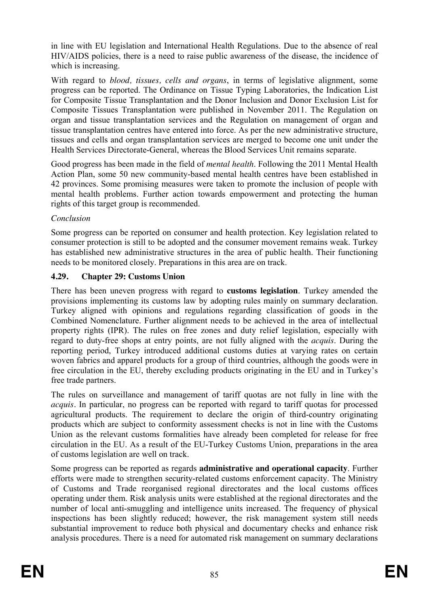in line with EU legislation and International Health Regulations. Due to the absence of real HIV/AIDS policies, there is a need to raise public awareness of the disease, the incidence of which is increasing.

With regard to *blood, tissues, cells and organs*, in terms of legislative alignment, some progress can be reported. The Ordinance on Tissue Typing Laboratories, the Indication List for Composite Tissue Transplantation and the Donor Inclusion and Donor Exclusion List for Composite Tissues Transplantation were published in November 2011. The Regulation on organ and tissue transplantation services and the Regulation on management of organ and tissue transplantation centres have entered into force. As per the new administrative structure, tissues and cells and organ transplantation services are merged to become one unit under the Health Services Directorate-General, whereas the Blood Services Unit remains separate.

Good progress has been made in the field of *mental health*. Following the 2011 Mental Health Action Plan, some 50 new community-based mental health centres have been established in 42 provinces. Some promising measures were taken to promote the inclusion of people with mental health problems. Further action towards empowerment and protecting the human rights of this target group is recommended.

## *Conclusion*

Some progress can be reported on consumer and health protection. Key legislation related to consumer protection is still to be adopted and the consumer movement remains weak. Turkey has established new administrative structures in the area of public health. Their functioning needs to be monitored closely. Preparations in this area are on track.

# **4.29. Chapter 29: Customs Union**

There has been uneven progress with regard to **customs legislation**. Turkey amended the provisions implementing its customs law by adopting rules mainly on summary declaration. Turkey aligned with opinions and regulations regarding classification of goods in the Combined Nomenclature. Further alignment needs to be achieved in the area of intellectual property rights (IPR). The rules on free zones and duty relief legislation, especially with regard to duty-free shops at entry points, are not fully aligned with the *acquis*. During the reporting period, Turkey introduced additional customs duties at varying rates on certain woven fabrics and apparel products for a group of third countries, although the goods were in free circulation in the EU, thereby excluding products originating in the EU and in Turkey's free trade partners.

The rules on surveillance and management of tariff quotas are not fully in line with the *acquis.* In particular, no progress can be reported with regard to tariff quotas for processed agricultural products. The requirement to declare the origin of third-country originating products which are subject to conformity assessment checks is not in line with the Customs Union as the relevant customs formalities have already been completed for release for free circulation in the EU. As a result of the EU-Turkey Customs Union, preparations in the area of customs legislation are well on track.

Some progress can be reported as regards **administrative and operational capacity**. Further efforts were made to strengthen security-related customs enforcement capacity. The Ministry of Customs and Trade reorganised regional directorates and the local customs offices operating under them. Risk analysis units were established at the regional directorates and the number of local anti-smuggling and intelligence units increased. The frequency of physical inspections has been slightly reduced; however, the risk management system still needs substantial improvement to reduce both physical and documentary checks and enhance risk analysis procedures. There is a need for automated risk management on summary declarations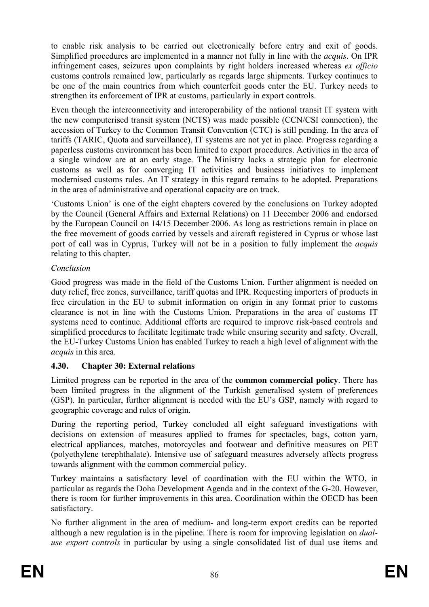to enable risk analysis to be carried out electronically before entry and exit of goods. Simplified procedures are implemented in a manner not fully in line with the *acquis*. On IPR infringement cases, seizures upon complaints by right holders increased whereas *ex officio* customs controls remained low, particularly as regards large shipments. Turkey continues to be one of the main countries from which counterfeit goods enter the EU. Turkey needs to strengthen its enforcement of IPR at customs, particularly in export controls.

Even though the interconnectivity and interoperability of the national transit IT system with the new computerised transit system (NCTS) was made possible (CCN/CSI connection), the accession of Turkey to the Common Transit Convention (CTC) is still pending. In the area of tariffs (TARIC, Quota and surveillance), IT systems are not yet in place. Progress regarding a paperless customs environment has been limited to export procedures. Activities in the area of a single window are at an early stage. The Ministry lacks a strategic plan for electronic customs as well as for converging IT activities and business initiatives to implement modernised customs rules. An IT strategy in this regard remains to be adopted. Preparations in the area of administrative and operational capacity are on track.

'Customs Union' is one of the eight chapters covered by the conclusions on Turkey adopted by the Council (General Affairs and External Relations) on 11 December 2006 and endorsed by the European Council on 14/15 December 2006. As long as restrictions remain in place on the free movement of goods carried by vessels and aircraft registered in Cyprus or whose last port of call was in Cyprus, Turkey will not be in a position to fully implement the *acquis*  relating to this chapter.

# *Conclusion*

Good progress was made in the field of the Customs Union. Further alignment is needed on duty relief, free zones, surveillance, tariff quotas and IPR. Requesting importers of products in free circulation in the EU to submit information on origin in any format prior to customs clearance is not in line with the Customs Union. Preparations in the area of customs IT systems need to continue. Additional efforts are required to improve risk-based controls and simplified procedures to facilitate legitimate trade while ensuring security and safety. Overall, the EU-Turkey Customs Union has enabled Turkey to reach a high level of alignment with the *acquis* in this area.

# **4.30. Chapter 30: External relations**

Limited progress can be reported in the area of the **common commercial policy**. There has been limited progress in the alignment of the Turkish generalised system of preferences (GSP). In particular, further alignment is needed with the EU's GSP, namely with regard to geographic coverage and rules of origin.

During the reporting period, Turkey concluded all eight safeguard investigations with decisions on extension of measures applied to frames for spectacles, bags, cotton yarn, electrical appliances, matches, motorcycles and footwear and definitive measures on PET (polyethylene terephthalate). Intensive use of safeguard measures adversely affects progress towards alignment with the common commercial policy.

Turkey maintains a satisfactory level of coordination with the EU within the WTO, in particular as regards the Doha Development Agenda and in the context of the G-20. However, there is room for further improvements in this area. Coordination within the OECD has been satisfactory.

No further alignment in the area of medium- and long-term export credits can be reported although a new regulation is in the pipeline. There is room for improving legislation on *dualuse export controls* in particular by using a single consolidated list of dual use items and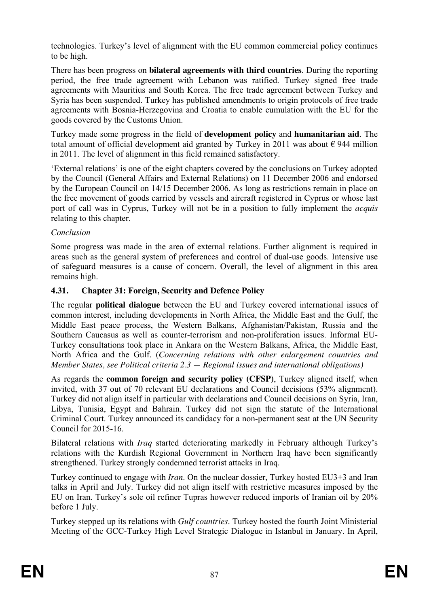technologies. Turkey's level of alignment with the EU common commercial policy continues to be high.

There has been progress on **bilateral agreements with third countries**. During the reporting period, the free trade agreement with Lebanon was ratified. Turkey signed free trade agreements with Mauritius and South Korea. The free trade agreement between Turkey and Syria has been suspended. Turkey has published amendments to origin protocols of free trade agreements with Bosnia-Herzegovina and Croatia to enable cumulation with the EU for the goods covered by the Customs Union.

Turkey made some progress in the field of **development policy** and **humanitarian aid**. The total amount of official development aid granted by Turkey in 2011 was about  $\epsilon$  944 million in 2011. The level of alignment in this field remained satisfactory.

'External relations' is one of the eight chapters covered by the conclusions on Turkey adopted by the Council (General Affairs and External Relations) on 11 December 2006 and endorsed by the European Council on 14/15 December 2006. As long as restrictions remain in place on the free movement of goods carried by vessels and aircraft registered in Cyprus or whose last port of call was in Cyprus, Turkey will not be in a position to fully implement the *acquis*  relating to this chapter.

## *Conclusion*

Some progress was made in the area of external relations. Further alignment is required in areas such as the general system of preferences and control of dual-use goods. Intensive use of safeguard measures is a cause of concern. Overall, the level of alignment in this area remains high.

## **4.31. Chapter 31: Foreign, Security and Defence Policy**

The regular **political dialogue** between the EU and Turkey covered international issues of common interest, including developments in North Africa, the Middle East and the Gulf, the Middle East peace process, the Western Balkans, Afghanistan/Pakistan, Russia and the Southern Caucasus as well as counter-terrorism and non-proliferation issues. Informal EU-Turkey consultations took place in Ankara on the Western Balkans, Africa, the Middle East, North Africa and the Gulf. (*Concerning relations with other enlargement countries and Member States, see Political criteria 2.3 — Regional issues and international obligations)*

As regards the **common foreign and security policy (CFSP)**, Turkey aligned itself, when invited, with 37 out of 70 relevant EU declarations and Council decisions (53% alignment). Turkey did not align itself in particular with declarations and Council decisions on Syria, Iran, Libya, Tunisia, Egypt and Bahrain. Turkey did not sign the statute of the International Criminal Court. Turkey announced its candidacy for a non-permanent seat at the UN Security Council for 2015-16.

Bilateral relations with *Iraq* started deteriorating markedly in February although Turkey's relations with the Kurdish Regional Government in Northern Iraq have been significantly strengthened. Turkey strongly condemned terrorist attacks in Iraq.

Turkey continued to engage with *Iran*. On the nuclear dossier, Turkey hosted EU3+3 and Iran talks in April and July. Turkey did not align itself with restrictive measures imposed by the EU on Iran. Turkey's sole oil refiner Tupras however reduced imports of Iranian oil by 20% before 1 July.

Turkey stepped up its relations with *Gulf countries*. Turkey hosted the fourth Joint Ministerial Meeting of the GCC-Turkey High Level Strategic Dialogue in Istanbul in January. In April,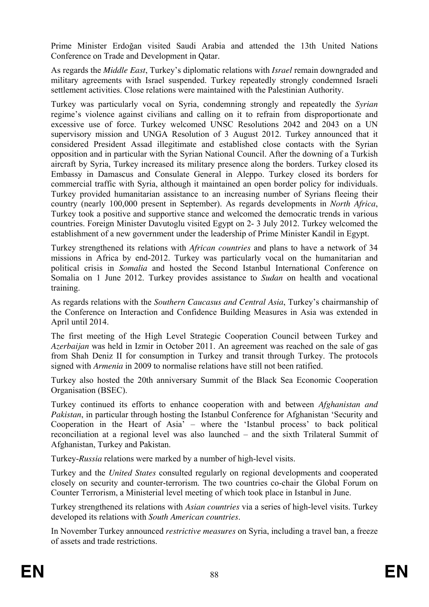Prime Minister Erdoğan visited Saudi Arabia and attended the 13th United Nations Conference on Trade and Development in Qatar.

As regards the *Middle East*, Turkey's diplomatic relations with *Israel* remain downgraded and military agreements with Israel suspended. Turkey repeatedly strongly condemned Israeli settlement activities. Close relations were maintained with the Palestinian Authority.

Turkey was particularly vocal on Syria, condemning strongly and repeatedly the *Syrian* regime's violence against civilians and calling on it to refrain from disproportionate and excessive use of force. Turkey welcomed UNSC Resolutions 2042 and 2043 on a UN supervisory mission and UNGA Resolution of 3 August 2012. Turkey announced that it considered President Assad illegitimate and established close contacts with the Syrian opposition and in particular with the Syrian National Council. After the downing of a Turkish aircraft by Syria, Turkey increased its military presence along the borders. Turkey closed its Embassy in Damascus and Consulate General in Aleppo. Turkey closed its borders for commercial traffic with Syria, although it maintained an open border policy for individuals. Turkey provided humanitarian assistance to an increasing number of Syrians fleeing their country (nearly 100,000 present in September). As regards developments in *North Africa*, Turkey took a positive and supportive stance and welcomed the democratic trends in various countries. Foreign Minister Davutoglu visited Egypt on 2- 3 July 2012. Turkey welcomed the establishment of a new government under the leadership of Prime Minister Kandil in Egypt.

Turkey strengthened its relations with *African countries* and plans to have a network of 34 missions in Africa by end-2012. Turkey was particularly vocal on the humanitarian and political crisis in *Somalia* and hosted the Second Istanbul International Conference on Somalia on 1 June 2012. Turkey provides assistance to *Sudan* on health and vocational training.

As regards relations with the *Southern Caucasus and Central Asia*, Turkey's chairmanship of the Conference on Interaction and Confidence Building Measures in Asia was extended in April until 2014.

The first meeting of the High Level Strategic Cooperation Council between Turkey and *Azerbaijan* was held in Izmir in October 2011. An agreement was reached on the sale of gas from Shah Deniz II for consumption in Turkey and transit through Turkey. The protocols signed with *Armenia* in 2009 to normalise relations have still not been ratified.

Turkey also hosted the 20th anniversary Summit of the Black Sea Economic Cooperation Organisation (BSEC).

Turkey continued its efforts to enhance cooperation with and between *Afghanistan and Pakistan*, in particular through hosting the Istanbul Conference for Afghanistan 'Security and Cooperation in the Heart of Asia' – where the 'Istanbul process' to back political reconciliation at a regional level was also launched – and the sixth Trilateral Summit of Afghanistan, Turkey and Pakistan.

Turkey-*Russia* relations were marked by a number of high-level visits.

Turkey and the *United States* consulted regularly on regional developments and cooperated closely on security and counter-terrorism. The two countries co-chair the Global Forum on Counter Terrorism, a Ministerial level meeting of which took place in Istanbul in June.

Turkey strengthened its relations with *Asian countries* via a series of high-level visits. Turkey developed its relations with *South American countries*.

In November Turkey announced *restrictive measures* on Syria, including a travel ban, a freeze of assets and trade restrictions.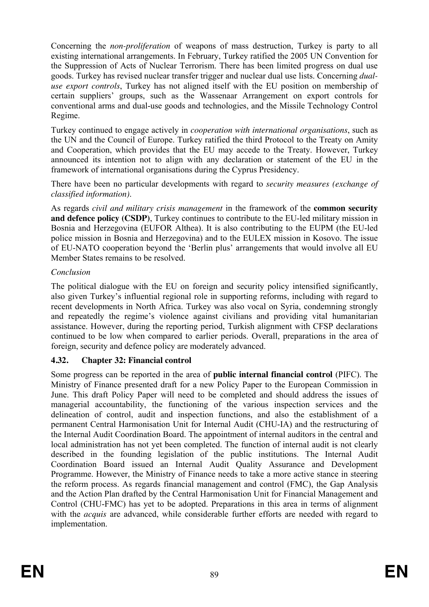Concerning the *non-proliferation* of weapons of mass destruction, Turkey is party to all existing international arrangements. In February, Turkey ratified the 2005 UN Convention for the Suppression of Acts of Nuclear Terrorism. There has been limited progress on dual use goods. Turkey has revised nuclear transfer trigger and nuclear dual use lists. Concerning *dualuse export controls*, Turkey has not aligned itself with the EU position on membership of certain suppliers' groups, such as the Wassenaar Arrangement on export controls for conventional arms and dual-use goods and technologies, and the Missile Technology Control Regime.

Turkey continued to engage actively in *cooperation with international organisations*, such as the UN and the Council of Europe. Turkey ratified the third Protocol to the Treaty on Amity and Cooperation, which provides that the EU may accede to the Treaty. However, Turkey announced its intention not to align with any declaration or statement of the EU in the framework of international organisations during the Cyprus Presidency.

There have been no particular developments with regard to *security measures (exchange of classified information)*.

As regards *civil and military crisis management* in the framework of the **common security and defence policy (CSDP)**. Turkey continues to contribute to the EU-led military mission in Bosnia and Herzegovina (EUFOR Althea). It is also contributing to the EUPM (the EU-led police mission in Bosnia and Herzegovina) and to the EULEX mission in Kosovo. The issue of EU-NATO cooperation beyond the 'Berlin plus' arrangements that would involve all EU Member States remains to be resolved.

## *Conclusion*

The political dialogue with the EU on foreign and security policy intensified significantly, also given Turkey's influential regional role in supporting reforms, including with regard to recent developments in North Africa. Turkey was also vocal on Syria, condemning strongly and repeatedly the regime's violence against civilians and providing vital humanitarian assistance. However, during the reporting period, Turkish alignment with CFSP declarations continued to be low when compared to earlier periods. Overall, preparations in the area of foreign, security and defence policy are moderately advanced.

## **4.32. Chapter 32: Financial control**

Some progress can be reported in the area of **public internal financial control** (PIFC). The Ministry of Finance presented draft for a new Policy Paper to the European Commission in June. This draft Policy Paper will need to be completed and should address the issues of managerial accountability, the functioning of the various inspection services and the delineation of control, audit and inspection functions, and also the establishment of a permanent Central Harmonisation Unit for Internal Audit (CHU-IA) and the restructuring of the Internal Audit Coordination Board. The appointment of internal auditors in the central and local administration has not yet been completed. The function of internal audit is not clearly described in the founding legislation of the public institutions. The Internal Audit Coordination Board issued an Internal Audit Quality Assurance and Development Programme. However, the Ministry of Finance needs to take a more active stance in steering the reform process. As regards financial management and control (FMC), the Gap Analysis and the Action Plan drafted by the Central Harmonisation Unit for Financial Management and Control (CHU-FMC) has yet to be adopted. Preparations in this area in terms of alignment with the *acquis* are advanced, while considerable further efforts are needed with regard to implementation.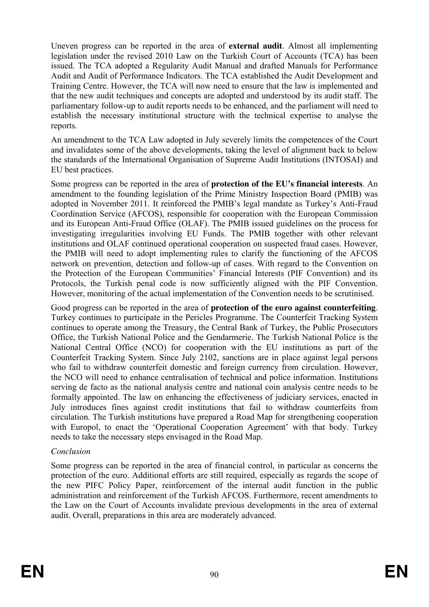Uneven progress can be reported in the area of **external audit**. Almost all implementing legislation under the revised 2010 Law on the Turkish Court of Accounts (TCA) has been issued. The TCA adopted a Regularity Audit Manual and drafted Manuals for Performance Audit and Audit of Performance Indicators. The TCA established the Audit Development and Training Centre. However, the TCA will now need to ensure that the law is implemented and that the new audit techniques and concepts are adopted and understood by its audit staff. The parliamentary follow-up to audit reports needs to be enhanced, and the parliament will need to establish the necessary institutional structure with the technical expertise to analyse the reports.

An amendment to the TCA Law adopted in July severely limits the competences of the Court and invalidates some of the above developments, taking the level of alignment back to below the standards of the International Organisation of Supreme Audit Institutions (INTOSAI) and EU best practices.

Some progress can be reported in the area of **protection of the EU's financial interests**. An amendment to the founding legislation of the Prime Ministry Inspection Board (PMIB) was adopted in November 2011. It reinforced the PMIB's legal mandate as Turkey's Anti-Fraud Coordination Service (AFCOS), responsible for cooperation with the European Commission and its European Anti-Fraud Office (OLAF). The PMIB issued guidelines on the process for investigating irregularities involving EU Funds. The PMIB together with other relevant institutions and OLAF continued operational cooperation on suspected fraud cases. However, the PMIB will need to adopt implementing rules to clarify the functioning of the AFCOS network on prevention, detection and follow-up of cases. With regard to the Convention on the Protection of the European Communities' Financial Interests (PIF Convention) and its Protocols, the Turkish penal code is now sufficiently aligned with the PIF Convention. However, monitoring of the actual implementation of the Convention needs to be scrutinised.

Good progress can be reported in the area of **protection of the euro against counterfeiting**. Turkey continues to participate in the Pericles Programme. The Counterfeit Tracking System continues to operate among the Treasury, the Central Bank of Turkey, the Public Prosecutors Office, the Turkish National Police and the Gendarmerie. The Turkish National Police is the National Central Office (NCO) for cooperation with the EU institutions as part of the Counterfeit Tracking System. Since July 2102, sanctions are in place against legal persons who fail to withdraw counterfeit domestic and foreign currency from circulation. However, the NCO will need to enhance centralisation of technical and police information. Institutions serving de facto as the national analysis centre and national coin analysis centre needs to be formally appointed. The law on enhancing the effectiveness of judiciary services, enacted in July introduces fines against credit institutions that fail to withdraw counterfeits from circulation. The Turkish institutions have prepared a Road Map for strengthening cooperation with Europol, to enact the 'Operational Cooperation Agreement' with that body. Turkey needs to take the necessary steps envisaged in the Road Map.

## *Conclusion*

Some progress can be reported in the area of financial control, in particular as concerns the protection of the euro. Additional efforts are still required, especially as regards the scope of the new PIFC Policy Paper, reinforcement of the internal audit function in the public administration and reinforcement of the Turkish AFCOS. Furthermore, recent amendments to the Law on the Court of Accounts invalidate previous developments in the area of external audit. Overall, preparations in this area are moderately advanced.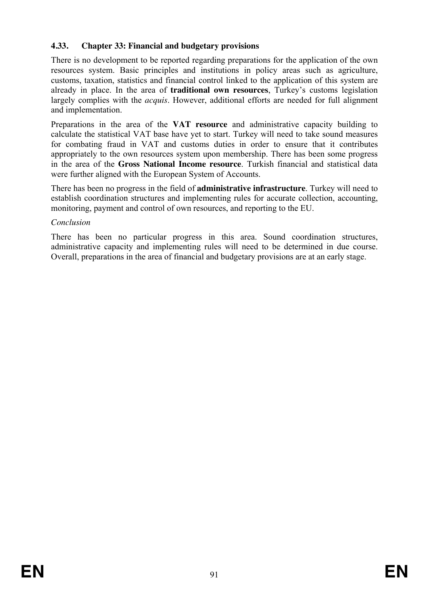## **4.33. Chapter 33: Financial and budgetary provisions**

There is no development to be reported regarding preparations for the application of the own resources system. Basic principles and institutions in policy areas such as agriculture, customs, taxation, statistics and financial control linked to the application of this system are already in place. In the area of **traditional own resources**, Turkey's customs legislation largely complies with the *acquis*. However, additional efforts are needed for full alignment and implementation.

Preparations in the area of the **VAT resource** and administrative capacity building to calculate the statistical VAT base have yet to start. Turkey will need to take sound measures for combating fraud in VAT and customs duties in order to ensure that it contributes appropriately to the own resources system upon membership. There has been some progress in the area of the **Gross National Income resource**. Turkish financial and statistical data were further aligned with the European System of Accounts.

There has been no progress in the field of **administrative infrastructure**. Turkey will need to establish coordination structures and implementing rules for accurate collection, accounting, monitoring, payment and control of own resources, and reporting to the EU.

## *Conclusion*

There has been no particular progress in this area. Sound coordination structures, administrative capacity and implementing rules will need to be determined in due course. Overall, preparations in the area of financial and budgetary provisions are at an early stage.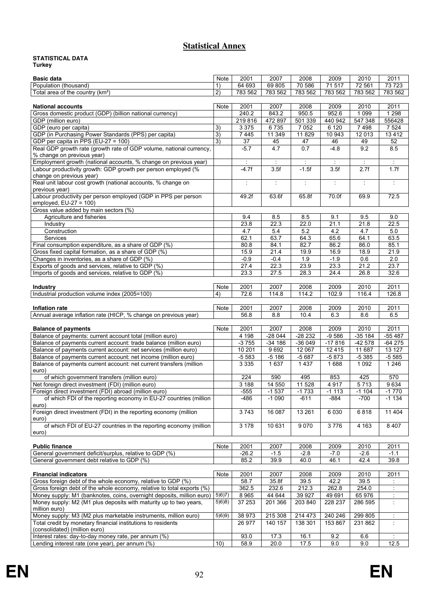## **Statistical Annex**

#### **STATISTICAL DATA Turkey**

| <b>Basic data</b>                                                                                          | Note    | 2001                 | 2007                 | 2008                   | 2009            | 2010                 | 2011                 |
|------------------------------------------------------------------------------------------------------------|---------|----------------------|----------------------|------------------------|-----------------|----------------------|----------------------|
| Population (thousand)                                                                                      | 1)      | 64 693               | 69 805               | 70 586                 | 71517           | 72 561               | 73 723               |
| Total area of the country (km <sup>2</sup> )                                                               | 2)      | 783 562              | 783 562              | 783 562                | 783 562         | 783 562              | 783 562              |
|                                                                                                            |         |                      |                      |                        |                 |                      |                      |
| <b>National accounts</b>                                                                                   | Note    | 2001                 | 2007                 | 2008                   | 2009            | 2010                 | 2011                 |
| Gross domestic product (GDP) (billion national currency)                                                   |         | 240.2                | 843.2                | 950.5                  | 952.6           | 1 0 9 9              | 1 2 9 8              |
| GDP (million euro)                                                                                         |         | 219 816              | 472 897              | 501 339                | 440 942         | 547 348              | 556428               |
| GDP (euro per capita)                                                                                      | 3)      | 3 3 7 5              | 6735                 | 7 0 5 2                | 6 1 2 0         | 7498                 | 7 5 24               |
| GDP (in Purchasing Power Standards (PPS) per capita)                                                       | 3)      | 7 4 4 5              | 11 349               | 11829                  | 10 943          | 12 013               | 13412                |
| GDP per capita in PPS (EU-27 = 100)<br>Real GDP growth rate (growth rate of GDP volume, national currency, | 3)      | 37<br>$-5.7$         | 45<br>4.7            | 47<br>$\overline{0.7}$ | 46<br>$-4.8$    | 49<br>9.2            | 52<br>8.5            |
| % change on previous year)                                                                                 |         |                      |                      |                        |                 |                      |                      |
| Employment growth (national accounts, % change on previous year)                                           |         | $\ddot{\phantom{a}}$ | $\cdot$              | $\ddot{\cdot}$         | $\cdot$         | $\bullet$            | $\ddot{\phantom{a}}$ |
| Labour productivity growth: GDP growth per person employed (%                                              |         | $-4.7f$              | 3.5f                 | $-1.5f$                | 3.5f            | 2.7f                 | 1.7f                 |
| change on previous year)                                                                                   |         |                      |                      |                        |                 |                      |                      |
| Real unit labour cost growth (national accounts, % change on                                               |         | $\ddot{\phantom{a}}$ | $\ddot{\phantom{a}}$ | ÷                      | ÷               | $\ddot{\phantom{a}}$ | $\ddot{\phantom{a}}$ |
| previous year)                                                                                             |         |                      |                      |                        |                 |                      |                      |
| Labour productivity per person employed (GDP in PPS per person                                             |         | 49.2f                | 63.6f                | 65.8f                  | 70.0f           | 69.9                 | 72.5                 |
| employed, $EU-27 = 100$ )                                                                                  |         |                      |                      |                        |                 |                      |                      |
| Gross value added by main sectors (%)                                                                      |         |                      |                      |                        |                 |                      |                      |
| Agriculture and fisheries                                                                                  |         | 9.4                  | 8.5                  | 8.5                    | 9.1             | 9.5                  | 9.0                  |
| Industry                                                                                                   |         | 23.8                 | 22.3<br>5.4          | 22.0<br>5.2            | 21.1<br>4.2     | 21.8<br>4.7          | 22.5<br>5.0          |
| Construction<br>Services                                                                                   |         | 4.7<br>62.1          | 63.7                 | 64.3                   | 65.6            | 64.1                 | 63.5                 |
| Final consumption expenditure, as a share of GDP (%)                                                       |         | 80.8                 | 84.1                 | 82.7                   | 86.2            | 86.0                 | 85.1                 |
| Gross fixed capital formation, as a share of GDP (%)                                                       |         | 15.9                 | 21.4                 | 19.9                   | 16.9            | 18.9                 | 21.9                 |
| Changes in inventories, as a share of GDP (%)                                                              |         | $-0.9$               | $-0.4$               | 1.9                    | $-1.9$          | 0.6                  | 2.0                  |
| Exports of goods and services, relative to GDP (%)                                                         |         | 27.4                 | 22.3                 | 23.9                   | 23.3            | 21.2                 | 23.7                 |
| Imports of goods and services, relative to GDP (%)                                                         |         | 23.3                 | 27.5                 | 28.3                   | 24.4            | 26.8                 | 32.6                 |
|                                                                                                            |         |                      |                      |                        |                 |                      |                      |
| <b>Industry</b>                                                                                            | Note    | 2001                 | 2007                 | 2008                   | 2009            | 2010                 | 2011                 |
| Industrial production volume index (2005=100)                                                              | 4)      | 72.6                 | 114.8                | 114.2                  | 102.9           | 116.4                | 126.8                |
|                                                                                                            |         |                      |                      |                        |                 |                      |                      |
| Inflation rate                                                                                             | Note    | 2001                 | 2007                 | 2008                   | 2009            | 2010                 | 2011                 |
| Annual average inflation rate (HICP, % change on previous year)                                            |         | 56.8                 | 8.8                  | 10.4                   | 6.3             | 8.6                  | 6.5                  |
|                                                                                                            |         |                      |                      |                        |                 |                      |                      |
| <b>Balance of payments</b><br>Balance of payments: current account total (million euro)                    | Note    | 2001<br>4 1 9 8      | 2007<br>$-28044$     | 2008<br>$-28232$       | 2009<br>$-9586$ | 2010<br>$-35184$     | 2011<br>$-55487$     |
| Balance of payments current account: trade balance (million euro)                                          |         | $-3755$              | $-34186$             | $-36049$               | $-17816$        | $-42578$             | $-64275$             |
| Balance of payments current account: net services (million euro)                                           |         | 10 201               | 9692                 | 12 067                 | 12415           | 11 687               | 13 127               |
| Balance of payments current account: net income (million euro)                                             |         | $-5583$              | $-5186$              | $-5687$                | $-5873$         | $-5385$              | $-5585$              |
| Balance of payments current account: net current transfers (million                                        |         | 3 3 3 5              | 1637                 | 1 4 3 7                | 1688            | 1 0 9 2              | 1246                 |
| euro)                                                                                                      |         |                      |                      |                        |                 |                      |                      |
| of which government transfers (million euro)                                                               |         | $\overline{224}$     | 590                  | 495                    | 853             | 425                  | 570                  |
| Net foreign direct investment (FDI) (million euro)                                                         |         | 3 1 8 8              | 14 550               | $11\,528$              | 4 9 1 7         | 5713                 | 9634                 |
| Foreign direct investment (FDI) abroad (million euro)                                                      |         | $-555$               | $-1537$              | $-1733$                | $-1113$         | $-1104$              | $-1770$              |
| of which FDI of the reporting economy in EU-27 countries (million                                          |         | -486                 | $-1090$              | $-611$                 | $-884$          | $-700$               | $-1134$              |
| euro)                                                                                                      |         |                      |                      |                        |                 |                      |                      |
| Foreign direct investment (FDI) in the reporting economy (million                                          |         | 3743                 | 16 087               | 13 26 1                | 6 0 30          | 6818                 | 11 404               |
| euro)<br>of which FDI of EU-27 countries in the reporting economy (million                                 |         | 3 1 7 8              | 10 631               | 9070                   | 3776            | 4 1 6 3              | 8 4 0 7              |
| euro)                                                                                                      |         |                      |                      |                        |                 |                      |                      |
|                                                                                                            |         |                      |                      |                        |                 |                      |                      |
| <b>Public finance</b>                                                                                      | Note    | 2001                 | 2007                 | 2008                   | 2009            | 2010                 | 2011                 |
| General government deficit/surplus, relative to GDP (%)                                                    |         | $-26.2$              | $-1.5$               | $-2.8$                 | $-7.0$          | $-2.6$               | $-1.1$               |
| General government debt relative to GDP (%)                                                                |         | 85.2                 | 39.9                 | 40.0                   | 46.1            | 42.4                 | 39.8                 |
|                                                                                                            |         |                      |                      |                        |                 |                      |                      |
| <b>Financial indicators</b>                                                                                | Note    | 2001                 | 2007                 | 2008                   | 2009            | 2010                 | 2011                 |
| Gross foreign debt of the whole economy, relative to GDP (%)                                               |         | 58.7                 | 35.8f                | 39.5                   | 42.2            | 39.5                 |                      |
| Gross foreign debt of the whole economy, relative to total exports (%)                                     |         | 362.5                | 232.6                | 212.3                  | 262.8           | 254.0                | ÷                    |
| Money supply: M1 (banknotes, coins, overnight deposits, million euro)                                      | 5(6)7   | 8 9 6 5              | 44 644               | 39 9 27                | 49 691          | 65 976               |                      |
| Money supply: M2 (M1 plus deposits with maturity up to two years,<br>million euro)                         | 5(6)(8) | 37 253               | 201 366              | 203 840                | 228 237         | 286 595              | ÷                    |
| Money supply: M3 (M2 plus marketable instruments, million euro)                                            | 5(6)(9) | 38 973               | 215 308              | 214 473                | 240 246         | 299 805              | ÷                    |
| Total credit by monetary financial institutions to residents                                               |         | 26 977               | 140 157              | 138 301                | 153 867         | 231 862              | ÷                    |
| (consolidated) (million euro)                                                                              |         |                      |                      |                        |                 |                      |                      |
| Interest rates: day-to-day money rate, per annum (%)                                                       |         | 93.0                 | 17.3                 | 16.1                   | 9.2             | 6.6                  |                      |
| Lending interest rate (one year), per annum (%)                                                            | 10)     | 58.9                 | 20.0                 | 17.5                   | 9.0             | 9.0                  | 12.5                 |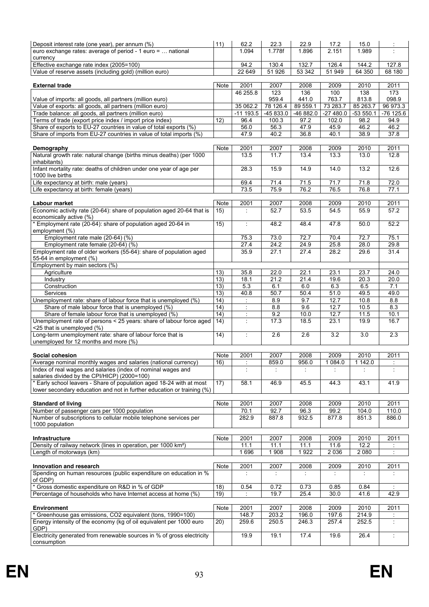| Deposit interest rate (one year), per annum (%)<br>euro exchange rates: average of period - 1 euro =  national                                                                 | 11)               | 62.2<br>1.094           | 22.3<br>1.778f                  | 22.9<br>1.896     | 17.2<br>2.151       | 15.0<br>1.989      |                     |
|--------------------------------------------------------------------------------------------------------------------------------------------------------------------------------|-------------------|-------------------------|---------------------------------|-------------------|---------------------|--------------------|---------------------|
| currency                                                                                                                                                                       |                   | 94.2                    | 130.4                           |                   |                     |                    |                     |
| Effective exchange rate index (2005=100)<br>Value of reserve assets (including gold) (million euro)                                                                            |                   | 22 649                  | 51 926                          | 132.7<br>53 342   | 126.4<br>51 949     | 144.2<br>64 350    | 127.8<br>68 180     |
|                                                                                                                                                                                |                   |                         |                                 |                   |                     |                    |                     |
| <b>External trade</b>                                                                                                                                                          | Note              | 2001                    | 2007                            | 2008              | 2009                | 2010               | 2011                |
|                                                                                                                                                                                |                   | 46 255.8                | 123                             | 136               | 100                 | 138                | 173                 |
| Value of imports: all goods, all partners (million euro)                                                                                                                       |                   |                         | 959.4                           | 441.0             | 763.7               | 813.8              | 098.9               |
| Value of exports: all goods, all partners (million euro)                                                                                                                       |                   | 35 062.2<br>$-11$ 193.5 | 78 126.4                        | 89 559.1          | 73 283.7            | 85 263.7           | 96 973.3            |
| Trade balance: all goods, all partners (million euro)<br>Terms of trade (export price index / import price index)                                                              | 12)               | 96.4                    | -45 833.0<br>$100.\overline{3}$ | -46 882.0<br>97.2 | $-27480.0$<br>102.0 | $-53550.1$<br>98.2 | $-76$ 125.6<br>94.9 |
| Share of exports to EU-27 countries in value of total exports (%)                                                                                                              |                   | 56.0                    | 56.3                            | 47.9              | 45.9                | 46.2               | 46.2                |
| Share of imports from EU-27 countries in value of total imports (%)                                                                                                            |                   | 47.9                    | 40.2                            | 36.8              | 40.1                | 38.9               | 37.8                |
|                                                                                                                                                                                |                   |                         |                                 |                   |                     |                    |                     |
| Demography                                                                                                                                                                     | Note              | 2001                    | 2007                            | 2008              | 2009                | 2010               | 2011                |
| Natural growth rate: natural change (births minus deaths) (per 1000<br>inhabitants)                                                                                            |                   | 13.5                    | 11.7                            | 13.4              | 13.3                | 13.0               | 12.8                |
| Infant mortality rate: deaths of children under one year of age per<br>1000 live births                                                                                        |                   | 28.3                    | 15.9                            | 14.9              | 14.0                | 13.2               | 12.6                |
| Life expectancy at birth: male (years)                                                                                                                                         |                   | 69.4                    | 71.4                            | 71.5              | 71.7                | 71.8               | 72.0                |
| Life expectancy at birth: female (years)                                                                                                                                       |                   | 73.5                    | 75.9                            | 76.2              | 76.5                | 76.8               | 77.1                |
| Labour market                                                                                                                                                                  | Note              | 2001                    | 2007                            | 2008              | 2009                | 2010               | 2011                |
| Economic activity rate (20-64): share of population aged 20-64 that is<br>economically active (%)                                                                              | 15)               | $\ddot{\phantom{a}}$    | 52.7                            | 53.5              | 54.5                | 55.9               | 57.2                |
| * Employment rate (20-64): share of population aged 20-64 in<br>employment (%)                                                                                                 | 15)               | $\ddot{\phantom{a}}$    | 48.2                            | 48.4              | 47.8                | 50.0               | 52.2                |
| Employment rate male (20-64) (%)                                                                                                                                               |                   | 75.3                    | 73.0                            | 72.7              | 70.4                | 72.7               | 75.1                |
| Employment rate female (20-64) (%)                                                                                                                                             |                   | 27.4                    | 24.2                            | 24.9              | 25.8                | 28.0               | 29.8                |
| Employment rate of older workers (55-64): share of population aged<br>55-64 in employment (%)                                                                                  |                   | 35.9                    | 27.1                            | 27.4              | 28.2                | 29.6               | 31.4                |
| Employment by main sectors (%)                                                                                                                                                 |                   |                         |                                 |                   |                     |                    |                     |
| Agriculture                                                                                                                                                                    | 13)<br>13)        | 35.8<br>18.1            | 22.0<br>21.2                    | 22.1<br>21.4      | 23.1<br>19.6        | 23.7<br>20.3       | 24.0<br>20.0        |
| Industry<br>Construction                                                                                                                                                       | 13)               | 5.3                     | 6.1                             | 6.0               | 6.3                 | 6.5                | 7.1                 |
| Services                                                                                                                                                                       | 13)               | 40.8                    | 50.7                            | 50.4              | 51.0                | 49.5               | 49.0                |
| Unemployment rate: share of labour force that is unemployed (%)                                                                                                                | 14)               | ÷                       | 8.9                             | 9.7               | 12.7                | 10.8               | 8.8                 |
| Share of male labour force that is unemployed (%)                                                                                                                              | $\overline{1}$ 4) |                         | 8.8                             | 9.6               | 12.7                | 10.5               | 8.3                 |
| Share of female labour force that is unemployed (%)                                                                                                                            | 14)               |                         | 9.2                             | 10.0              | 12.7                | 11.5               | 10.1                |
| Unemployment rate of persons < 25 years: share of labour force aged<br><25 that is unemployed (%)                                                                              | 14)               | ÷                       | 17.3                            | 18.5              | 23.1                | 19.9               | 16.7                |
| Long-term unemployment rate: share of labour force that is<br>unemployed for 12 months and more (%)                                                                            | 14)               | ÷                       | 2.6                             | 2.6               | 3.2                 | 3.0                | 2.3                 |
|                                                                                                                                                                                |                   |                         |                                 |                   |                     |                    |                     |
| Social cohesion                                                                                                                                                                | Note              | 2001                    | 2007                            | 2008              | 2009                | 2010               | 2011                |
| Average nominal monthly wages and salaries (national currency)<br>Index of real wages and salaries (index of nominal wages and<br>salaries divided by the CPI/HICP) (2000=100) | 16)               |                         | 859.0                           | 956.0             | 1 084.0             | 1 142.0            |                     |
| * Early school leavers - Share of population aged 18-24 with at most<br>lower secondary education and not in further education or training (%)                                 | 17)               | 58.1                    | 46.9                            | 45.5              | 44.3                | 43.1               | 41.9                |
|                                                                                                                                                                                |                   |                         |                                 |                   |                     |                    |                     |
| <b>Standard of living</b>                                                                                                                                                      | Note              | 2001                    | 2007                            | 2008              | 2009                | 2010               | 2011                |
| Number of passenger cars per 1000 population                                                                                                                                   |                   | 70.1                    | 92.7                            | 96.3              | 99.2                | 104.0              | 110.0               |
| Number of subscriptions to cellular mobile telephone services per<br>1000 population                                                                                           |                   | 282.9                   | 887.8                           | 932.5             | 877.8               | 851.3              | 886.0               |
|                                                                                                                                                                                |                   |                         |                                 |                   |                     |                    |                     |
| Infrastructure<br>Density of railway network (lines in operation, per 1000 km <sup>2</sup> )                                                                                   | Note              | 2001                    | 2007                            | 2008              | 2009                | 2010               | 2011                |
| Length of motorways (km)                                                                                                                                                       |                   | 11.1<br>1696            | 11.1<br>1 9 0 8                 | 11.1<br>1922      | 11.6<br>2 0 3 6     | 12.2<br>2 0 8 0    |                     |
|                                                                                                                                                                                |                   |                         |                                 |                   |                     |                    |                     |
| Innovation and research                                                                                                                                                        | Note              | 2001                    | 2007                            | 2008              | 2009                | 2010               | 2011                |
| Spending on human resources (public expenditure on education in %<br>of GDP)                                                                                                   |                   |                         | ÷                               | ÷                 |                     |                    |                     |
| Gross domestic expenditure on R&D in % of GDP                                                                                                                                  | 18)               | 0.54                    | 0.72                            | 0.73              | 0.85                | 0.84               | $\cdot$             |
| Percentage of households who have Internet access at home (%)                                                                                                                  | 19)               |                         | 19.7                            | 25.4              | 30.0                | 41.6               | 42.9                |
|                                                                                                                                                                                |                   |                         |                                 |                   |                     |                    |                     |
| <b>Environment</b>                                                                                                                                                             | Note              | 2001                    | 2007                            | 2008              | 2009                | 2010               | 2011                |
| * Greenhouse gas emissions, CO2 equivalent (tons, 1990=100)                                                                                                                    |                   | 148.7                   | 203.2                           | 196.0             | 197.6               | 214.9              |                     |
| Energy intensity of the economy (kg of oil equivalent per 1000 euro<br>GDP)                                                                                                    | 20)               | 259.6                   | 250.5                           | 246.3             | 257.4               | 252.5              |                     |
| Electricity generated from renewable sources in % of gross electricity<br>consumption                                                                                          |                   | 19.9                    | 19.1                            | 17.4              | 19.6                | 26.4               | ÷                   |